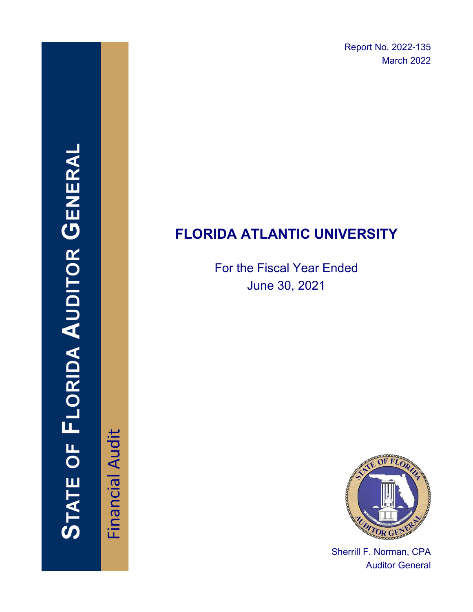Report No. 2022-135 March 2022

# **STATE OF FLORIDA AUDITOR GENERA**

Financial Audit Financial Audit

# **FLORIDA ATLANTIC UNIVERSITY**

For the Fiscal Year Ended June 30, 2021



Sherrill F. Norman, CPA Auditor General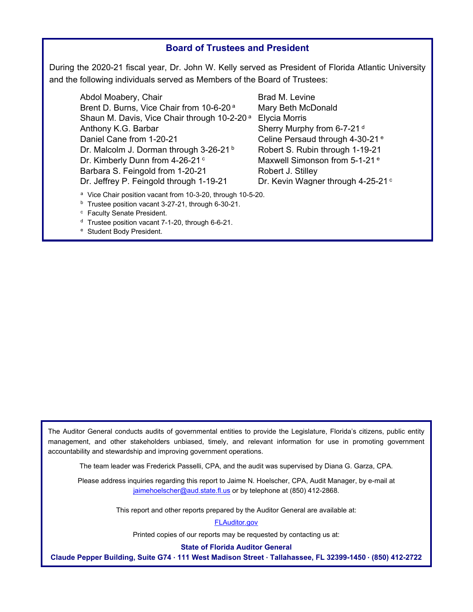#### **Board of Trustees and President**

During the 2020-21 fiscal year, Dr. John W. Kelly served as President of Florida Atlantic University and the following individuals served as Members of the Board of Trustees:

Abdol Moabery, Chair **Brad M. Levine** Brent D. Burns, Vice Chair from 10-6-20<sup>a</sup> Mary Beth McDonald Shaun M. Davis, Vice Chair through 10-2-20<sup>a</sup> Elycia Morris Anthony K.G. Barbar Sherry Murphy from 6-7-21<sup>d</sup> Daniel Cane from 1-20-21 Celine Persaud through 4-30-21 <sup>e</sup> Dr. Malcolm J. Dorman through  $3-26-21<sup>b</sup>$  Robert S. Rubin through 1-19-21 Dr. Kimberly Dunn from 4-26-21 c Maxwell Simonson from 5-1-21  $\textdegree$ Barbara S. Feingold from 1-20-21 Robert J. Stilley Dr. Jeffrey P. Feingold through 1-19-21 Dr. Kevin Wagner through 4-25-21  $\circ$ 

- <sup>a</sup> Vice Chair position vacant from 10-3-20, through 10-5-20.<br>
<sup>b</sup> Trustee position vacant 3-27-21, through 6-30-21.<br>
<sup>c</sup> Faculty Senate President.<br>
<sup>d</sup> Trustee position vacant 7-1-20, through 6-6-21.<br>
<sup>e</sup> Student Body Pre
- 
- 
- 
- 

The Auditor General conducts audits of governmental entities to provide the Legislature, Florida's citizens, public entity management, and other stakeholders unbiased, timely, and relevant information for use in promoting government accountability and stewardship and improving government operations.

The team leader was Frederick Passelli, CPA, and the audit was supervised by Diana G. Garza, CPA.

Please address inquiries regarding this report to Jaime N. Hoelscher, CPA, Audit Manager, by e-mail at jaimehoelscher@aud.state.fl.us or by telephone at (850) 412-2868.

This report and other reports prepared by the Auditor General are available at:

[FLAuditor.gov](http://flauditor.gov/) 

Printed copies of our reports may be requested by contacting us at:

**State of Florida Auditor General** 

**Claude Pepper Building, Suite G74 · 111 West Madison Street · Tallahassee, FL 32399-1450 · (850) 412-2722**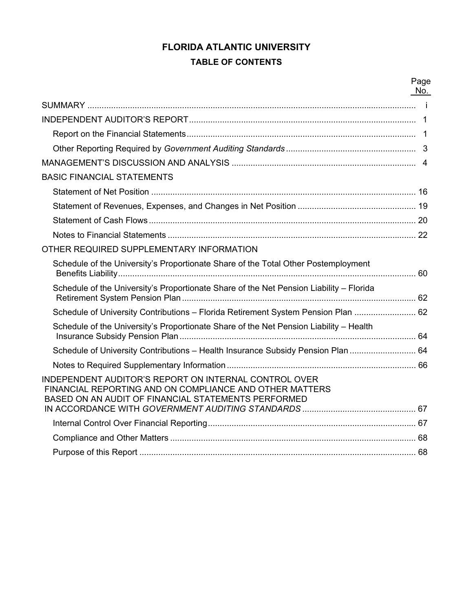# **FLORIDA ATLANTIC UNIVERSITY TABLE OF CONTENTS**

Page

|                                                                                                                                                                         | No. |
|-------------------------------------------------------------------------------------------------------------------------------------------------------------------------|-----|
|                                                                                                                                                                         |     |
|                                                                                                                                                                         |     |
|                                                                                                                                                                         |     |
|                                                                                                                                                                         |     |
|                                                                                                                                                                         |     |
| <b>BASIC FINANCIAL STATEMENTS</b>                                                                                                                                       |     |
|                                                                                                                                                                         |     |
|                                                                                                                                                                         |     |
|                                                                                                                                                                         |     |
|                                                                                                                                                                         |     |
| OTHER REQUIRED SUPPLEMENTARY INFORMATION                                                                                                                                |     |
| Schedule of the University's Proportionate Share of the Total Other Postemployment                                                                                      |     |
| Schedule of the University's Proportionate Share of the Net Pension Liability - Florida                                                                                 |     |
| Schedule of University Contributions - Florida Retirement System Pension Plan  62                                                                                       |     |
| Schedule of the University's Proportionate Share of the Net Pension Liability - Health                                                                                  |     |
| Schedule of University Contributions - Health Insurance Subsidy Pension Plan  64                                                                                        |     |
|                                                                                                                                                                         |     |
| INDEPENDENT AUDITOR'S REPORT ON INTERNAL CONTROL OVER<br>FINANCIAL REPORTING AND ON COMPLIANCE AND OTHER MATTERS<br>BASED ON AN AUDIT OF FINANCIAL STATEMENTS PERFORMED |     |
|                                                                                                                                                                         |     |
|                                                                                                                                                                         |     |
|                                                                                                                                                                         |     |
|                                                                                                                                                                         |     |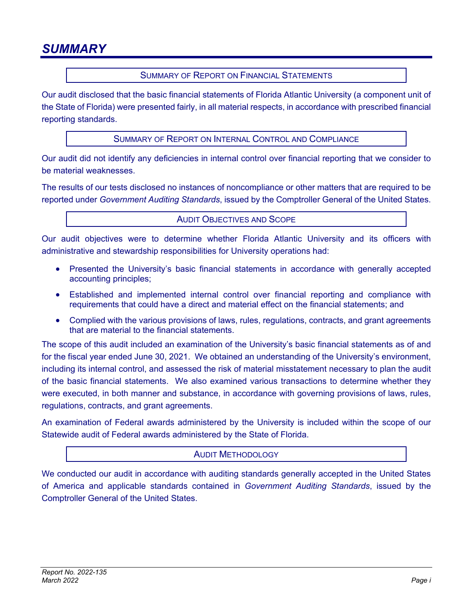#### SUMMARY OF REPORT ON FINANCIAL STATEMENTS

<span id="page-3-0"></span>Our audit disclosed that the basic financial statements of Florida Atlantic University (a component unit of the State of Florida) were presented fairly, in all material respects, in accordance with prescribed financial reporting standards.

SUMMARY OF REPORT ON INTERNAL CONTROL AND COMPLIANCE

Our audit did not identify any deficiencies in internal control over financial reporting that we consider to be material weaknesses.

The results of our tests disclosed no instances of noncompliance or other matters that are required to be reported under *Government Auditing Standards*, issued by the Comptroller General of the United States.

#### AUDIT OBJECTIVES AND SCOPE

Our audit objectives were to determine whether Florida Atlantic University and its officers with administrative and stewardship responsibilities for University operations had:

- Presented the University's basic financial statements in accordance with generally accepted accounting principles;
- Established and implemented internal control over financial reporting and compliance with requirements that could have a direct and material effect on the financial statements; and
- Complied with the various provisions of laws, rules, regulations, contracts, and grant agreements that are material to the financial statements.

The scope of this audit included an examination of the University's basic financial statements as of and for the fiscal year ended June 30, 2021. We obtained an understanding of the University's environment, including its internal control, and assessed the risk of material misstatement necessary to plan the audit of the basic financial statements. We also examined various transactions to determine whether they were executed, in both manner and substance, in accordance with governing provisions of laws, rules, regulations, contracts, and grant agreements.

An examination of Federal awards administered by the University is included within the scope of our Statewide audit of Federal awards administered by the State of Florida.

#### AUDIT METHODOLOGY

We conducted our audit in accordance with auditing standards generally accepted in the United States of America and applicable standards contained in *Government Auditing Standards*, issued by the Comptroller General of the United States.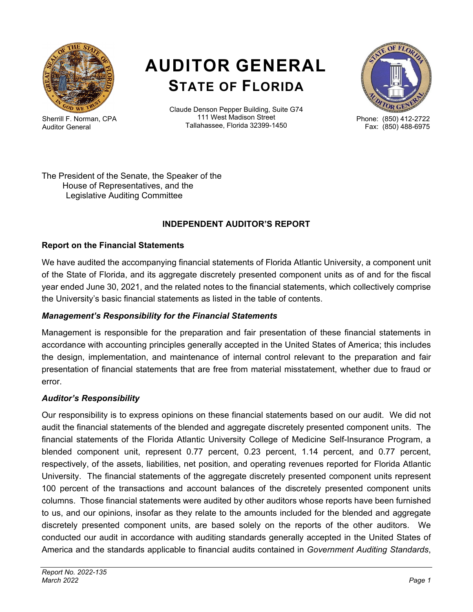<span id="page-4-0"></span>

Sherrill F. Norman, CPA Auditor General

# **AUDITOR GENERAL STATE OF FLORIDA**

Claude Denson Pepper Building, Suite G74 111 West Madison Street Tallahassee, Florida 32399-1450



Phone: (850) 412-2722 Fax: (850) 488-6975

The President of the Senate, the Speaker of the House of Representatives, and the Legislative Auditing Committee

## **INDEPENDENT AUDITOR'S REPORT**

#### **Report on the Financial Statements**

We have audited the accompanying financial statements of Florida Atlantic University, a component unit of the State of Florida, and its aggregate discretely presented component units as of and for the fiscal year ended June 30, 2021, and the related notes to the financial statements, which collectively comprise the University's basic financial statements as listed in the table of contents.

#### *Management's Responsibility for the Financial Statements*

Management is responsible for the preparation and fair presentation of these financial statements in accordance with accounting principles generally accepted in the United States of America; this includes the design, implementation, and maintenance of internal control relevant to the preparation and fair presentation of financial statements that are free from material misstatement, whether due to fraud or error.

## *Auditor's Responsibility*

Our responsibility is to express opinions on these financial statements based on our audit. We did not audit the financial statements of the blended and aggregate discretely presented component units. The financial statements of the Florida Atlantic University College of Medicine Self-Insurance Program, a blended component unit, represent 0.77 percent, 0.23 percent, 1.14 percent, and 0.77 percent, respectively, of the assets, liabilities, net position, and operating revenues reported for Florida Atlantic University. The financial statements of the aggregate discretely presented component units represent 100 percent of the transactions and account balances of the discretely presented component units columns. Those financial statements were audited by other auditors whose reports have been furnished to us, and our opinions, insofar as they relate to the amounts included for the blended and aggregate discretely presented component units, are based solely on the reports of the other auditors. We conducted our audit in accordance with auditing standards generally accepted in the United States of America and the standards applicable to financial audits contained in *Government Auditing Standards*,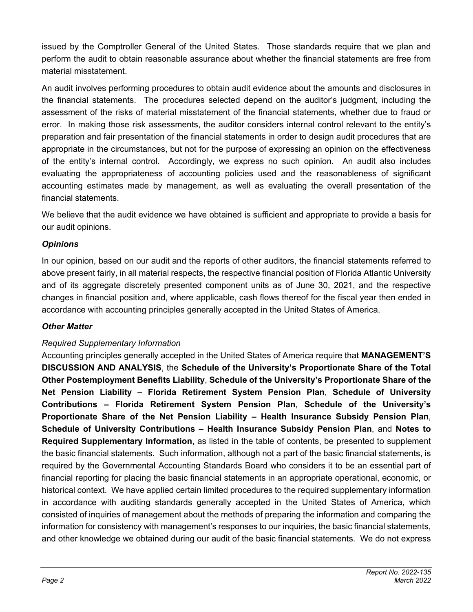issued by the Comptroller General of the United States. Those standards require that we plan and perform the audit to obtain reasonable assurance about whether the financial statements are free from material misstatement.

An audit involves performing procedures to obtain audit evidence about the amounts and disclosures in the financial statements. The procedures selected depend on the auditor's judgment, including the assessment of the risks of material misstatement of the financial statements, whether due to fraud or error. In making those risk assessments, the auditor considers internal control relevant to the entity's preparation and fair presentation of the financial statements in order to design audit procedures that are appropriate in the circumstances, but not for the purpose of expressing an opinion on the effectiveness of the entity's internal control. Accordingly, we express no such opinion. An audit also includes evaluating the appropriateness of accounting policies used and the reasonableness of significant accounting estimates made by management, as well as evaluating the overall presentation of the financial statements.

We believe that the audit evidence we have obtained is sufficient and appropriate to provide a basis for our audit opinions.

#### *Opinions*

In our opinion, based on our audit and the reports of other auditors, the financial statements referred to above present fairly, in all material respects, the respective financial position of Florida Atlantic University and of its aggregate discretely presented component units as of June 30, 2021, and the respective changes in financial position and, where applicable, cash flows thereof for the fiscal year then ended in accordance with accounting principles generally accepted in the United States of America.

#### *Other Matter*

## *Required Supplementary Information*

Accounting principles generally accepted in the United States of America require that **MANAGEMENT'S DISCUSSION AND ANALYSIS**, the **Schedule of the University's Proportionate Share of the Total Other Postemployment Benefits Liability**, **Schedule of the University's Proportionate Share of the Net Pension Liability – Florida Retirement System Pension Plan**, **Schedule of University Contributions – Florida Retirement System Pension Plan**, **Schedule of the University's Proportionate Share of the Net Pension Liability – Health Insurance Subsidy Pension Plan**, **Schedule of University Contributions – Health Insurance Subsidy Pension Plan**, and **Notes to Required Supplementary Information**, as listed in the table of contents, be presented to supplement the basic financial statements. Such information, although not a part of the basic financial statements, is required by the Governmental Accounting Standards Board who considers it to be an essential part of financial reporting for placing the basic financial statements in an appropriate operational, economic, or historical context. We have applied certain limited procedures to the required supplementary information in accordance with auditing standards generally accepted in the United States of America, which consisted of inquiries of management about the methods of preparing the information and comparing the information for consistency with management's responses to our inquiries, the basic financial statements, and other knowledge we obtained during our audit of the basic financial statements. We do not express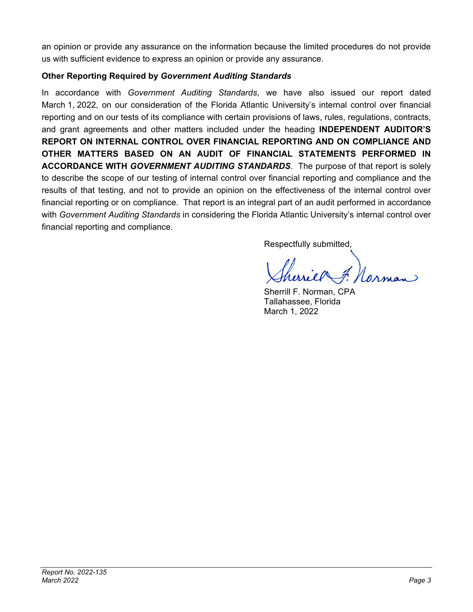<span id="page-6-0"></span>an opinion or provide any assurance on the information because the limited procedures do not provide us with sufficient evidence to express an opinion or provide any assurance.

#### **Other Reporting Required by** *Government Auditing Standards*

In accordance with *Government Auditing Standards*, we have also issued our report dated March 1, 2022, on our consideration of the Florida Atlantic University's internal control over financial reporting and on our tests of its compliance with certain provisions of laws, rules, regulations, contracts, and grant agreements and other matters included under the heading **INDEPENDENT AUDITOR'S REPORT ON INTERNAL CONTROL OVER FINANCIAL REPORTING AND ON COMPLIANCE AND OTHER MATTERS BASED ON AN AUDIT OF FINANCIAL STATEMENTS PERFORMED IN ACCORDANCE WITH** *GOVERNMENT AUDITING STANDARDS*. The purpose of that report is solely to describe the scope of our testing of internal control over financial reporting and compliance and the results of that testing, and not to provide an opinion on the effectiveness of the internal control over financial reporting or on compliance. That report is an integral part of an audit performed in accordance with *Government Auditing Standards* in considering the Florida Atlantic University's internal control over financial reporting and compliance.

Respectfully submitted,

Sherrill F. Norman, CPA Tallahassee, Florida March 1, 2022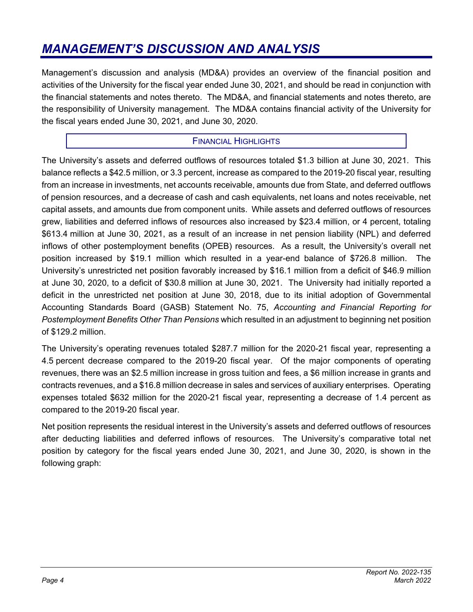# <span id="page-7-0"></span>*MANAGEMENT'S DISCUSSION AND ANALYSIS*

Management's discussion and analysis (MD&A) provides an overview of the financial position and activities of the University for the fiscal year ended June 30, 2021, and should be read in conjunction with the financial statements and notes thereto. The MD&A, and financial statements and notes thereto, are the responsibility of University management. The MD&A contains financial activity of the University for the fiscal years ended June 30, 2021, and June 30, 2020.

#### FINANCIAL HIGHLIGHTS

The University's assets and deferred outflows of resources totaled \$1.3 billion at June 30, 2021. This balance reflects a \$42.5 million, or 3.3 percent, increase as compared to the 2019-20 fiscal year, resulting from an increase in investments, net accounts receivable, amounts due from State, and deferred outflows of pension resources, and a decrease of cash and cash equivalents, net loans and notes receivable, net capital assets, and amounts due from component units. While assets and deferred outflows of resources grew, liabilities and deferred inflows of resources also increased by \$23.4 million, or 4 percent, totaling \$613.4 million at June 30, 2021, as a result of an increase in net pension liability (NPL) and deferred inflows of other postemployment benefits (OPEB) resources. As a result, the University's overall net position increased by \$19.1 million which resulted in a year-end balance of \$726.8 million. The University's unrestricted net position favorably increased by \$16.1 million from a deficit of \$46.9 million at June 30, 2020, to a deficit of \$30.8 million at June 30, 2021. The University had initially reported a deficit in the unrestricted net position at June 30, 2018, due to its initial adoption of Governmental Accounting Standards Board (GASB) Statement No. 75, *Accounting and Financial Reporting for Postemployment Benefits Other Than Pensions* which resulted in an adjustment to beginning net position of \$129.2 million.

The University's operating revenues totaled \$287.7 million for the 2020-21 fiscal year, representing a 4.5 percent decrease compared to the 2019-20 fiscal year. Of the major components of operating revenues, there was an \$2.5 million increase in gross tuition and fees, a \$6 million increase in grants and contracts revenues, and a \$16.8 million decrease in sales and services of auxiliary enterprises. Operating expenses totaled \$632 million for the 2020-21 fiscal year, representing a decrease of 1.4 percent as compared to the 2019-20 fiscal year.

Net position represents the residual interest in the University's assets and deferred outflows of resources after deducting liabilities and deferred inflows of resources. The University's comparative total net position by category for the fiscal years ended June 30, 2021, and June 30, 2020, is shown in the following graph: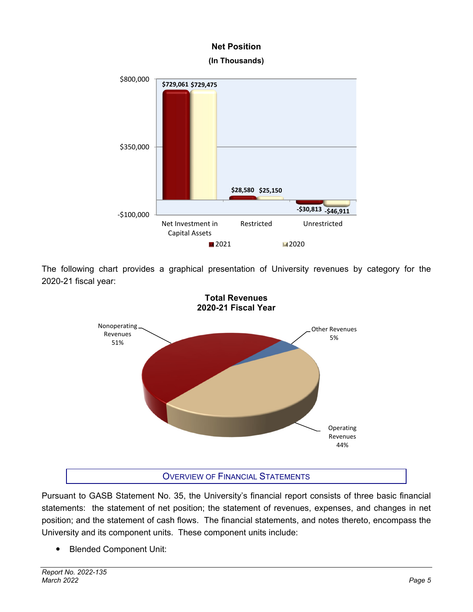# **Net Position (In Thousands)**



The following chart provides a graphical presentation of University revenues by category for the 2020-21 fiscal year:



Pursuant to GASB Statement No. 35, the University's financial report consists of three basic financial statements: the statement of net position; the statement of revenues, expenses, and changes in net position; and the statement of cash flows. The financial statements, and notes thereto, encompass the University and its component units. These component units include:

Blended Component Unit: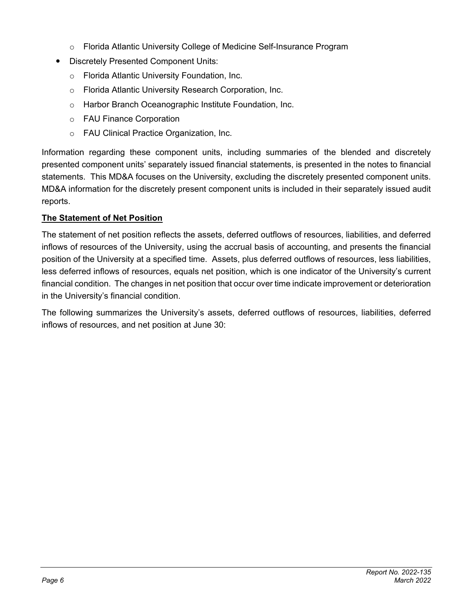- o Florida Atlantic University College of Medicine Self-Insurance Program
- Discretely Presented Component Units:
	- o Florida Atlantic University Foundation, Inc.
	- o Florida Atlantic University Research Corporation, Inc.
	- o Harbor Branch Oceanographic Institute Foundation, Inc.
	- o FAU Finance Corporation
	- o FAU Clinical Practice Organization, Inc.

Information regarding these component units, including summaries of the blended and discretely presented component units' separately issued financial statements, is presented in the notes to financial statements. This MD&A focuses on the University, excluding the discretely presented component units. MD&A information for the discretely present component units is included in their separately issued audit reports.

#### **The Statement of Net Position**

The statement of net position reflects the assets, deferred outflows of resources, liabilities, and deferred inflows of resources of the University, using the accrual basis of accounting, and presents the financial position of the University at a specified time. Assets, plus deferred outflows of resources, less liabilities, less deferred inflows of resources, equals net position, which is one indicator of the University's current financial condition. The changes in net position that occur over time indicate improvement or deterioration in the University's financial condition.

The following summarizes the University's assets, deferred outflows of resources, liabilities, deferred inflows of resources, and net position at June 30: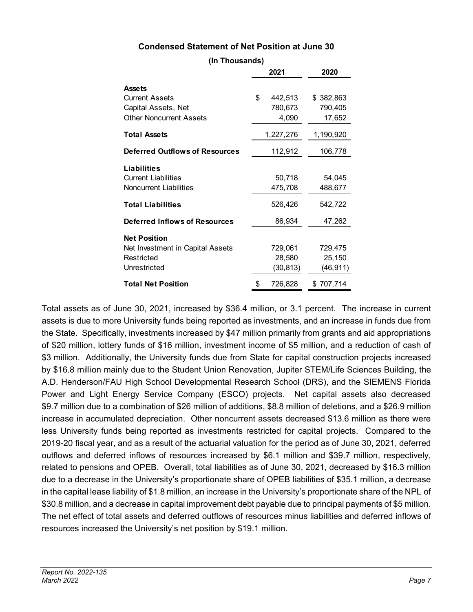#### **Condensed Statement of Net Position at June 30**

|                                       | 2021          | 2020      |
|---------------------------------------|---------------|-----------|
| Assets                                |               |           |
| Current Assets                        | \$<br>442,513 | \$382,863 |
| Capital Assets, Net                   | 780,673       | 790,405   |
| <b>Other Noncurrent Assets</b>        | 4,090         | 17,652    |
| <b>Total Assets</b>                   | 1,227,276     | 1,190,920 |
| <b>Deferred Outflows of Resources</b> | 112,912       | 106,778   |
| Liabilities                           |               |           |
| <b>Current Liabilities</b>            | 50,718        | 54,045    |
| <b>Noncurrent Liabilities</b>         | 475,708       | 488,677   |
| <b>Total Liabilities</b>              | 526,426       | 542,722   |
| <b>Deferred Inflows of Resources</b>  | 86,934        | 47,262    |
| <b>Net Position</b>                   |               |           |
| Net Investment in Capital Assets      | 729,061       | 729,475   |
| Restricted                            | 28,580        | 25,150    |
| Unrestricted                          | (30, 813)     | (46, 911) |
| <b>Total Net Position</b>             | \$<br>726,828 | \$707,714 |

**(In Thousands)** 

Total assets as of June 30, 2021, increased by \$36.4 million, or 3.1 percent. The increase in current assets is due to more University funds being reported as investments, and an increase in funds due from the State. Specifically, investments increased by \$47 million primarily from grants and aid appropriations of \$20 million, lottery funds of \$16 million, investment income of \$5 million, and a reduction of cash of \$3 million. Additionally, the University funds due from State for capital construction projects increased by \$16.8 million mainly due to the Student Union Renovation, Jupiter STEM/Life Sciences Building, the A.D. Henderson/FAU High School Developmental Research School (DRS), and the SIEMENS Florida Power and Light Energy Service Company (ESCO) projects. Net capital assets also decreased \$9.7 million due to a combination of \$26 million of additions, \$8.8 million of deletions, and a \$26.9 million increase in accumulated depreciation. Other noncurrent assets decreased \$13.6 million as there were less University funds being reported as investments restricted for capital projects. Compared to the 2019-20 fiscal year, and as a result of the actuarial valuation for the period as of June 30, 2021, deferred outflows and deferred inflows of resources increased by \$6.1 million and \$39.7 million, respectively, related to pensions and OPEB. Overall, total liabilities as of June 30, 2021, decreased by \$16.3 million due to a decrease in the University's proportionate share of OPEB liabilities of \$35.1 million, a decrease in the capital lease liability of \$1.8 million, an increase in the University's proportionate share of the NPL of \$30.8 million, and a decrease in capital improvement debt payable due to principal payments of \$5 million. The net effect of total assets and deferred outflows of resources minus liabilities and deferred inflows of resources increased the University's net position by \$19.1 million.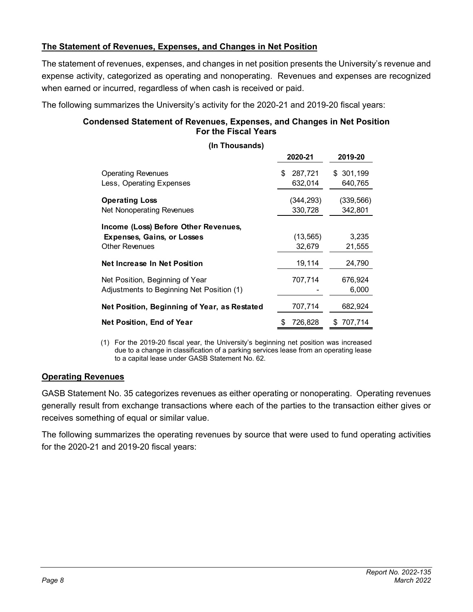### **The Statement of Revenues, Expenses, and Changes in Net Position**

The statement of revenues, expenses, and changes in net position presents the University's revenue and expense activity, categorized as operating and nonoperating. Revenues and expenses are recognized when earned or incurred, regardless of when cash is received or paid.

The following summarizes the University's activity for the 2020-21 and 2019-20 fiscal years:

### **Condensed Statement of Revenues, Expenses, and Changes in Net Position For the Fiscal Years**

| (In Thousands)                                                                                     |                          |                      |
|----------------------------------------------------------------------------------------------------|--------------------------|----------------------|
|                                                                                                    | 2020-21                  | 2019-20              |
| <b>Operating Revenues</b><br>Less, Operating Expenses                                              | \$<br>287,721<br>632,014 | \$301,199<br>640.765 |
| <b>Operating Loss</b><br>Net Nonoperating Revenues                                                 | (344, 293)<br>330,728    | (339,566)<br>342,801 |
| Income (Loss) Before Other Revenues,<br><b>Expenses, Gains, or Losses</b><br><b>Other Revenues</b> | (13, 565)<br>32,679      | 3,235<br>21,555      |
| <b>Net Increase In Net Position</b>                                                                | 19,114                   | 24,790               |
| Net Position, Beginning of Year<br>Adjustments to Beginning Net Position (1)                       | 707,714                  | 676,924<br>6,000     |
| Net Position, Beginning of Year, as Restated                                                       | 707,714                  | 682,924              |
| <b>Net Position, End of Year</b>                                                                   | 726,828                  | \$707,714            |

(1) For the 2019-20 fiscal year, the University's beginning net position was increased due to a change in classification of a parking services lease from an operating lease to a capital lease under GASB Statement No. 62.

#### **Operating Revenues**

GASB Statement No. 35 categorizes revenues as either operating or nonoperating. Operating revenues generally result from exchange transactions where each of the parties to the transaction either gives or receives something of equal or similar value.

The following summarizes the operating revenues by source that were used to fund operating activities for the 2020-21 and 2019-20 fiscal years: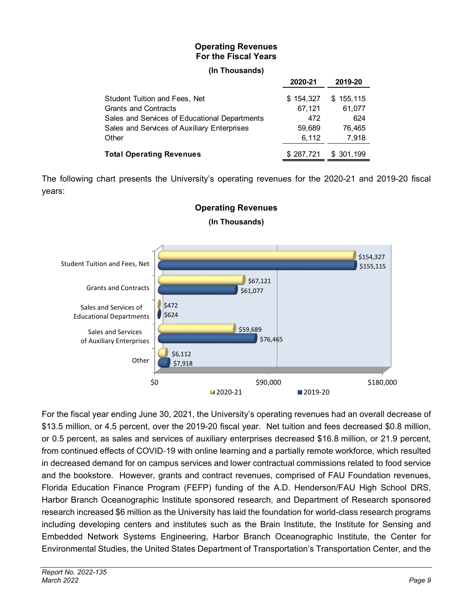#### **Operating Revenues For the Fiscal Years**

#### **(In Thousands)**

|                                                                                                                                                                       | 2020-21                                       | 2019-20                                       |
|-----------------------------------------------------------------------------------------------------------------------------------------------------------------------|-----------------------------------------------|-----------------------------------------------|
| Student Tuition and Fees, Net<br><b>Grants and Contracts</b><br>Sales and Services of Educational Departments<br>Sales and Services of Auxiliary Enterprises<br>Other | \$154.327<br>67,121<br>472<br>59,689<br>6,112 | \$155,115<br>61,077<br>624<br>76,465<br>7,918 |
| <b>Total Operating Revenues</b>                                                                                                                                       | \$287,721                                     | \$301,199                                     |

The following chart presents the University's operating revenues for the 2020-21 and 2019-20 fiscal years:



# **Operating Revenues**

**(In Thousands)** 

For the fiscal year ending June 30, 2021, the University's operating revenues had an overall decrease of \$13.5 million, or 4.5 percent, over the 2019-20 fiscal year. Net tuition and fees decreased \$0.8 million, or 0.5 percent, as sales and services of auxiliary enterprises decreased \$16.8 million, or 21.9 percent, from continued effects of COVID-19 with online learning and a partially remote workforce, which resulted in decreased demand for on campus services and lower contractual commissions related to food service and the bookstore. However, grants and contract revenues, comprised of FAU Foundation revenues, Florida Education Finance Program (FEFP) funding of the A.D. Henderson/FAU High School DRS, Harbor Branch Oceanographic Institute sponsored research, and Department of Research sponsored research increased \$6 million as the University has laid the foundation for world-class research programs including developing centers and institutes such as the Brain Institute, the Institute for Sensing and Embedded Network Systems Engineering, Harbor Branch Oceanographic Institute, the Center for Environmental Studies, the United States Department of Transportation's Transportation Center, and the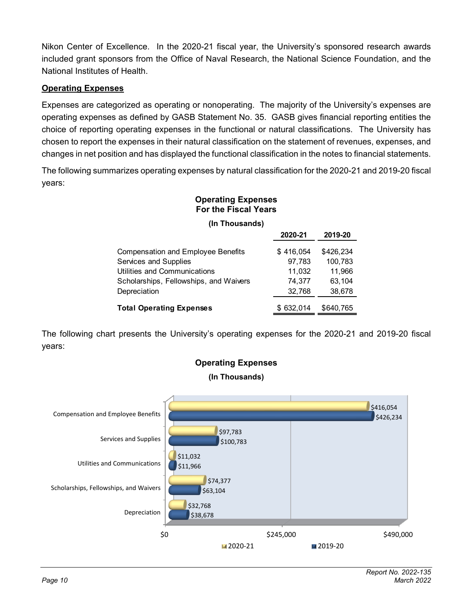Nikon Center of Excellence. In the 2020-21 fiscal year, the University's sponsored research awards included grant sponsors from the Office of Naval Research, the National Science Foundation, and the National Institutes of Health.

#### **Operating Expenses**

Expenses are categorized as operating or nonoperating. The majority of the University's expenses are operating expenses as defined by GASB Statement No. 35. GASB gives financial reporting entities the choice of reporting operating expenses in the functional or natural classifications. The University has chosen to report the expenses in their natural classification on the statement of revenues, expenses, and changes in net position and has displayed the functional classification in the notes to financial statements.

The following summarizes operating expenses by natural classification for the 2020-21 and 2019-20 fiscal years:

#### **Operating Expenses For the Fiscal Years**

**(In Thousands)** 

|                                           | 2020-21   | 2019-20   |
|-------------------------------------------|-----------|-----------|
| <b>Compensation and Employee Benefits</b> | \$416,054 | \$426.234 |
| <b>Services and Supplies</b>              | 97,783    | 100,783   |
| <b>Utilities and Communications</b>       | 11,032    | 11,966    |
| Scholarships, Fellowships, and Waivers    | 74,377    | 63,104    |
| Depreciation                              | 32,768    | 38,678    |
| <b>Total Operating Expenses</b>           | \$632,014 | \$640,765 |

The following chart presents the University's operating expenses for the 2020-21 and 2019-20 fiscal years:

**Operating Expenses** 



#### *Report No. 2022-135 Page 10 March 2022*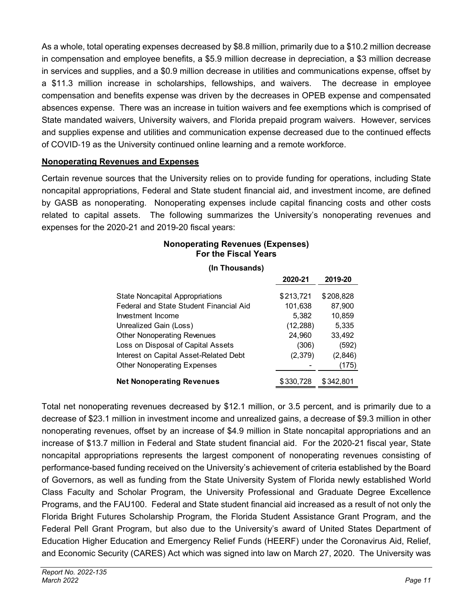As a whole, total operating expenses decreased by \$8.8 million, primarily due to a \$10.2 million decrease in compensation and employee benefits, a \$5.9 million decrease in depreciation, a \$3 million decrease in services and supplies, and a \$0.9 million decrease in utilities and communications expense, offset by a \$11.3 million increase in scholarships, fellowships, and waivers. The decrease in employee compensation and benefits expense was driven by the decreases in OPEB expense and compensated absences expense. There was an increase in tuition waivers and fee exemptions which is comprised of State mandated waivers, University waivers, and Florida prepaid program waivers. However, services and supplies expense and utilities and communication expense decreased due to the continued effects of COVID-19 as the University continued online learning and a remote workforce.

#### **Nonoperating Revenues and Expenses**

Certain revenue sources that the University relies on to provide funding for operations, including State noncapital appropriations, Federal and State student financial aid, and investment income, are defined by GASB as nonoperating. Nonoperating expenses include capital financing costs and other costs related to capital assets. The following summarizes the University's nonoperating revenues and expenses for the 2020-21 and 2019-20 fiscal years:

#### **Nonoperating Revenues (Expenses) For the Fiscal Years**

**(In Thousands)** 

|                                         | 2020-21   | 2019-20   |
|-----------------------------------------|-----------|-----------|
| <b>State Noncapital Appropriations</b>  | \$213,721 | \$208,828 |
| Federal and State Student Financial Aid | 101,638   | 87,900    |
| Investment Income                       | 5.382     | 10,859    |
| Unrealized Gain (Loss)                  | (12, 288) | 5,335     |
| <b>Other Nonoperating Revenues</b>      | 24,960    | 33,492    |
| Loss on Disposal of Capital Assets      | (306)     | (592)     |
| Interest on Capital Asset-Related Debt  | (2, 379)  | (2,846)   |
| <b>Other Nonoperating Expenses</b>      |           | (175)     |
| <b>Net Nonoperating Revenues</b>        | \$330,728 | \$342,801 |

Total net nonoperating revenues decreased by \$12.1 million, or 3.5 percent, and is primarily due to a decrease of \$23.1 million in investment income and unrealized gains, a decrease of \$9.3 million in other nonoperating revenues, offset by an increase of \$4.9 million in State noncapital appropriations and an increase of \$13.7 million in Federal and State student financial aid. For the 2020-21 fiscal year, State noncapital appropriations represents the largest component of nonoperating revenues consisting of performance-based funding received on the University's achievement of criteria established by the Board of Governors, as well as funding from the State University System of Florida newly established World Class Faculty and Scholar Program, the University Professional and Graduate Degree Excellence Programs, and the FAU100. Federal and State student financial aid increased as a result of not only the Florida Bright Futures Scholarship Program, the Florida Student Assistance Grant Program, and the Federal Pell Grant Program, but also due to the University's award of United States Department of Education Higher Education and Emergency Relief Funds (HEERF) under the Coronavirus Aid, Relief, and Economic Security (CARES) Act which was signed into law on March 27, 2020. The University was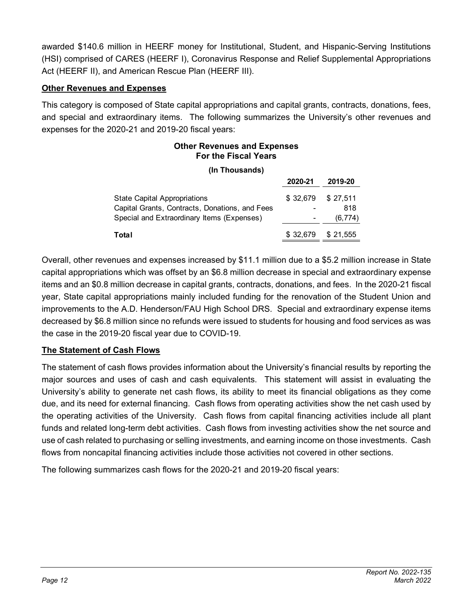awarded \$140.6 million in HEERF money for Institutional, Student, and Hispanic-Serving Institutions (HSI) comprised of CARES (HEERF I), Coronavirus Response and Relief Supplemental Appropriations Act (HEERF II), and American Rescue Plan (HEERF III).

#### **Other Revenues and Expenses**

This category is composed of State capital appropriations and capital grants, contracts, donations, fees, and special and extraordinary items. The following summarizes the University's other revenues and expenses for the 2020-21 and 2019-20 fiscal years:

#### **Other Revenues and Expenses For the Fiscal Years**

#### **(In Thousands)**

|                                                                                                                                     | 2020-21                  | 2019-20             |
|-------------------------------------------------------------------------------------------------------------------------------------|--------------------------|---------------------|
| <b>State Capital Appropriations</b><br>Capital Grants, Contracts, Donations, and Fees<br>Special and Extraordinary Items (Expenses) | $$32,679$ $$27,511$<br>٠ | 818<br>(6, 774)     |
| Total                                                                                                                               |                          | $$32,679$ $$21,555$ |

Overall, other revenues and expenses increased by \$11.1 million due to a \$5.2 million increase in State capital appropriations which was offset by an \$6.8 million decrease in special and extraordinary expense items and an \$0.8 million decrease in capital grants, contracts, donations, and fees. In the 2020-21 fiscal year, State capital appropriations mainly included funding for the renovation of the Student Union and improvements to the A.D. Henderson/FAU High School DRS. Special and extraordinary expense items decreased by \$6.8 million since no refunds were issued to students for housing and food services as was the case in the 2019-20 fiscal year due to COVID-19.

#### **The Statement of Cash Flows**

The statement of cash flows provides information about the University's financial results by reporting the major sources and uses of cash and cash equivalents. This statement will assist in evaluating the University's ability to generate net cash flows, its ability to meet its financial obligations as they come due, and its need for external financing. Cash flows from operating activities show the net cash used by the operating activities of the University. Cash flows from capital financing activities include all plant funds and related long-term debt activities. Cash flows from investing activities show the net source and use of cash related to purchasing or selling investments, and earning income on those investments. Cash flows from noncapital financing activities include those activities not covered in other sections.

The following summarizes cash flows for the 2020-21 and 2019-20 fiscal years: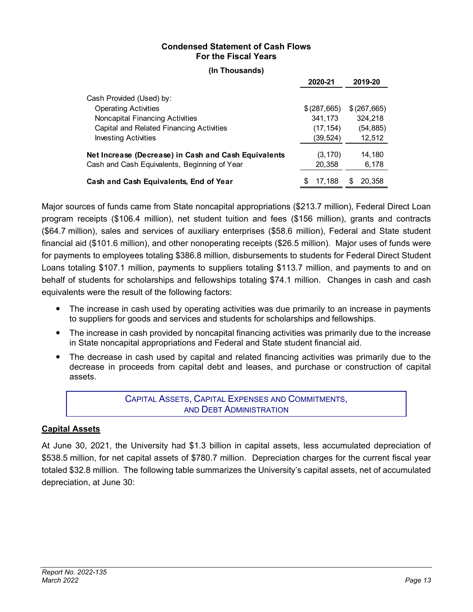#### **Condensed Statement of Cash Flows For the Fiscal Years**

**(In Thousands)** 

**2020-21 2019-20**

|                                                      | ZUZU-Z I    | 2019-20     |
|------------------------------------------------------|-------------|-------------|
| Cash Provided (Used) by:                             |             |             |
| <b>Operating Activities</b>                          | \$(287,665) | \$(267,665) |
| <b>Noncapital Financing Activities</b>               | 341,173     | 324,218     |
| Capital and Related Financing Activities             | (17, 154)   | (54, 885)   |
| <b>Investing Activities</b>                          | (39, 524)   | 12,512      |
| Net Increase (Decrease) in Cash and Cash Equivalents | (3, 170)    | 14,180      |
| Cash and Cash Equivalents, Beginning of Year         | 20,358      | 6,178       |
| Cash and Cash Equivalents, End of Year               | 17,188      | 20,358      |

Major sources of funds came from State noncapital appropriations (\$213.7 million), Federal Direct Loan program receipts (\$106.4 million), net student tuition and fees (\$156 million), grants and contracts (\$64.7 million), sales and services of auxiliary enterprises (\$58.6 million), Federal and State student financial aid (\$101.6 million), and other nonoperating receipts (\$26.5 million). Major uses of funds were for payments to employees totaling \$386.8 million, disbursements to students for Federal Direct Student Loans totaling \$107.1 million, payments to suppliers totaling \$113.7 million, and payments to and on behalf of students for scholarships and fellowships totaling \$74.1 million. Changes in cash and cash equivalents were the result of the following factors:

- The increase in cash used by operating activities was due primarily to an increase in payments to suppliers for goods and services and students for scholarships and fellowships.
- The increase in cash provided by noncapital financing activities was primarily due to the increase in State noncapital appropriations and Federal and State student financial aid.
- The decrease in cash used by capital and related financing activities was primarily due to the decrease in proceeds from capital debt and leases, and purchase or construction of capital assets.

CAPITAL ASSETS, CAPITAL EXPENSES AND COMMITMENTS, AND DEBT ADMINISTRATION

## **Capital Assets**

At June 30, 2021, the University had \$1.3 billion in capital assets, less accumulated depreciation of \$538.5 million, for net capital assets of \$780.7 million. Depreciation charges for the current fiscal year totaled \$32.8 million. The following table summarizes the University's capital assets, net of accumulated depreciation, at June 30: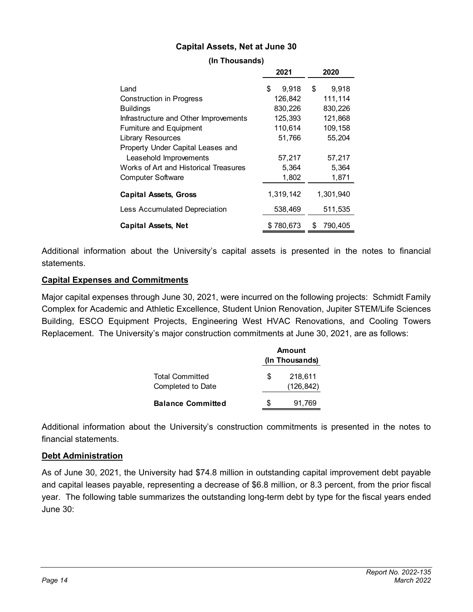#### **Capital Assets, Net at June 30**

**(In Thousands)** 

|                                                                                                                                                                                                | 2021                                          | 2020                                          |  |
|------------------------------------------------------------------------------------------------------------------------------------------------------------------------------------------------|-----------------------------------------------|-----------------------------------------------|--|
| Land<br><b>Construction in Progress</b><br><b>Buildings</b><br>Infrastructure and Other Improvements                                                                                           | 9,918<br>\$<br>126,842<br>830,226<br>125,393  | 9,918<br>\$<br>111,114<br>830,226<br>121,868  |  |
| <b>Furniture and Equipment</b><br><b>Library Resources</b><br>Property Under Capital Leases and<br>Leasehold Improvements<br>Works of Art and Historical Treasures<br><b>Computer Software</b> | 110,614<br>51,766<br>57,217<br>5,364<br>1,802 | 109,158<br>55,204<br>57,217<br>5,364<br>1,871 |  |
| <b>Capital Assets, Gross</b><br>Less Accumulated Depreciation                                                                                                                                  | 1,319,142<br>538,469                          | 1,301,940<br>511,535                          |  |
| <b>Capital Assets, Net</b>                                                                                                                                                                     | \$780,673                                     | 790,405<br>\$                                 |  |

Additional information about the University's capital assets is presented in the notes to financial statements.

#### **Capital Expenses and Commitments**

Major capital expenses through June 30, 2021, were incurred on the following projects: Schmidt Family Complex for Academic and Athletic Excellence, Student Union Renovation, Jupiter STEM/Life Sciences Building, ESCO Equipment Projects, Engineering West HVAC Renovations, and Cooling Towers Replacement. The University's major construction commitments at June 30, 2021, are as follows:

|                                             | Amount         |                       |  |
|---------------------------------------------|----------------|-----------------------|--|
|                                             | (In Thousands) |                       |  |
| <b>Total Committed</b><br>Completed to Date | S              | 218,611<br>(126, 842) |  |
| <b>Balance Committed</b>                    | S              | 91,769                |  |

Additional information about the University's construction commitments is presented in the notes to financial statements.

#### **Debt Administration**

As of June 30, 2021, the University had \$74.8 million in outstanding capital improvement debt payable and capital leases payable, representing a decrease of \$6.8 million, or 8.3 percent, from the prior fiscal year. The following table summarizes the outstanding long-term debt by type for the fiscal years ended June 30: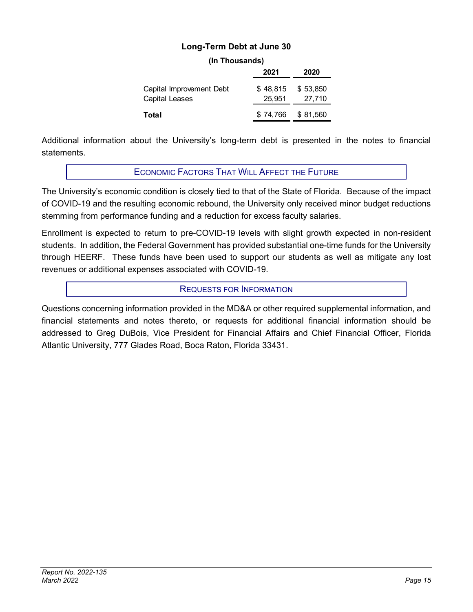#### **Long-Term Debt at June 30**

## **(In Thousands)**

|                                            | 2021   | 2020                          |
|--------------------------------------------|--------|-------------------------------|
| Capital Improvement Debt<br>Capital Leases | 25.951 | $$48,815$ $$53,850$<br>27.710 |
| Total                                      |        | $$74,766$ $$81,560$           |

Additional information about the University's long-term debt is presented in the notes to financial statements.

#### ECONOMIC FACTORS THAT WILL AFFECT THE FUTURE

The University's economic condition is closely tied to that of the State of Florida. Because of the impact of COVID-19 and the resulting economic rebound, the University only received minor budget reductions stemming from performance funding and a reduction for excess faculty salaries.

Enrollment is expected to return to pre-COVID-19 levels with slight growth expected in non-resident students. In addition, the Federal Government has provided substantial one-time funds for the University through HEERF. These funds have been used to support our students as well as mitigate any lost revenues or additional expenses associated with COVID-19.

#### REQUESTS FOR INFORMATION

Questions concerning information provided in the MD&A or other required supplemental information, and financial statements and notes thereto, or requests for additional financial information should be addressed to Greg DuBois, Vice President for Financial Affairs and Chief Financial Officer, Florida Atlantic University, 777 Glades Road, Boca Raton, Florida 33431.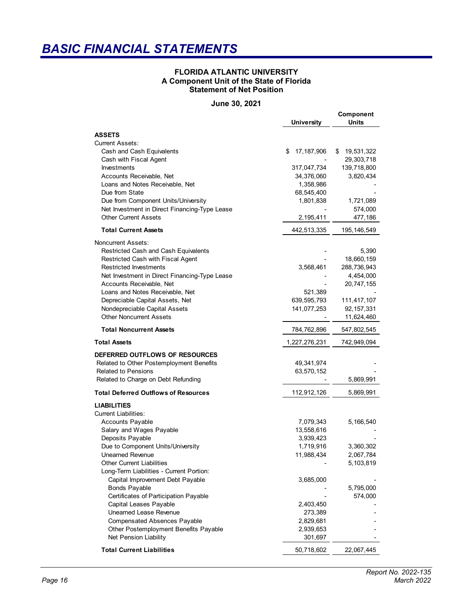# <span id="page-19-0"></span>*BASIC FINANCIAL STATEMENTS*

#### **FLORIDA ATLANTIC UNIVERSITY A Component Unit of the State of Florida Statement of Net Position**

#### **June 30, 2021**

|                                               | <b>University</b> | Component<br>Units |
|-----------------------------------------------|-------------------|--------------------|
| <b>ASSETS</b>                                 |                   |                    |
| <b>Current Assets:</b>                        |                   |                    |
| Cash and Cash Equivalents                     | \$<br>17,187,906  | \$19,531,322       |
| Cash with Fiscal Agent                        |                   | 29,303,718         |
| Investments                                   | 317,047,734       | 139,718,800        |
| Accounts Receivable, Net                      | 34,376,060        | 3,820,434          |
| Loans and Notes Receivable, Net               | 1,358,986         |                    |
| Due from State                                | 68,545,400        |                    |
| Due from Component Units/University           | 1,801,838         | 1,721,089          |
| Net Investment in Direct Financing-Type Lease |                   | 574,000            |
| <b>Other Current Assets</b>                   | 2,195,411         | 477,186            |
| <b>Total Current Assets</b>                   | 442,513,335       | 195, 146, 549      |
| <b>Noncurrent Assets:</b>                     |                   |                    |
| Restricted Cash and Cash Equivalents          |                   | 5,390              |
| Restricted Cash with Fiscal Agent             |                   | 18,660,159         |
| <b>Restricted Investments</b>                 | 3,568,461         | 288,736,943        |
| Net Investment in Direct Financing-Type Lease |                   | 4,454,000          |
| Accounts Receivable, Net                      |                   | 20,747,155         |
| Loans and Notes Receivable, Net               | 521,389           |                    |
| Depreciable Capital Assets, Net               | 639,595,793       | 111,417,107        |
| Nondepreciable Capital Assets                 | 141,077,253       | 92, 157, 331       |
| <b>Other Noncurrent Assets</b>                |                   | 11,624,460         |
|                                               |                   |                    |
| <b>Total Noncurrent Assets</b>                | 784,762,896       | 547,802,545        |
| <b>Total Assets</b>                           | 1,227,276,231     | 742,949,094        |
| DEFERRED OUTFLOWS OF RESOURCES                |                   |                    |
| Related to Other Postemployment Benefits      | 49,341,974        |                    |
| <b>Related to Pensions</b>                    | 63,570,152        |                    |
| Related to Charge on Debt Refunding           |                   | 5,869,991          |
| <b>Total Deferred Outflows of Resources</b>   | 112,912,126       | 5,869,991          |
| <b>LIABILITIES</b>                            |                   |                    |
| <b>Current Liabilities:</b>                   |                   |                    |
| <b>Accounts Payable</b>                       | 7,079,343         | 5,166,540          |
| Salary and Wages Payable                      | 13,558,616        |                    |
| Deposits Payable                              | 3,939,423         |                    |
| Due to Component Units/University             | 1,719,916         | 3,360,302          |
| <b>Unearned Revenue</b>                       | 11,988,434        | 2,067,784          |
| <b>Other Current Liabilities</b>              |                   | 5,103,819          |
| Long-Term Liabilities - Current Portion:      |                   |                    |
| Capital Improvement Debt Payable              | 3,685,000         |                    |
| <b>Bonds Payable</b>                          |                   | 5,795,000          |
| Certificates of Participation Payable         |                   | 574,000            |
| Capital Leases Payable                        | 2,403,450         |                    |
| Unearned Lease Revenue                        | 273,389           |                    |
| <b>Compensated Absences Payable</b>           | 2,829,681         |                    |
| Other Postemployment Benefits Payable         | 2,939,653         |                    |
| Net Pension Liability                         | 301,697           |                    |
| <b>Total Current Liabilities</b>              | 50,718,602        | 22,067,445         |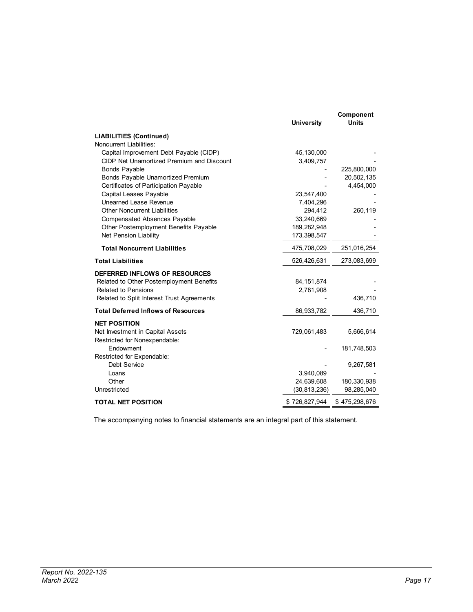|                                            | <b>University</b> | Component<br><b>Units</b> |
|--------------------------------------------|-------------------|---------------------------|
| <b>LIABILITIES (Continued)</b>             |                   |                           |
| Noncurrent Liabilities:                    |                   |                           |
| Capital Improvement Debt Payable (CIDP)    | 45,130,000        |                           |
| CIDP Net Unamortized Premium and Discount  | 3,409,757         |                           |
| <b>Bonds Payable</b>                       |                   | 225,800,000               |
| Bonds Payable Unamortized Premium          |                   | 20,502,135                |
| Certificates of Participation Payable      |                   | 4,454,000                 |
| Capital Leases Payable                     | 23,547,400        |                           |
| <b>Unearned Lease Revenue</b>              | 7,404,296         |                           |
| <b>Other Noncurrent Liabilities</b>        | 294,412           | 260,119                   |
| <b>Compensated Absences Payable</b>        | 33,240,669        |                           |
| Other Postemployment Benefits Payable      | 189,282,948       |                           |
| Net Pension Liability                      | 173,398,547       |                           |
| <b>Total Noncurrent Liabilities</b>        | 475,708,029       | 251,016,254               |
| <b>Total Liabilities</b>                   | 526,426,631       | 273,083,699               |
| DEFERRED INFLOWS OF RESOURCES              |                   |                           |
| Related to Other Postemployment Benefits   | 84, 151, 874      |                           |
| <b>Related to Pensions</b>                 | 2,781,908         |                           |
| Related to Split Interest Trust Agreements |                   | 436,710                   |
| <b>Total Deferred Inflows of Resources</b> | 86,933,782        | 436,710                   |
| <b>NET POSITION</b>                        |                   |                           |
| Net Investment in Capital Assets           | 729,061,483       | 5,666,614                 |
| Restricted for Nonexpendable:              |                   |                           |
| Endowment                                  |                   | 181,748,503               |
| Restricted for Expendable:                 |                   |                           |
| Debt Service                               |                   | 9,267,581                 |
| Loans                                      | 3,940,089         |                           |
| Other                                      | 24,639,608        | 180,330,938               |
| Unrestricted                               | (30, 813, 236)    | 98,285,040                |
| <b>TOTAL NET POSITION</b>                  | \$726,827,944     | \$475,298,676             |

The accompanying notes to financial statements are an integral part of this statement.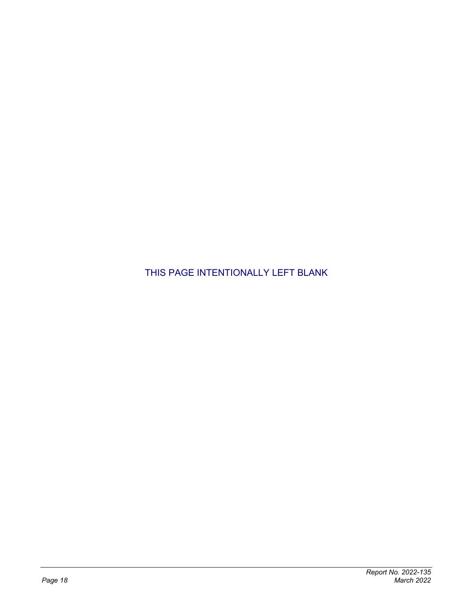THIS PAGE INTENTIONALLY LEFT BLANK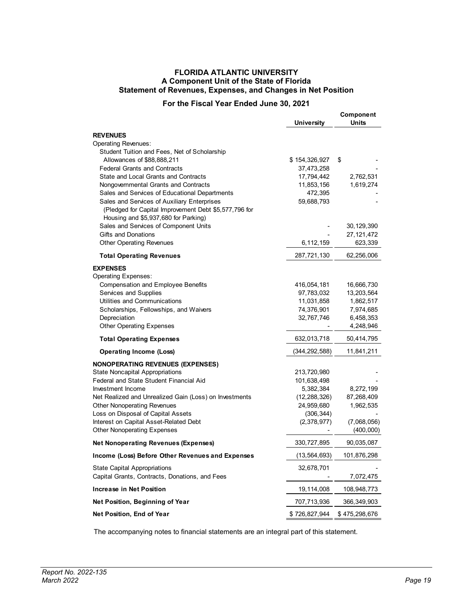#### <span id="page-22-0"></span>**FLORIDA ATLANTIC UNIVERSITY A Component Unit of the State of Florida Statement of Revenues, Expenses, and Changes in Net Position**

#### **For the Fiscal Year Ended June 30, 2021**

|                                                                                              | Component                 |                |  |
|----------------------------------------------------------------------------------------------|---------------------------|----------------|--|
|                                                                                              | <b>University</b>         | <b>Units</b>   |  |
| <b>REVENUES</b>                                                                              |                           |                |  |
| <b>Operating Revenues:</b>                                                                   |                           |                |  |
| Student Tuition and Fees, Net of Scholarship                                                 |                           |                |  |
| Allowances of \$88,888,211                                                                   | \$154,326,927             | \$             |  |
| <b>Federal Grants and Contracts</b>                                                          | 37,473,258                |                |  |
| State and Local Grants and Contracts                                                         | 17,794,442                | 2,762,531      |  |
| Nongovernmental Grants and Contracts                                                         | 11,853,156                | 1,619,274      |  |
| Sales and Services of Educational Departments                                                | 472,395                   |                |  |
| Sales and Services of Auxiliary Enterprises                                                  | 59,688,793                |                |  |
| (Pledged for Capital Improvement Debt \$5,577,796 for                                        |                           |                |  |
| Housing and \$5,937,680 for Parking)                                                         |                           |                |  |
| Sales and Services of Component Units                                                        |                           | 30, 129, 390   |  |
| Gifts and Donations                                                                          |                           | 27, 121, 472   |  |
| <b>Other Operating Revenues</b>                                                              | 6,112,159                 | 623,339        |  |
| <b>Total Operating Revenues</b>                                                              | 287,721,130               | 62,256,006     |  |
| <b>EXPENSES</b>                                                                              |                           |                |  |
| <b>Operating Expenses:</b>                                                                   |                           |                |  |
| <b>Compensation and Employee Benefits</b>                                                    | 416,054,181               | 16,666,730     |  |
| Services and Supplies                                                                        | 97,783,032                | 13,203,564     |  |
| Utilities and Communications                                                                 | 11,031,858                | 1,862,517      |  |
| Scholarships, Fellowships, and Waivers                                                       | 74,376,901                | 7,974,685      |  |
| Depreciation                                                                                 | 32,767,746                | 6,458,353      |  |
| <b>Other Operating Expenses</b>                                                              |                           | 4,248,946      |  |
| <b>Total Operating Expenses</b>                                                              | 632,013,718               | 50,414,795     |  |
| <b>Operating Income (Loss)</b>                                                               | (344, 292, 588)           | 11,841,211     |  |
|                                                                                              |                           |                |  |
| <b>NONOPERATING REVENUES (EXPENSES)</b>                                                      |                           |                |  |
| <b>State Noncapital Appropriations</b><br>Federal and State Student Financial Aid            | 213,720,980               |                |  |
|                                                                                              | 101,638,498               |                |  |
| Investment Income                                                                            | 5,382,384                 | 8,272,199      |  |
| Net Realized and Unrealized Gain (Loss) on Investments<br><b>Other Nonoperating Revenues</b> | (12, 288, 326)            | 87,268,409     |  |
|                                                                                              | 24,959,680                | 1,962,535      |  |
| Loss on Disposal of Capital Assets<br>Interest on Capital Asset-Related Debt                 | (306, 344)<br>(2,378,977) | (7,068,056)    |  |
| <b>Other Nonoperating Expenses</b>                                                           |                           | (400,000)      |  |
| <b>Net Nonoperating Revenues (Expenses)</b>                                                  | 330,727,895               | 90,035,087     |  |
| Income (Loss) Before Other Revenues and Expenses                                             | (13, 564, 693)            | 101,876,298    |  |
|                                                                                              |                           |                |  |
| <b>State Capital Appropriations</b><br>Capital Grants, Contracts, Donations, and Fees        | 32,678,701                | 7,072,475      |  |
|                                                                                              |                           |                |  |
| Increase in Net Position                                                                     | 19,114,008                | 108,948,773    |  |
| Net Position, Beginning of Year                                                              | 707,713,936               | 366, 349, 903  |  |
| Net Position, End of Year                                                                    | \$726,827,944             | \$ 475,298,676 |  |

The accompanying notes to financial statements are an integral part of this statement.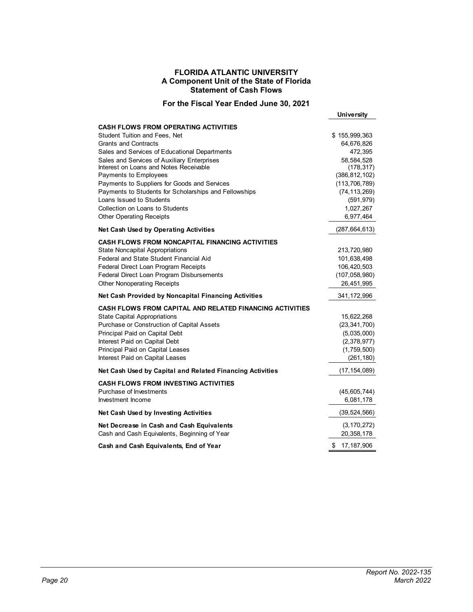#### **FLORIDA ATLANTIC UNIVERSITY A Component Unit of the State of Florida Statement of Cash Flows**

#### **For the Fiscal Year Ended June 30, 2021**

**University**

<span id="page-23-0"></span>

| <b>CASH FLOWS FROM OPERATING ACTIVITIES</b><br><b>Student Tuition and Fees, Net</b><br><b>Grants and Contracts</b><br>Sales and Services of Educational Departments<br>Sales and Services of Auxiliary Enterprises<br>Interest on Loans and Notes Receivable<br>Payments to Employees<br>Payments to Suppliers for Goods and Services<br>Payments to Students for Scholarships and Fellowships<br>Loans Issued to Students<br>Collection on Loans to Students<br><b>Other Operating Receipts</b> | \$155,999,363<br>64,676,826<br>472,395<br>58,584,528<br>(178, 317)<br>(386, 812, 102)<br>(113, 706, 789)<br>(74, 113, 269)<br>(591, 979)<br>1,027,267<br>6,977,464 |
|--------------------------------------------------------------------------------------------------------------------------------------------------------------------------------------------------------------------------------------------------------------------------------------------------------------------------------------------------------------------------------------------------------------------------------------------------------------------------------------------------|--------------------------------------------------------------------------------------------------------------------------------------------------------------------|
| <b>Net Cash Used by Operating Activities</b>                                                                                                                                                                                                                                                                                                                                                                                                                                                     | (287, 664, 613)                                                                                                                                                    |
| CASH FLOWS FROM NONCAPITAL FINANCING ACTIVITIES<br><b>State Noncapital Appropriations</b><br>Federal and State Student Financial Aid<br>Federal Direct Loan Program Receipts<br>Federal Direct Loan Program Disbursements<br><b>Other Nonoperating Receipts</b>                                                                                                                                                                                                                                  | 213,720,980<br>101,638,498<br>106,420,503<br>(107, 058, 980)<br>26,451,995                                                                                         |
| Net Cash Provided by Noncapital Financing Activities                                                                                                                                                                                                                                                                                                                                                                                                                                             | 341, 172, 996                                                                                                                                                      |
| CASH FLOWS FROM CAPITAL AND RELATED FINANCING ACTIVITIES<br><b>State Capital Appropriations</b><br>Purchase or Construction of Capital Assets<br>Principal Paid on Capital Debt<br>Interest Paid on Capital Debt<br>Principal Paid on Capital Leases<br>Interest Paid on Capital Leases                                                                                                                                                                                                          | 15,622,268<br>(23, 341, 700)<br>(5,035,000)<br>(2,378,977)<br>(1,759,500)<br>(261, 180)                                                                            |
| Net Cash Used by Capital and Related Financing Activities                                                                                                                                                                                                                                                                                                                                                                                                                                        | (17, 154, 089)                                                                                                                                                     |
| <b>CASH FLOWS FROM INVESTING ACTIVITIES</b><br>Purchase of Investments<br>Investment Income                                                                                                                                                                                                                                                                                                                                                                                                      | (45, 605, 744)<br>6,081,178                                                                                                                                        |
| Net Cash Used by Investing Activities                                                                                                                                                                                                                                                                                                                                                                                                                                                            | (39, 524, 566)                                                                                                                                                     |
| Net Decrease in Cash and Cash Equivalents<br>Cash and Cash Equivalents, Beginning of Year                                                                                                                                                                                                                                                                                                                                                                                                        | (3, 170, 272)<br>20,358,178                                                                                                                                        |
| Cash and Cash Equivalents, End of Year                                                                                                                                                                                                                                                                                                                                                                                                                                                           | 17,187,906<br>\$                                                                                                                                                   |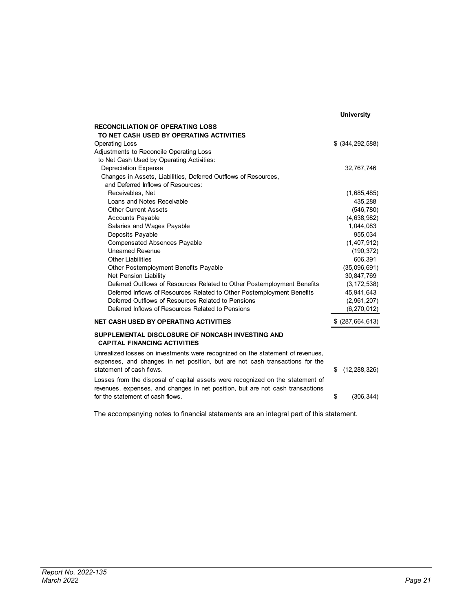|                                                                                                                                                                                                      | <b>University</b>    |
|------------------------------------------------------------------------------------------------------------------------------------------------------------------------------------------------------|----------------------|
| <b>RECONCILIATION OF OPERATING LOSS</b>                                                                                                                                                              |                      |
| TO NET CASH USED BY OPERATING ACTIVITIES                                                                                                                                                             |                      |
| <b>Operating Loss</b>                                                                                                                                                                                | \$ (344, 292, 588)   |
| Adjustments to Reconcile Operating Loss                                                                                                                                                              |                      |
| to Net Cash Used by Operating Activities:                                                                                                                                                            |                      |
| <b>Depreciation Expense</b>                                                                                                                                                                          | 32,767,746           |
| Changes in Assets, Liabilities, Deferred Outflows of Resources,                                                                                                                                      |                      |
| and Deferred Inflows of Resources:                                                                                                                                                                   |                      |
| Receivables, Net                                                                                                                                                                                     | (1,685,485)          |
| Loans and Notes Receivable                                                                                                                                                                           | 435,288              |
| <b>Other Current Assets</b>                                                                                                                                                                          | (546, 780)           |
| <b>Accounts Payable</b>                                                                                                                                                                              | (4,638,982)          |
| Salaries and Wages Payable                                                                                                                                                                           | 1,044,083            |
| Deposits Payable                                                                                                                                                                                     | 955,034              |
| <b>Compensated Absences Payable</b>                                                                                                                                                                  | (1,407,912)          |
| <b>Unearned Revenue</b>                                                                                                                                                                              | (190, 372)           |
| <b>Other Liabilities</b>                                                                                                                                                                             | 606,391              |
| Other Postemployment Benefits Payable                                                                                                                                                                | (35,096,691)         |
| <b>Net Pension Liability</b>                                                                                                                                                                         | 30,847,769           |
| Deferred Outflows of Resources Related to Other Postemployment Benefits                                                                                                                              | (3, 172, 538)        |
| Deferred Inflows of Resources Related to Other Postemployment Benefits                                                                                                                               | 45,941,643           |
| Deferred Outflows of Resources Related to Pensions                                                                                                                                                   | (2,961,207)          |
| Deferred Inflows of Resources Related to Pensions                                                                                                                                                    | (6,270,012)          |
| <b>NET CASH USED BY OPERATING ACTIVITIES</b>                                                                                                                                                         | \$ (287,664,613)     |
| SUPPLEMENTAL DISCLOSURE OF NONCASH INVESTING AND<br><b>CAPITAL FINANCING ACTIVITIES</b>                                                                                                              |                      |
| Unrealized losses on investments were recognized on the statement of revenues,<br>expenses, and changes in net position, but are not cash transactions for the<br>statement of cash flows.           | \$<br>(12, 288, 326) |
| Losses from the disposal of capital assets were recognized on the statement of<br>revenues, expenses, and changes in net position, but are not cash transactions<br>for the statement of cash flows. |                      |
|                                                                                                                                                                                                      | \$<br>(306, 344)     |

The accompanying notes to financial statements are an integral part of this statement.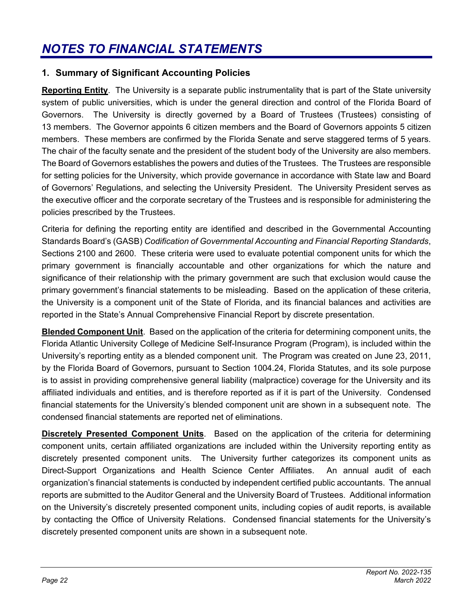# <span id="page-25-0"></span>*NOTES TO FINANCIAL STATEMENTS*

#### **1. Summary of Significant Accounting Policies**

**Reporting Entity**. The University is a separate public instrumentality that is part of the State university system of public universities, which is under the general direction and control of the Florida Board of Governors. The University is directly governed by a Board of Trustees (Trustees) consisting of 13 members. The Governor appoints 6 citizen members and the Board of Governors appoints 5 citizen members. These members are confirmed by the Florida Senate and serve staggered terms of 5 years. The chair of the faculty senate and the president of the student body of the University are also members. The Board of Governors establishes the powers and duties of the Trustees. The Trustees are responsible for setting policies for the University, which provide governance in accordance with State law and Board of Governors' Regulations, and selecting the University President. The University President serves as the executive officer and the corporate secretary of the Trustees and is responsible for administering the policies prescribed by the Trustees.

Criteria for defining the reporting entity are identified and described in the Governmental Accounting Standards Board's (GASB) *Codification of Governmental Accounting and Financial Reporting Standards*, Sections 2100 and 2600. These criteria were used to evaluate potential component units for which the primary government is financially accountable and other organizations for which the nature and significance of their relationship with the primary government are such that exclusion would cause the primary government's financial statements to be misleading. Based on the application of these criteria, the University is a component unit of the State of Florida, and its financial balances and activities are reported in the State's Annual Comprehensive Financial Report by discrete presentation.

**Blended Component Unit**. Based on the application of the criteria for determining component units, the Florida Atlantic University College of Medicine Self-Insurance Program (Program), is included within the University's reporting entity as a blended component unit. The Program was created on June 23, 2011, by the Florida Board of Governors, pursuant to Section 1004.24, Florida Statutes, and its sole purpose is to assist in providing comprehensive general liability (malpractice) coverage for the University and its affiliated individuals and entities, and is therefore reported as if it is part of the University. Condensed financial statements for the University's blended component unit are shown in a subsequent note. The condensed financial statements are reported net of eliminations.

**Discretely Presented Component Units**. Based on the application of the criteria for determining component units, certain affiliated organizations are included within the University reporting entity as discretely presented component units. The University further categorizes its component units as Direct-Support Organizations and Health Science Center Affiliates. An annual audit of each organization's financial statements is conducted by independent certified public accountants. The annual reports are submitted to the Auditor General and the University Board of Trustees. Additional information on the University's discretely presented component units, including copies of audit reports, is available by contacting the Office of University Relations. Condensed financial statements for the University's discretely presented component units are shown in a subsequent note.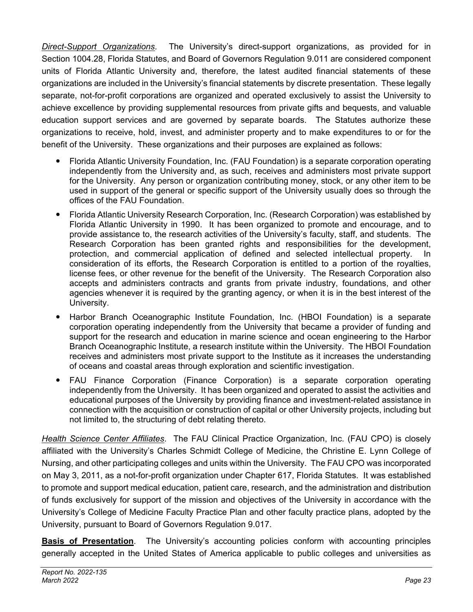*Direct-Support Organizations*. The University's direct-support organizations, as provided for in Section 1004.28, Florida Statutes, and Board of Governors Regulation 9.011 are considered component units of Florida Atlantic University and, therefore, the latest audited financial statements of these organizations are included in the University's financial statements by discrete presentation. These legally separate, not-for-profit corporations are organized and operated exclusively to assist the University to achieve excellence by providing supplemental resources from private gifts and bequests, and valuable education support services and are governed by separate boards. The Statutes authorize these organizations to receive, hold, invest, and administer property and to make expenditures to or for the benefit of the University. These organizations and their purposes are explained as follows:

- Florida Atlantic University Foundation, Inc. (FAU Foundation) is a separate corporation operating independently from the University and, as such, receives and administers most private support for the University. Any person or organization contributing money, stock, or any other item to be used in support of the general or specific support of the University usually does so through the offices of the FAU Foundation.
- Florida Atlantic University Research Corporation, Inc. (Research Corporation) was established by Florida Atlantic University in 1990. It has been organized to promote and encourage, and to provide assistance to, the research activities of the University's faculty, staff, and students. The Research Corporation has been granted rights and responsibilities for the development, protection, and commercial application of defined and selected intellectual property. In consideration of its efforts, the Research Corporation is entitled to a portion of the royalties, license fees, or other revenue for the benefit of the University. The Research Corporation also accepts and administers contracts and grants from private industry, foundations, and other agencies whenever it is required by the granting agency, or when it is in the best interest of the University.
- Harbor Branch Oceanographic Institute Foundation, Inc. (HBOI Foundation) is a separate corporation operating independently from the University that became a provider of funding and support for the research and education in marine science and ocean engineering to the Harbor Branch Oceanographic Institute, a research institute within the University. The HBOI Foundation receives and administers most private support to the Institute as it increases the understanding of oceans and coastal areas through exploration and scientific investigation.
- FAU Finance Corporation (Finance Corporation) is a separate corporation operating independently from the University. It has been organized and operated to assist the activities and educational purposes of the University by providing finance and investment-related assistance in connection with the acquisition or construction of capital or other University projects, including but not limited to, the structuring of debt relating thereto.

*Health Science Center Affiliates*. The FAU Clinical Practice Organization, Inc. (FAU CPO) is closely affiliated with the University's Charles Schmidt College of Medicine, the Christine E. Lynn College of Nursing, and other participating colleges and units within the University. The FAU CPO was incorporated on May 3, 2011, as a not-for-profit organization under Chapter 617, Florida Statutes. It was established to promote and support medical education, patient care, research, and the administration and distribution of funds exclusively for support of the mission and objectives of the University in accordance with the University's College of Medicine Faculty Practice Plan and other faculty practice plans, adopted by the University, pursuant to Board of Governors Regulation 9.017.

**Basis of Presentation**. The University's accounting policies conform with accounting principles generally accepted in the United States of America applicable to public colleges and universities as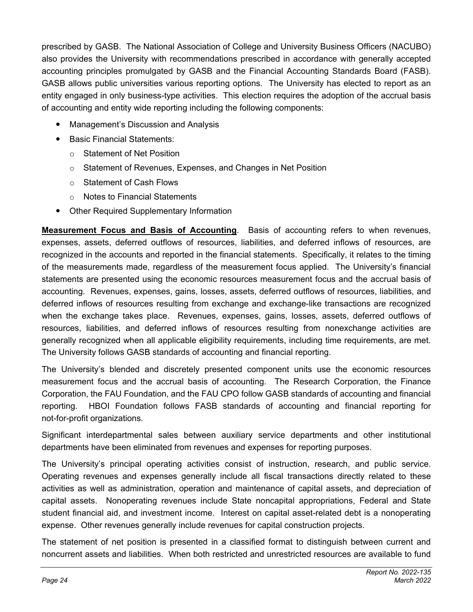prescribed by GASB. The National Association of College and University Business Officers (NACUBO) also provides the University with recommendations prescribed in accordance with generally accepted accounting principles promulgated by GASB and the Financial Accounting Standards Board (FASB). GASB allows public universities various reporting options. The University has elected to report as an entity engaged in only business-type activities. This election requires the adoption of the accrual basis of accounting and entity wide reporting including the following components:

- Management's Discussion and Analysis
- Basic Financial Statements:
	- o Statement of Net Position
	- o Statement of Revenues, Expenses, and Changes in Net Position
	- o Statement of Cash Flows
	- o Notes to Financial Statements
- Other Required Supplementary Information

**Measurement Focus and Basis of Accounting**. Basis of accounting refers to when revenues, expenses, assets, deferred outflows of resources, liabilities, and deferred inflows of resources, are recognized in the accounts and reported in the financial statements. Specifically, it relates to the timing of the measurements made, regardless of the measurement focus applied. The University's financial statements are presented using the economic resources measurement focus and the accrual basis of accounting. Revenues, expenses, gains, losses, assets, deferred outflows of resources, liabilities, and deferred inflows of resources resulting from exchange and exchange-like transactions are recognized when the exchange takes place. Revenues, expenses, gains, losses, assets, deferred outflows of resources, liabilities, and deferred inflows of resources resulting from nonexchange activities are generally recognized when all applicable eligibility requirements, including time requirements, are met. The University follows GASB standards of accounting and financial reporting.

The University's blended and discretely presented component units use the economic resources measurement focus and the accrual basis of accounting. The Research Corporation, the Finance Corporation, the FAU Foundation, and the FAU CPO follow GASB standards of accounting and financial reporting. HBOI Foundation follows FASB standards of accounting and financial reporting for not-for-profit organizations.

Significant interdepartmental sales between auxiliary service departments and other institutional departments have been eliminated from revenues and expenses for reporting purposes.

The University's principal operating activities consist of instruction, research, and public service. Operating revenues and expenses generally include all fiscal transactions directly related to these activities as well as administration, operation and maintenance of capital assets, and depreciation of capital assets. Nonoperating revenues include State noncapital appropriations, Federal and State student financial aid, and investment income. Interest on capital asset-related debt is a nonoperating expense. Other revenues generally include revenues for capital construction projects.

The statement of net position is presented in a classified format to distinguish between current and noncurrent assets and liabilities. When both restricted and unrestricted resources are available to fund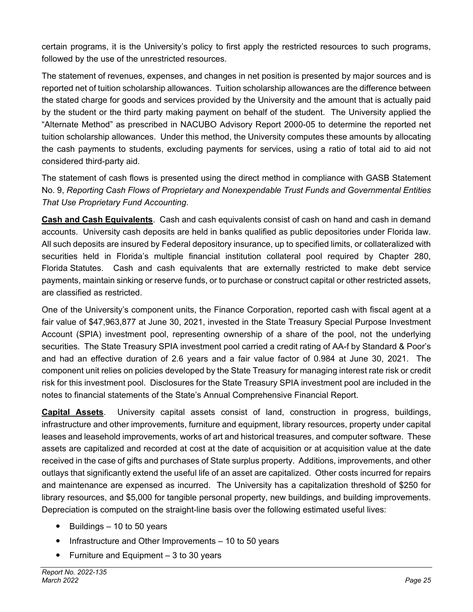certain programs, it is the University's policy to first apply the restricted resources to such programs, followed by the use of the unrestricted resources.

The statement of revenues, expenses, and changes in net position is presented by major sources and is reported net of tuition scholarship allowances. Tuition scholarship allowances are the difference between the stated charge for goods and services provided by the University and the amount that is actually paid by the student or the third party making payment on behalf of the student. The University applied the "Alternate Method" as prescribed in NACUBO Advisory Report 2000-05 to determine the reported net tuition scholarship allowances. Under this method, the University computes these amounts by allocating the cash payments to students, excluding payments for services, using a ratio of total aid to aid not considered third-party aid.

The statement of cash flows is presented using the direct method in compliance with GASB Statement No. 9, *Reporting Cash Flows of Proprietary and Nonexpendable Trust Funds and Governmental Entities That Use Proprietary Fund Accounting*.

**Cash and Cash Equivalents**. Cash and cash equivalents consist of cash on hand and cash in demand accounts. University cash deposits are held in banks qualified as public depositories under Florida law. All such deposits are insured by Federal depository insurance, up to specified limits, or collateralized with securities held in Florida's multiple financial institution collateral pool required by Chapter 280, Florida Statutes. Cash and cash equivalents that are externally restricted to make debt service payments, maintain sinking or reserve funds, or to purchase or construct capital or other restricted assets, are classified as restricted.

One of the University's component units, the Finance Corporation, reported cash with fiscal agent at a fair value of \$47,963,877 at June 30, 2021, invested in the State Treasury Special Purpose Investment Account (SPIA) investment pool, representing ownership of a share of the pool, not the underlying securities. The State Treasury SPIA investment pool carried a credit rating of AA-f by Standard & Poor's and had an effective duration of 2.6 years and a fair value factor of 0.984 at June 30, 2021. The component unit relies on policies developed by the State Treasury for managing interest rate risk or credit risk for this investment pool. Disclosures for the State Treasury SPIA investment pool are included in the notes to financial statements of the State's Annual Comprehensive Financial Report.

**Capital Assets**. University capital assets consist of land, construction in progress, buildings, infrastructure and other improvements, furniture and equipment, library resources, property under capital leases and leasehold improvements, works of art and historical treasures, and computer software. These assets are capitalized and recorded at cost at the date of acquisition or at acquisition value at the date received in the case of gifts and purchases of State surplus property. Additions, improvements, and other outlays that significantly extend the useful life of an asset are capitalized. Other costs incurred for repairs and maintenance are expensed as incurred. The University has a capitalization threshold of \$250 for library resources, and \$5,000 for tangible personal property, new buildings, and building improvements. Depreciation is computed on the straight-line basis over the following estimated useful lives:

- $\bullet$  Buildings 10 to 50 years
- $\bullet$  Infrastructure and Other Improvements  $-10$  to 50 years
- Furniture and Equipment 3 to 30 years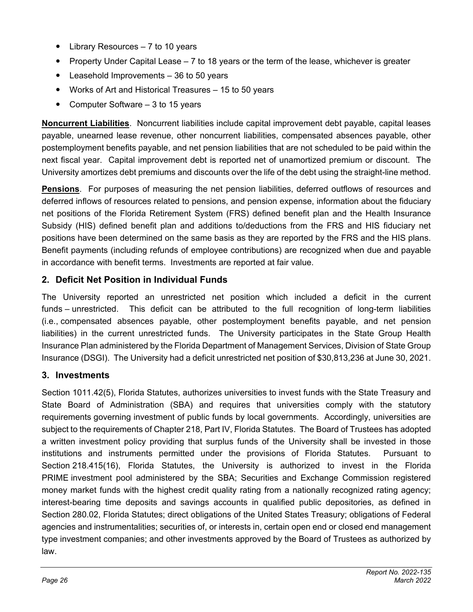- Library Resources 7 to 10 years
- Property Under Capital Lease  $-7$  to 18 years or the term of the lease, whichever is greater
- Leasehold Improvements 36 to 50 years
- Works of Art and Historical Treasures 15 to 50 years
- Computer Software  $-3$  to 15 years

**Noncurrent Liabilities**. Noncurrent liabilities include capital improvement debt payable, capital leases payable, unearned lease revenue, other noncurrent liabilities, compensated absences payable, other postemployment benefits payable, and net pension liabilities that are not scheduled to be paid within the next fiscal year. Capital improvement debt is reported net of unamortized premium or discount. The University amortizes debt premiums and discounts over the life of the debt using the straight-line method.

**Pensions**. For purposes of measuring the net pension liabilities, deferred outflows of resources and deferred inflows of resources related to pensions, and pension expense, information about the fiduciary net positions of the Florida Retirement System (FRS) defined benefit plan and the Health Insurance Subsidy (HIS) defined benefit plan and additions to/deductions from the FRS and HIS fiduciary net positions have been determined on the same basis as they are reported by the FRS and the HIS plans. Benefit payments (including refunds of employee contributions) are recognized when due and payable in accordance with benefit terms. Investments are reported at fair value.

# **2. Deficit Net Position in Individual Funds**

The University reported an unrestricted net position which included a deficit in the current funds – unrestricted. This deficit can be attributed to the full recognition of long-term liabilities (i.e., compensated absences payable, other postemployment benefits payable, and net pension liabilities) in the current unrestricted funds. The University participates in the State Group Health Insurance Plan administered by the Florida Department of Management Services, Division of State Group Insurance (DSGI). The University had a deficit unrestricted net position of \$30,813,236 at June 30, 2021.

# **3. Investments**

Section 1011.42(5), Florida Statutes, authorizes universities to invest funds with the State Treasury and State Board of Administration (SBA) and requires that universities comply with the statutory requirements governing investment of public funds by local governments. Accordingly, universities are subject to the requirements of Chapter 218, Part IV, Florida Statutes. The Board of Trustees has adopted a written investment policy providing that surplus funds of the University shall be invested in those institutions and instruments permitted under the provisions of Florida Statutes. Pursuant to Section 218.415(16), Florida Statutes, the University is authorized to invest in the Florida PRIME investment pool administered by the SBA; Securities and Exchange Commission registered money market funds with the highest credit quality rating from a nationally recognized rating agency; interest-bearing time deposits and savings accounts in qualified public depositories, as defined in Section 280.02, Florida Statutes; direct obligations of the United States Treasury; obligations of Federal agencies and instrumentalities; securities of, or interests in, certain open end or closed end management type investment companies; and other investments approved by the Board of Trustees as authorized by law.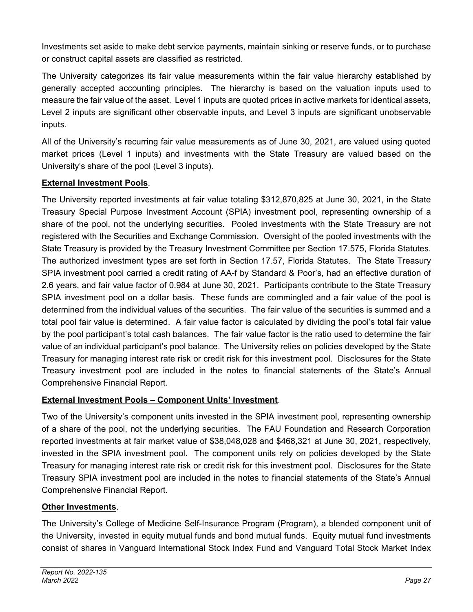Investments set aside to make debt service payments, maintain sinking or reserve funds, or to purchase or construct capital assets are classified as restricted.

The University categorizes its fair value measurements within the fair value hierarchy established by generally accepted accounting principles. The hierarchy is based on the valuation inputs used to measure the fair value of the asset. Level 1 inputs are quoted prices in active markets for identical assets, Level 2 inputs are significant other observable inputs, and Level 3 inputs are significant unobservable inputs.

All of the University's recurring fair value measurements as of June 30, 2021, are valued using quoted market prices (Level 1 inputs) and investments with the State Treasury are valued based on the University's share of the pool (Level 3 inputs).

## **External Investment Pools**.

The University reported investments at fair value totaling \$312,870,825 at June 30, 2021, in the State Treasury Special Purpose Investment Account (SPIA) investment pool, representing ownership of a share of the pool, not the underlying securities. Pooled investments with the State Treasury are not registered with the Securities and Exchange Commission. Oversight of the pooled investments with the State Treasury is provided by the Treasury Investment Committee per Section 17.575, Florida Statutes. The authorized investment types are set forth in Section 17.57, Florida Statutes. The State Treasury SPIA investment pool carried a credit rating of AA-f by Standard & Poor's, had an effective duration of 2.6 years, and fair value factor of 0.984 at June 30, 2021. Participants contribute to the State Treasury SPIA investment pool on a dollar basis. These funds are commingled and a fair value of the pool is determined from the individual values of the securities. The fair value of the securities is summed and a total pool fair value is determined. A fair value factor is calculated by dividing the pool's total fair value by the pool participant's total cash balances. The fair value factor is the ratio used to determine the fair value of an individual participant's pool balance. The University relies on policies developed by the State Treasury for managing interest rate risk or credit risk for this investment pool. Disclosures for the State Treasury investment pool are included in the notes to financial statements of the State's Annual Comprehensive Financial Report.

# **External Investment Pools – Component Units' Investment**.

Two of the University's component units invested in the SPIA investment pool, representing ownership of a share of the pool, not the underlying securities. The FAU Foundation and Research Corporation reported investments at fair market value of \$38,048,028 and \$468,321 at June 30, 2021, respectively, invested in the SPIA investment pool. The component units rely on policies developed by the State Treasury for managing interest rate risk or credit risk for this investment pool. Disclosures for the State Treasury SPIA investment pool are included in the notes to financial statements of the State's Annual Comprehensive Financial Report.

# **Other Investments**.

The University's College of Medicine Self-Insurance Program (Program), a blended component unit of the University, invested in equity mutual funds and bond mutual funds. Equity mutual fund investments consist of shares in Vanguard International Stock Index Fund and Vanguard Total Stock Market Index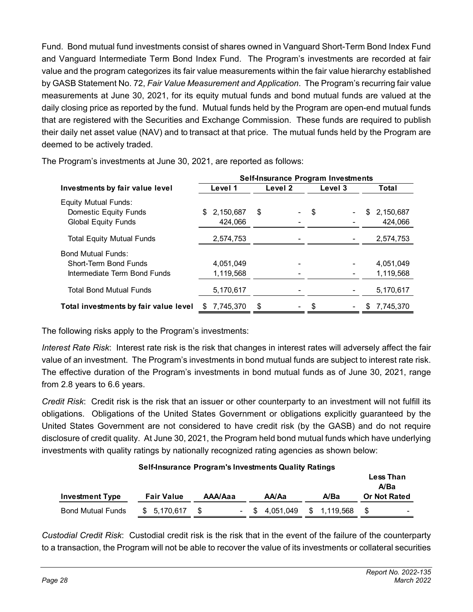Fund. Bond mutual fund investments consist of shares owned in Vanguard Short-Term Bond Index Fund and Vanguard Intermediate Term Bond Index Fund. The Program's investments are recorded at fair value and the program categorizes its fair value measurements within the fair value hierarchy established by GASB Statement No. 72, *Fair Value Measurement and Application*. The Program's recurring fair value measurements at June 30, 2021, for its equity mutual funds and bond mutual funds are valued at the daily closing price as reported by the fund. Mutual funds held by the Program are open-end mutual funds that are registered with the Securities and Exchange Commission. These funds are required to publish their daily net asset value (NAV) and to transact at that price. The mutual funds held by the Program are deemed to be actively traded.

|                                       | Self-Insurance Program Investments |         |         |                 |  |  |  |
|---------------------------------------|------------------------------------|---------|---------|-----------------|--|--|--|
| Investments by fair value level       | Level 1                            | Level 2 | Level 3 | Total           |  |  |  |
| <b>Equity Mutual Funds:</b>           |                                    |         |         |                 |  |  |  |
| Domestic Equity Funds                 | 2,150,687<br>S.                    | \$      | \$      | 2,150,687<br>\$ |  |  |  |
| <b>Global Equity Funds</b>            | 424,066                            |         |         | 424,066         |  |  |  |
| <b>Total Equity Mutual Funds</b>      | 2,574,753                          |         |         | 2,574,753       |  |  |  |
| <b>Bond Mutual Funds:</b>             |                                    |         |         |                 |  |  |  |
| Short-Term Bond Funds                 | 4,051,049                          |         | ۰       | 4,051,049       |  |  |  |
| Intermediate Term Bond Funds          | 1,119,568                          |         |         | 1,119,568       |  |  |  |
| <b>Total Bond Mutual Funds</b>        | 5,170,617                          |         |         | 5,170,617       |  |  |  |
| Total investments by fair value level | 7,745,370<br>S                     | \$      |         | 7,745,370<br>S  |  |  |  |

The Program's investments at June 30, 2021, are reported as follows:

The following risks apply to the Program's investments:

*Interest Rate Risk*: Interest rate risk is the risk that changes in interest rates will adversely affect the fair value of an investment. The Program's investments in bond mutual funds are subject to interest rate risk. The effective duration of the Program's investments in bond mutual funds as of June 30, 2021, range from 2.8 years to 6.6 years.

*Credit Risk*: Credit risk is the risk that an issuer or other counterparty to an investment will not fulfill its obligations. Obligations of the United States Government or obligations explicitly guaranteed by the United States Government are not considered to have credit risk (by the GASB) and do not require disclosure of credit quality. At June 30, 2021, the Program held bond mutual funds which have underlying investments with quality ratings by nationally recognized rating agencies as shown below:

| <b>Investment Type</b>   | <u>och modianoc i rogram o mivodinonto waanti ratingo</u><br><b>Fair Value</b> | AAA/Aaa | AA/Aa            | A/Ba        | <b>Less Than</b><br>A/Ba<br><b>Or Not Rated</b> |
|--------------------------|--------------------------------------------------------------------------------|---------|------------------|-------------|-------------------------------------------------|
| <b>Bond Mutual Funds</b> | \$ 5,170,617                                                                   | £.      | $-$ \$ 4.051.049 | \$1,119,568 | -                                               |

**Self-Insurance Program's Investments Quality Ratings**

*Custodial Credit Risk*: Custodial credit risk is the risk that in the event of the failure of the counterparty to a transaction, the Program will not be able to recover the value of its investments or collateral securities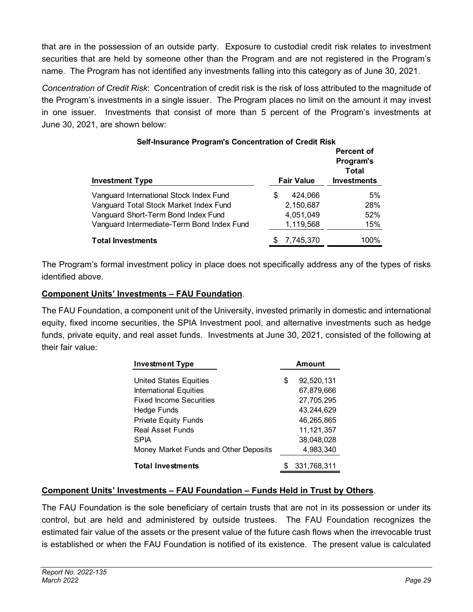that are in the possession of an outside party. Exposure to custodial credit risk relates to investment securities that are held by someone other than the Program and are not registered in the Program's name. The Program has not identified any investments falling into this category as of June 30, 2021.

*Concentration of Credit Risk*: Concentration of credit risk is the risk of loss attributed to the magnitude of the Program's investments in a single issuer. The Program places no limit on the amount it may invest in one issuer. Investments that consist of more than 5 percent of the Program's investments at June 30, 2021, are shown below:

|                                            |   |                   | <b>Percent of</b><br>Program's<br>Total |
|--------------------------------------------|---|-------------------|-----------------------------------------|
| <b>Investment Type</b>                     |   | <b>Fair Value</b> | <b>Investments</b>                      |
| Vanguard International Stock Index Fund    | S | 424,066           | 5%                                      |
| Vanguard Total Stock Market Index Fund     |   | 2,150,687         | 28%                                     |
| Vanguard Short-Term Bond Index Fund        |   | 4,051,049         | 52%                                     |
| Vanguard Intermediate-Term Bond Index Fund |   | 1,119,568         | 15%                                     |
| <b>Total Investments</b>                   |   | 7,745,370         | 100%                                    |

### **Self-Insurance Program's Concentration of Credit Risk**

The Program's formal investment policy in place does not specifically address any of the types of risks identified above.

#### **Component Units' Investments – FAU Foundation**.

The FAU Foundation, a component unit of the University, invested primarily in domestic and international equity, fixed income securities, the SPIA Investment pool, and alternative investments such as hedge funds, private equity, and real asset funds. Investments at June 30, 2021, consisted of the following at their fair value:

| <b>Investment Type</b>                |    | <b>Amount</b> |
|---------------------------------------|----|---------------|
| <b>United States Equities</b>         | \$ | 92,520,131    |
| <b>International Equities</b>         |    | 67,879,666    |
| <b>Fixed Income Securities</b>        |    | 27,705,295    |
| Hedge Funds                           |    | 43,244,629    |
| <b>Private Equity Funds</b>           |    | 46,265,865    |
| <b>Real Asset Funds</b>               |    | 11, 121, 357  |
| <b>SPIA</b>                           |    | 38,048,028    |
| Money Market Funds and Other Deposits |    | 4,983,340     |
| <b>Total Investments</b>              |    | 331,768,311   |

#### **Component Units' Investments – FAU Foundation – Funds Held in Trust by Others**.

The FAU Foundation is the sole beneficiary of certain trusts that are not in its possession or under its control, but are held and administered by outside trustees. The FAU Foundation recognizes the estimated fair value of the assets or the present value of the future cash flows when the irrevocable trust is established or when the FAU Foundation is notified of its existence. The present value is calculated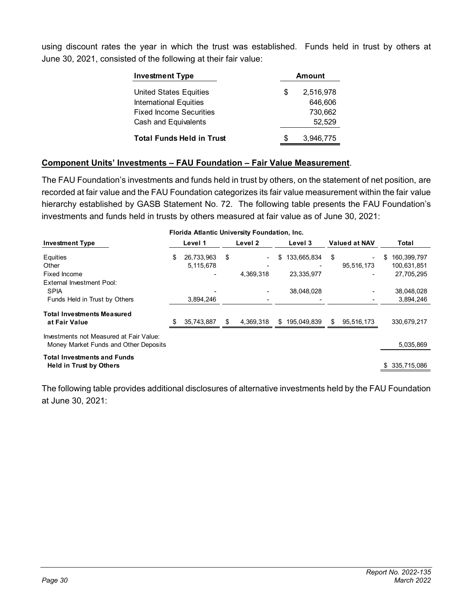using discount rates the year in which the trust was established. Funds held in trust by others at June 30, 2021, consisted of the following at their fair value:

| <b>Investment Type</b>           | Amount |           |  |
|----------------------------------|--------|-----------|--|
| <b>United States Equities</b>    | S      | 2,516,978 |  |
| <b>International Equities</b>    |        | 646,606   |  |
| <b>Fixed Income Securities</b>   |        | 730,662   |  |
| Cash and Equivalents             |        | 52,529    |  |
| <b>Total Funds Held in Trust</b> | S      | 3.946.775 |  |

#### **Component Units' Investments – FAU Foundation – Fair Value Measurement**.

The FAU Foundation's investments and funds held in trust by others, on the statement of net position, are recorded at fair value and the FAU Foundation categorizes its fair value measurement within the fair value hierarchy established by GASB Statement No. 72. The following table presents the FAU Foundation's investments and funds held in trusts by others measured at fair value as of June 30, 2021:

| Florida Atlantic University Foundation, Inc.                                     |    |            |    |                          |                  |     |                      |               |
|----------------------------------------------------------------------------------|----|------------|----|--------------------------|------------------|-----|----------------------|---------------|
| <b>Investment Type</b>                                                           |    | Level 1    |    | Level 2                  | Level 3          |     | <b>Valued at NAV</b> | Total         |
| Equities                                                                         | \$ | 26,733,963 | \$ | $\overline{\phantom{a}}$ | 133,665,834<br>S | \$  | $\blacksquare$       | 160,399,797   |
| Other                                                                            |    | 5,115,678  |    | $\overline{\phantom{0}}$ | ۰                |     | 95,516,173           | 100,631,851   |
| <b>Fixed Income</b>                                                              |    |            |    | 4,369,318                | 23,335,977       |     |                      | 27,705,295    |
| External Investment Pool:                                                        |    |            |    |                          |                  |     |                      |               |
| <b>SPIA</b>                                                                      |    |            |    |                          | 38,048,028       |     |                      | 38,048,028    |
| Funds Held in Trust by Others                                                    |    | 3,894,246  |    |                          |                  |     |                      | 3,894,246     |
| <b>Total Investments Measured</b><br>at Fair Value                               | \$ | 35,743,887 |    | 4.369.318                | 195.049.839<br>S | \$. | 95,516,173           | 330,679,217   |
| Investments not Measured at Fair Value:<br>Money Market Funds and Other Deposits |    |            |    |                          |                  |     |                      | 5,035,869     |
| <b>Total Investments and Funds</b><br><b>Held in Trust by Others</b>             |    |            |    |                          |                  |     |                      | \$335,715,086 |

The following table provides additional disclosures of alternative investments held by the FAU Foundation at June 30, 2021: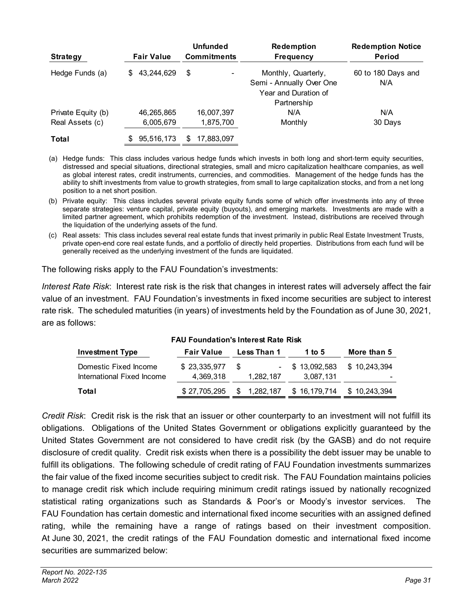| <b>Strategy</b>                       | <b>Fair Value</b>       | <b>Unfunded</b><br><b>Commitments</b> | <b>Redemption</b><br><b>Frequency</b>                                                  | <b>Redemption Notice</b><br><b>Period</b> |
|---------------------------------------|-------------------------|---------------------------------------|----------------------------------------------------------------------------------------|-------------------------------------------|
| Hedge Funds (a)                       | 43.244.629<br>S.        | S<br>۰                                | Monthly, Quarterly,<br>Semi - Annually Over One<br>Year and Duration of<br>Partnership | 60 to 180 Days and<br>N/A                 |
| Private Equity (b)<br>Real Assets (c) | 46,265,865<br>6,005,679 | 16,007,397<br>1,875,700               | N/A<br>Monthly                                                                         | N/A<br>30 Days                            |
| Total                                 | 95,516,173              | 17,883,097                            |                                                                                        |                                           |

- (a) Hedge funds: This class includes various hedge funds which invests in both long and short-term equity securities, distressed and special situations, directional strategies, small and micro capitalization healthcare companies, as well as global interest rates, credit instruments, currencies, and commodities. Management of the hedge funds has the ability to shift investments from value to growth strategies, from small to large capitalization stocks, and from a net long position to a net short position.
- (b) Private equity: This class includes several private equity funds some of which offer investments into any of three separate strategies: venture capital, private equity (buyouts), and emerging markets. Investments are made with a limited partner agreement, which prohibits redemption of the investment. Instead, distributions are received through the liquidation of the underlying assets of the fund.
- (c) Real assets: This class includes several real estate funds that invest primarily in public Real Estate Investment Trusts, private open-end core real estate funds, and a portfolio of directly held properties. Distributions from each fund will be generally received as the underlying investment of the funds are liquidated.

The following risks apply to the FAU Foundation's investments:

*Interest Rate Risk*: Interest rate risk is the risk that changes in interest rates will adversely affect the fair value of an investment. FAU Foundation's investments in fixed income securities are subject to interest rate risk. The scheduled maturities (in years) of investments held by the Foundation as of June 30, 2021, are as follows:

| TAU TUUNUGUUN SINGIGSLIVALG IYISA                   |                           |                  |                                |                   |  |  |  |  |
|-----------------------------------------------------|---------------------------|------------------|--------------------------------|-------------------|--|--|--|--|
| <b>Investment Type</b>                              | <b>Fair Value</b>         | Less Than 1      | 1 to 5                         | More than 5       |  |  |  |  |
| Domestic Fixed Income<br>International Fixed Income | \$23,335,977<br>4.369.318 | \$.<br>1.282.187 | $-$ \$ 13.092.583<br>3.087.131 | \$10.243.394<br>- |  |  |  |  |
| Total                                               | \$27,705,295              | 1.282.187<br>S.  | \$16.179.714                   | \$10,243,394      |  |  |  |  |

#### **FAU Foundation's Interest Rate Risk**

*Credit Risk*: Credit risk is the risk that an issuer or other counterparty to an investment will not fulfill its obligations. Obligations of the United States Government or obligations explicitly guaranteed by the United States Government are not considered to have credit risk (by the GASB) and do not require disclosure of credit quality. Credit risk exists when there is a possibility the debt issuer may be unable to fulfill its obligations. The following schedule of credit rating of FAU Foundation investments summarizes the fair value of the fixed income securities subject to credit risk. The FAU Foundation maintains policies to manage credit risk which include requiring minimum credit ratings issued by nationally recognized statistical rating organizations such as Standards & Poor's or Moody's investor services. The FAU Foundation has certain domestic and international fixed income securities with an assigned defined rating, while the remaining have a range of ratings based on their investment composition. At June 30, 2021, the credit ratings of the FAU Foundation domestic and international fixed income securities are summarized below: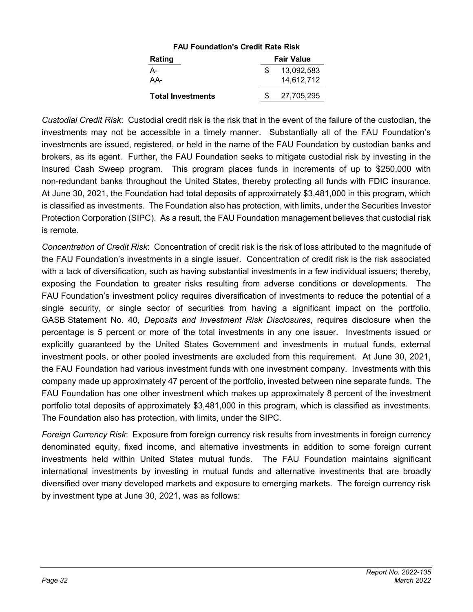| <b>FAU Foundation's Credit Rate Risk</b> |                   |            |
|------------------------------------------|-------------------|------------|
| Rating                                   | <b>Fair Value</b> |            |
| А-                                       | \$.               | 13,092,583 |
| AA-                                      |                   | 14.612.712 |
| <b>Total Investments</b>                 | \$.               | 27,705,295 |

*Custodial Credit Risk*: Custodial credit risk is the risk that in the event of the failure of the custodian, the investments may not be accessible in a timely manner. Substantially all of the FAU Foundation's investments are issued, registered, or held in the name of the FAU Foundation by custodian banks and brokers, as its agent. Further, the FAU Foundation seeks to mitigate custodial risk by investing in the Insured Cash Sweep program. This program places funds in increments of up to \$250,000 with non-redundant banks throughout the United States, thereby protecting all funds with FDIC insurance. At June 30, 2021, the Foundation had total deposits of approximately \$3,481,000 in this program, which is classified as investments. The Foundation also has protection, with limits, under the Securities Investor Protection Corporation (SIPC). As a result, the FAU Foundation management believes that custodial risk is remote.

*Concentration of Credit Risk*: Concentration of credit risk is the risk of loss attributed to the magnitude of the FAU Foundation's investments in a single issuer. Concentration of credit risk is the risk associated with a lack of diversification, such as having substantial investments in a few individual issuers; thereby, exposing the Foundation to greater risks resulting from adverse conditions or developments. The FAU Foundation's investment policy requires diversification of investments to reduce the potential of a single security, or single sector of securities from having a significant impact on the portfolio. GASB Statement No. 40, *Deposits and Investment Risk Disclosures*, requires disclosure when the percentage is 5 percent or more of the total investments in any one issuer. Investments issued or explicitly guaranteed by the United States Government and investments in mutual funds, external investment pools, or other pooled investments are excluded from this requirement. At June 30, 2021, the FAU Foundation had various investment funds with one investment company. Investments with this company made up approximately 47 percent of the portfolio, invested between nine separate funds. The FAU Foundation has one other investment which makes up approximately 8 percent of the investment portfolio total deposits of approximately \$3,481,000 in this program, which is classified as investments. The Foundation also has protection, with limits, under the SIPC.

*Foreign Currency Risk*: Exposure from foreign currency risk results from investments in foreign currency denominated equity, fixed income, and alternative investments in addition to some foreign current investments held within United States mutual funds. The FAU Foundation maintains significant international investments by investing in mutual funds and alternative investments that are broadly diversified over many developed markets and exposure to emerging markets. The foreign currency risk by investment type at June 30, 2021, was as follows: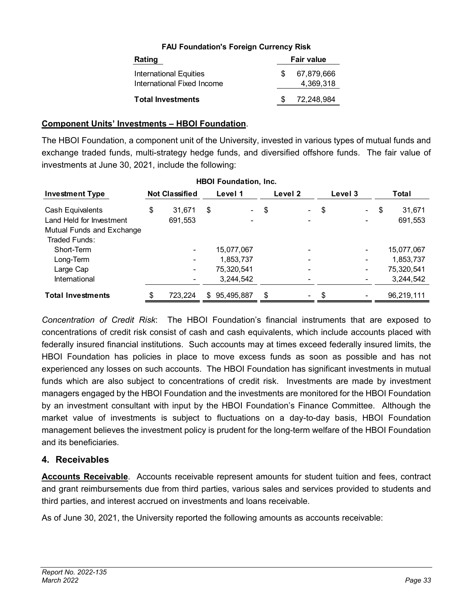| <b>FAU Foundation's Foreign Currency Risk</b>        |                   |                         |  |  |  |  |
|------------------------------------------------------|-------------------|-------------------------|--|--|--|--|
| Rating                                               | <b>Fair value</b> |                         |  |  |  |  |
| International Equities<br>International Fixed Income |                   | 67,879,666<br>4,369,318 |  |  |  |  |
| <b>Total Investments</b>                             |                   | 72,248,984              |  |  |  |  |

#### **Component Units' Investments – HBOI Foundation**.

The HBOI Foundation, a component unit of the University, invested in various types of mutual funds and exchange traded funds, multi-strategy hedge funds, and diversified offshore funds. The fair value of investments at June 30, 2021, include the following:

| <b>HBOI Foundation, Inc.</b>                                                               |    |                       |     |                 |    |         |    |                                    |     |                   |
|--------------------------------------------------------------------------------------------|----|-----------------------|-----|-----------------|----|---------|----|------------------------------------|-----|-------------------|
| <b>Investment Type</b>                                                                     |    | <b>Not Classified</b> |     | Level 1         |    | Level 2 |    | Level 3                            |     | Total             |
| Cash Equivalents<br>Land Held for Investment<br>Mutual Funds and Exchange<br>Traded Funds: | \$ | 31.671<br>691,553     | \$  | $\sim$ $-$<br>٠ | \$ | ۰<br>۰  | \$ | $\sim$<br>$\overline{\phantom{a}}$ | -\$ | 31,671<br>691,553 |
| Short-Term                                                                                 |    | ۰                     |     | 15,077,067      |    |         |    | $\overline{\phantom{a}}$           |     | 15,077,067        |
| Long-Term                                                                                  |    |                       |     | 1,853,737       |    |         |    | ۰                                  |     | 1,853,737         |
| Large Cap                                                                                  |    | ۰                     |     | 75,320,541      |    |         |    | ۰                                  |     | 75,320,541        |
| International                                                                              |    |                       |     | 3,244,542       |    |         |    |                                    |     | 3,244,542         |
| <b>Total Investments</b>                                                                   |    | 723,224               | \$. | 95,495,887      | \$ | ۰       | \$ |                                    |     | 96,219,111        |

*Concentration of Credit Risk*: The HBOI Foundation's financial instruments that are exposed to concentrations of credit risk consist of cash and cash equivalents, which include accounts placed with federally insured financial institutions. Such accounts may at times exceed federally insured limits, the HBOI Foundation has policies in place to move excess funds as soon as possible and has not experienced any losses on such accounts. The HBOI Foundation has significant investments in mutual funds which are also subject to concentrations of credit risk. Investments are made by investment managers engaged by the HBOI Foundation and the investments are monitored for the HBOI Foundation by an investment consultant with input by the HBOI Foundation's Finance Committee. Although the market value of investments is subject to fluctuations on a day-to-day basis, HBOI Foundation management believes the investment policy is prudent for the long-term welfare of the HBOI Foundation and its beneficiaries.

# **4. Receivables**

**Accounts Receivable**. Accounts receivable represent amounts for student tuition and fees, contract and grant reimbursements due from third parties, various sales and services provided to students and third parties, and interest accrued on investments and loans receivable.

As of June 30, 2021, the University reported the following amounts as accounts receivable: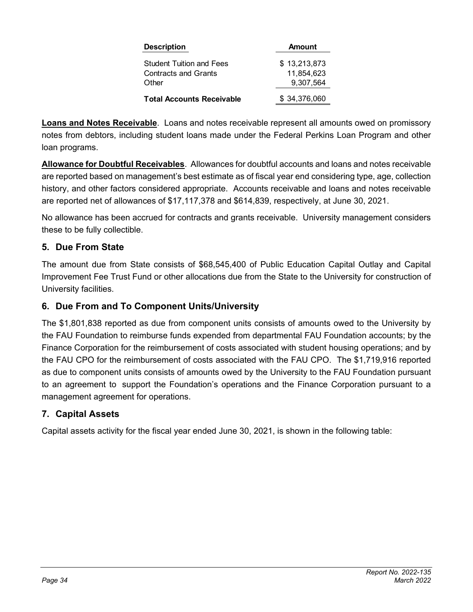| <b>Description</b>               | <b>Amount</b> |
|----------------------------------|---------------|
| <b>Student Tuition and Fees</b>  | \$13,213,873  |
| Contracts and Grants             | 11.854.623    |
| Other                            | 9,307,564     |
| <b>Total Accounts Receivable</b> | \$34,376,060  |

**Loans and Notes Receivable**. Loans and notes receivable represent all amounts owed on promissory notes from debtors, including student loans made under the Federal Perkins Loan Program and other loan programs.

**Allowance for Doubtful Receivables**. Allowances for doubtful accounts and loans and notes receivable are reported based on management's best estimate as of fiscal year end considering type, age, collection history, and other factors considered appropriate. Accounts receivable and loans and notes receivable are reported net of allowances of \$17,117,378 and \$614,839, respectively, at June 30, 2021.

No allowance has been accrued for contracts and grants receivable. University management considers these to be fully collectible.

# **5. Due From State**

The amount due from State consists of \$68,545,400 of Public Education Capital Outlay and Capital Improvement Fee Trust Fund or other allocations due from the State to the University for construction of University facilities.

# **6. Due From and To Component Units/University**

The \$1,801,838 reported as due from component units consists of amounts owed to the University by the FAU Foundation to reimburse funds expended from departmental FAU Foundation accounts; by the Finance Corporation for the reimbursement of costs associated with student housing operations; and by the FAU CPO for the reimbursement of costs associated with the FAU CPO. The \$1,719,916 reported as due to component units consists of amounts owed by the University to the FAU Foundation pursuant to an agreement to support the Foundation's operations and the Finance Corporation pursuant to a management agreement for operations.

# **7. Capital Assets**

Capital assets activity for the fiscal year ended June 30, 2021, is shown in the following table: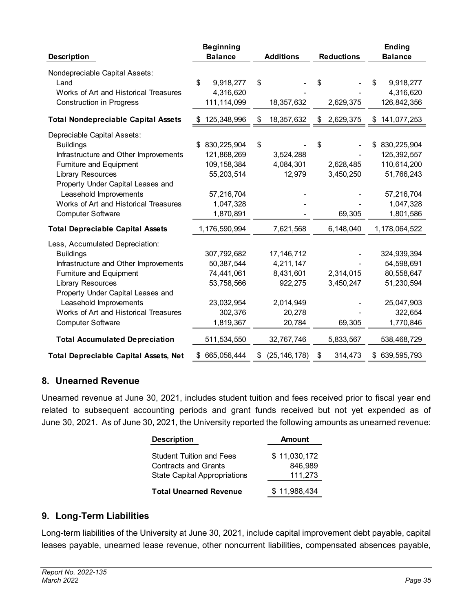| <b>Description</b>                            | <b>Beginning</b><br><b>Balance</b> | <b>Additions</b>     | <b>Reductions</b> | Ending<br><b>Balance</b> |
|-----------------------------------------------|------------------------------------|----------------------|-------------------|--------------------------|
|                                               |                                    |                      |                   |                          |
| Nondepreciable Capital Assets:                |                                    |                      |                   |                          |
| Land<br>Works of Art and Historical Treasures | \$<br>9,918,277                    | \$                   | \$                | \$<br>9,918,277          |
|                                               | 4,316,620                          |                      |                   | 4,316,620                |
| <b>Construction in Progress</b>               | 111, 114, 099                      | 18,357,632           | 2,629,375         | 126,842,356              |
| <b>Total Nondepreciable Capital Assets</b>    | 125,348,996<br>æ.                  | 18,357,632<br>\$     | 2,629,375<br>\$   | 141,077,253<br>\$        |
| Depreciable Capital Assets:                   |                                    |                      |                   |                          |
| <b>Buildings</b>                              | 830,225,904<br>\$.                 | \$                   | \$                | 830,225,904<br>\$.       |
| Infrastructure and Other Improvements         | 121,868,269                        | 3,524,288            |                   | 125, 392, 557            |
| Furniture and Equipment                       | 109, 158, 384                      | 4,084,301            | 2,628,485         | 110,614,200              |
| <b>Library Resources</b>                      | 55,203,514                         | 12,979               | 3,450,250         | 51,766,243               |
| Property Under Capital Leases and             |                                    |                      |                   |                          |
| Leasehold Improvements                        | 57,216,704                         |                      |                   | 57,216,704               |
| Works of Art and Historical Treasures         | 1,047,328                          |                      |                   | 1,047,328                |
| <b>Computer Software</b>                      | 1,870,891                          |                      | 69,305            | 1,801,586                |
| <b>Total Depreciable Capital Assets</b>       | 1,176,590,994                      | 7,621,568            | 6,148,040         | 1,178,064,522            |
| Less, Accumulated Depreciation:               |                                    |                      |                   |                          |
| <b>Buildings</b>                              | 307,792,682                        | 17, 146, 712         |                   | 324,939,394              |
| Infrastructure and Other Improvements         | 50,387,544                         | 4,211,147            |                   | 54,598,691               |
| Furniture and Equipment                       | 74,441,061                         | 8,431,601            | 2,314,015         | 80,558,647               |
| <b>Library Resources</b>                      | 53,758,566                         | 922,275              | 3,450,247         | 51,230,594               |
| Property Under Capital Leases and             |                                    |                      |                   |                          |
| Leasehold Improvements                        | 23,032,954                         | 2,014,949            |                   | 25,047,903               |
| Works of Art and Historical Treasures         | 302,376                            | 20,278               |                   | 322,654                  |
| <b>Computer Software</b>                      | 1,819,367                          | 20,784               | 69,305            | 1,770,846                |
| <b>Total Accumulated Depreciation</b>         | 511,534,550                        | 32,767,746           | 5,833,567         | 538,468,729              |
| <b>Total Depreciable Capital Assets, Net</b>  | \$665,056,444                      | (25, 146, 178)<br>\$ | 314,473<br>\$     | \$639,595,793            |

#### **8. Unearned Revenue**

Unearned revenue at June 30, 2021, includes student tuition and fees received prior to fiscal year end related to subsequent accounting periods and grant funds received but not yet expended as of June 30, 2021. As of June 30, 2021, the University reported the following amounts as unearned revenue:

| <b>Description</b>                                                                             | <b>Amount</b>                      |
|------------------------------------------------------------------------------------------------|------------------------------------|
| Student Tuition and Fees<br><b>Contracts and Grants</b><br><b>State Capital Appropriations</b> | \$11,030,172<br>846.989<br>111,273 |
| <b>Total Unearned Revenue</b>                                                                  | \$11,988,434                       |

# **9. Long-Term Liabilities**

Long-term liabilities of the University at June 30, 2021, include capital improvement debt payable, capital leases payable, unearned lease revenue, other noncurrent liabilities, compensated absences payable,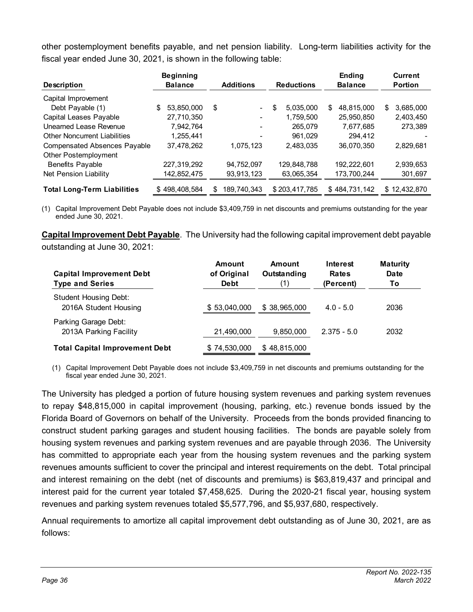other postemployment benefits payable, and net pension liability. Long-term liabilities activity for the fiscal year ended June 30, 2021, is shown in the following table:

|                                     | <b>Beginning</b> |                   |                   |   | Ending         |     | <b>Current</b> |
|-------------------------------------|------------------|-------------------|-------------------|---|----------------|-----|----------------|
| <b>Description</b>                  | <b>Balance</b>   | <b>Additions</b>  | <b>Reductions</b> |   | <b>Balance</b> |     | <b>Portion</b> |
| Capital Improvement                 |                  |                   |                   |   |                |     |                |
| Debt Payable (1)                    | \$<br>53.850.000 | \$<br>$\sim$      | \$<br>5.035.000   | S | 48.815.000     | \$. | 3,685,000      |
| Capital Leases Payable              | 27,710,350       |                   | 1.759.500         |   | 25,950,850     |     | 2,403,450      |
| Unearned Lease Revenue              | 7,942,764        |                   | 265.079           |   | 7,677,685      |     | 273,389        |
| <b>Other Noncurrent Liabilities</b> | 1.255.441        |                   | 961.029           |   | 294.412        |     |                |
| <b>Compensated Absences Payable</b> | 37,478,262       | 1,075,123         | 2.483.035         |   | 36,070,350     |     | 2,829,681      |
| Other Postemployment                |                  |                   |                   |   |                |     |                |
| <b>Benefits Payable</b>             | 227,319,292      | 94,752,097        | 129,848,788       |   | 192,222,601    |     | 2,939,653      |
| Net Pension Liability               | 142,852,475      | 93,913,123        | 63,065,354        |   | 173,700,244    |     | 301,697        |
| <b>Total Long-Term Liabilities</b>  | \$498,408,584    | \$<br>189,740,343 | \$203,417,785     |   | \$484.731.142  |     | \$12,432,870   |

(1) Capital Improvement Debt Payable does not include \$3,409,759 in net discounts and premiums outstanding for the year ended June 30, 2021.

**Capital Improvement Debt Payable**. The University had the following capital improvement debt payable outstanding at June 30, 2021:

| <b>Capital Improvement Debt</b><br><b>Type and Series</b> | Amount<br>of Original<br><b>Debt</b> | Amount<br>Outstanding<br>1) | Interest<br><b>Rates</b><br>(Percent) | <b>Maturity</b><br><b>Date</b><br>Τo |
|-----------------------------------------------------------|--------------------------------------|-----------------------------|---------------------------------------|--------------------------------------|
| <b>Student Housing Debt:</b><br>2016A Student Housing     | \$53,040,000                         | \$38,965,000                | $4.0 - 5.0$                           | 2036                                 |
| Parking Garage Debt:<br>2013A Parking Facility            | 21,490,000                           | 9,850,000                   | $2.375 - 5.0$                         | 2032                                 |
| <b>Total Capital Improvement Debt</b>                     | \$74,530,000                         | \$48,815,000                |                                       |                                      |

(1) Capital Improvement Debt Payable does not include \$3,409,759 in net discounts and premiums outstanding for the fiscal year ended June 30, 2021.

The University has pledged a portion of future housing system revenues and parking system revenues to repay \$48,815,000 in capital improvement (housing, parking, etc.) revenue bonds issued by the Florida Board of Governors on behalf of the University. Proceeds from the bonds provided financing to construct student parking garages and student housing facilities. The bonds are payable solely from housing system revenues and parking system revenues and are payable through 2036. The University has committed to appropriate each year from the housing system revenues and the parking system revenues amounts sufficient to cover the principal and interest requirements on the debt. Total principal and interest remaining on the debt (net of discounts and premiums) is \$63,819,437 and principal and interest paid for the current year totaled \$7,458,625. During the 2020-21 fiscal year, housing system revenues and parking system revenues totaled \$5,577,796, and \$5,937,680, respectively.

Annual requirements to amortize all capital improvement debt outstanding as of June 30, 2021, are as follows: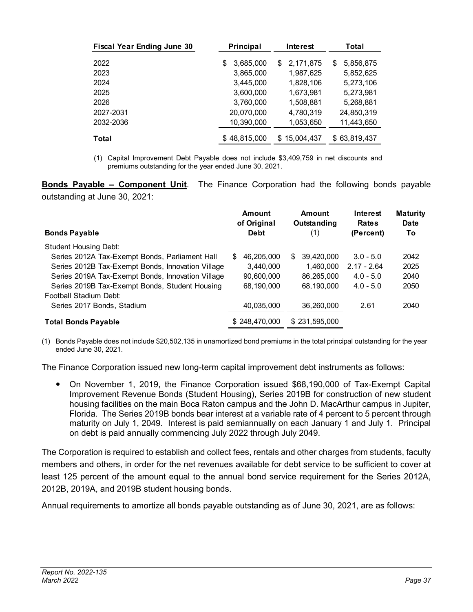| <b>Fiscal Year Ending June 30</b> | <b>Principal</b>                                       | Interest                                               | Total                                                 |  |  |
|-----------------------------------|--------------------------------------------------------|--------------------------------------------------------|-------------------------------------------------------|--|--|
| 2022<br>2023<br>2024<br>2025      | 3,685,000<br>\$<br>3,865,000<br>3,445,000<br>3,600,000 | 2,171,875<br>\$<br>1,987,625<br>1,828,106<br>1,673,981 | 5,856,875<br>S<br>5,852,625<br>5,273,106<br>5,273,981 |  |  |
| 2026<br>2027-2031                 | 3,760,000<br>20,070,000                                | 1,508,881<br>4,780,319                                 | 5,268,881<br>24,850,319                               |  |  |
| 2032-2036                         | 10,390,000                                             | 1,053,650                                              | 11,443,650                                            |  |  |
| Total                             | \$48,815,000                                           | \$15,004,437                                           | \$63,819,437                                          |  |  |

(1) Capital Improvement Debt Payable does not include \$3,409,759 in net discounts and premiums outstanding for the year ended June 30, 2021.

**Bonds Payable – Component Unit**. The Finance Corporation had the following bonds payable outstanding at June 30, 2021:

| <b>Bonds Payable</b>                              | Amount<br>of Original<br><b>Debt</b> | Amount<br>Outstanding<br>(1) | Interest<br><b>Rates</b><br>(Percent) | <b>Maturity</b><br>Date<br>To |
|---------------------------------------------------|--------------------------------------|------------------------------|---------------------------------------|-------------------------------|
| <b>Student Housing Debt:</b>                      |                                      |                              |                                       |                               |
| Series 2012A Tax-Exempt Bonds, Parliament Hall    | 46,205,000<br>\$.                    | 39,420,000<br>\$.            | $3.0 - 5.0$                           | 2042                          |
| Series 2012B Tax-Exempt Bonds, Innovation Village | 3.440.000                            | 1,460,000                    | $2.17 - 2.64$                         | 2025                          |
| Series 2019A Tax-Exempt Bonds, Innovation Village | 90,600,000                           | 86,265,000                   | $4.0 - 5.0$                           | 2040                          |
| Series 2019B Tax-Exempt Bonds, Student Housing    | 68,190,000                           | 68,190,000                   | $4.0 - 5.0$                           | 2050                          |
| Football Stadium Debt:                            |                                      |                              |                                       |                               |
| Series 2017 Bonds, Stadium                        | 40,035,000                           | 36,260,000                   | 2.61                                  | 2040                          |
| <b>Total Bonds Payable</b>                        | \$248,470,000                        | \$231,595,000                |                                       |                               |

(1) Bonds Payable does not include \$20,502,135 in unamortized bond premiums in the total principal outstanding for the year ended June 30, 2021.

The Finance Corporation issued new long-term capital improvement debt instruments as follows:

 On November 1, 2019, the Finance Corporation issued \$68,190,000 of Tax-Exempt Capital Improvement Revenue Bonds (Student Housing), Series 2019B for construction of new student housing facilities on the main Boca Raton campus and the John D. MacArthur campus in Jupiter, Florida. The Series 2019B bonds bear interest at a variable rate of 4 percent to 5 percent through maturity on July 1, 2049. Interest is paid semiannually on each January 1 and July 1. Principal on debt is paid annually commencing July 2022 through July 2049.

The Corporation is required to establish and collect fees, rentals and other charges from students, faculty members and others, in order for the net revenues available for debt service to be sufficient to cover at least 125 percent of the amount equal to the annual bond service requirement for the Series 2012A, 2012B, 2019A, and 2019B student housing bonds.

Annual requirements to amortize all bonds payable outstanding as of June 30, 2021, are as follows: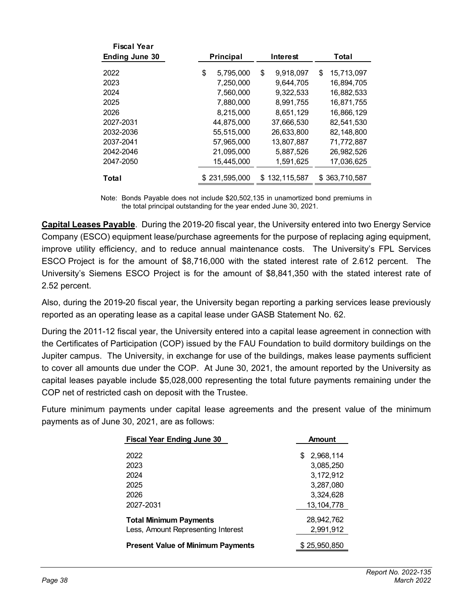| <b>Fiscal Year</b><br><b>Ending June 30</b> | Principal       |    | Interest      |    | Total         |
|---------------------------------------------|-----------------|----|---------------|----|---------------|
|                                             |                 |    |               |    |               |
| 2022                                        | \$<br>5,795,000 | \$ | 9,918,097     | \$ | 15,713,097    |
| 2023                                        | 7,250,000       |    | 9,644,705     |    | 16,894,705    |
| 2024                                        | 7.560.000       |    | 9.322.533     |    | 16,882,533    |
| 2025                                        | 7.880.000       |    | 8.991.755     |    | 16.871.755    |
| 2026                                        | 8.215.000       |    | 8.651.129     |    | 16.866.129    |
| 2027-2031                                   | 44.875.000      |    | 37.666.530    |    | 82.541.530    |
| 2032-2036                                   | 55.515.000      |    | 26.633.800    |    | 82,148,800    |
| 2037-2041                                   | 57.965.000      |    | 13,807,887    |    | 71,772,887    |
| 2042-2046                                   | 21,095,000      |    | 5,887,526     |    | 26,982,526    |
| 2047-2050                                   | 15,445,000      |    | 1,591,625     |    | 17,036,625    |
| Total                                       | \$231,595,000   |    | \$132,115,587 |    | \$363,710,587 |
|                                             |                 |    |               |    |               |

Note: Bonds Payable does not include \$20,502,135 in unamortized bond premiums in the total principal outstanding for the year ended June 30, 2021.

**Capital Leases Payable**. During the 2019-20 fiscal year, the University entered into two Energy Service Company (ESCO) equipment lease/purchase agreements for the purpose of replacing aging equipment, improve utility efficiency, and to reduce annual maintenance costs. The University's FPL Services ESCO Project is for the amount of \$8,716,000 with the stated interest rate of 2.612 percent. The University's Siemens ESCO Project is for the amount of \$8,841,350 with the stated interest rate of 2.52 percent.

Also, during the 2019-20 fiscal year, the University began reporting a parking services lease previously reported as an operating lease as a capital lease under GASB Statement No. 62.

During the 2011-12 fiscal year, the University entered into a capital lease agreement in connection with the Certificates of Participation (COP) issued by the FAU Foundation to build dormitory buildings on the Jupiter campus. The University, in exchange for use of the buildings, makes lease payments sufficient to cover all amounts due under the COP. At June 30, 2021, the amount reported by the University as capital leases payable include \$5,028,000 representing the total future payments remaining under the COP net of restricted cash on deposit with the Trustee.

Future minimum payments under capital lease agreements and the present value of the minimum payments as of June 30, 2021, are as follows:

| <b>Fiscal Year Ending June 30</b>                                   | Amount                                                             |
|---------------------------------------------------------------------|--------------------------------------------------------------------|
| 2022<br>2023<br>2024<br>2025<br>2026                                | 2,968,114<br>S<br>3,085,250<br>3,172,912<br>3,287,080<br>3,324,628 |
| 2027-2031                                                           | 13, 104, 778                                                       |
| <b>Total Minimum Payments</b><br>Less, Amount Representing Interest | 28,942,762<br>2,991,912                                            |
| <b>Present Value of Minimum Payments</b>                            | \$25,950,850                                                       |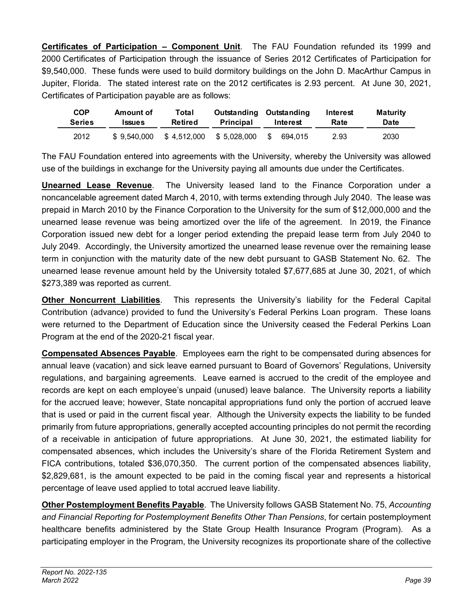**Certificates of Participation – Component Unit**. The FAU Foundation refunded its 1999 and 2000 Certificates of Participation through the issuance of Series 2012 Certificates of Participation for \$9,540,000. These funds were used to build dormitory buildings on the John D. MacArthur Campus in Jupiter, Florida. The stated interest rate on the 2012 certificates is 2.93 percent. At June 30, 2021, Certificates of Participation payable are as follows:

| <b>COP</b>    | Amount of     | Total       | Outstanding Outstanding | Interest       | Interest | <b>Maturity</b> |
|---------------|---------------|-------------|-------------------------|----------------|----------|-----------------|
| <b>Series</b> | <b>Issues</b> | Retired     | Principal               |                | Rate     | <b>Date</b>     |
| 2012          | \$9.540.000   | \$4,512,000 | \$5.028.000             | 694.015<br>- S | 2.93     | 2030            |

The FAU Foundation entered into agreements with the University, whereby the University was allowed use of the buildings in exchange for the University paying all amounts due under the Certificates.

**Unearned Lease Revenue**. The University leased land to the Finance Corporation under a noncancelable agreement dated March 4, 2010, with terms extending through July 2040. The lease was prepaid in March 2010 by the Finance Corporation to the University for the sum of \$12,000,000 and the unearned lease revenue was being amortized over the life of the agreement. In 2019, the Finance Corporation issued new debt for a longer period extending the prepaid lease term from July 2040 to July 2049. Accordingly, the University amortized the unearned lease revenue over the remaining lease term in conjunction with the maturity date of the new debt pursuant to GASB Statement No. 62. The unearned lease revenue amount held by the University totaled \$7,677,685 at June 30, 2021, of which \$273,389 was reported as current.

**Other Noncurrent Liabilities**. This represents the University's liability for the Federal Capital Contribution (advance) provided to fund the University's Federal Perkins Loan program. These loans were returned to the Department of Education since the University ceased the Federal Perkins Loan Program at the end of the 2020-21 fiscal year.

**Compensated Absences Payable**. Employees earn the right to be compensated during absences for annual leave (vacation) and sick leave earned pursuant to Board of Governors' Regulations, University regulations, and bargaining agreements. Leave earned is accrued to the credit of the employee and records are kept on each employee's unpaid (unused) leave balance. The University reports a liability for the accrued leave; however, State noncapital appropriations fund only the portion of accrued leave that is used or paid in the current fiscal year. Although the University expects the liability to be funded primarily from future appropriations, generally accepted accounting principles do not permit the recording of a receivable in anticipation of future appropriations. At June 30, 2021, the estimated liability for compensated absences, which includes the University's share of the Florida Retirement System and FICA contributions, totaled \$36,070,350. The current portion of the compensated absences liability, \$2,829,681, is the amount expected to be paid in the coming fiscal year and represents a historical percentage of leave used applied to total accrued leave liability.

**Other Postemployment Benefits Payable**. The University follows GASB Statement No. 75, *Accounting and Financial Reporting for Postemployment Benefits Other Than Pensions*, for certain postemployment healthcare benefits administered by the State Group Health Insurance Program (Program). As a participating employer in the Program, the University recognizes its proportionate share of the collective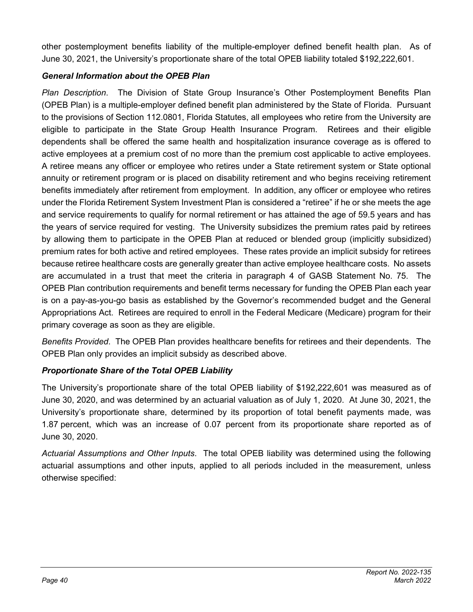other postemployment benefits liability of the multiple-employer defined benefit health plan. As of June 30, 2021, the University's proportionate share of the total OPEB liability totaled \$192,222,601.

#### *General Information about the OPEB Plan*

*Plan Description*. The Division of State Group Insurance's Other Postemployment Benefits Plan (OPEB Plan) is a multiple-employer defined benefit plan administered by the State of Florida. Pursuant to the provisions of Section 112.0801, Florida Statutes, all employees who retire from the University are eligible to participate in the State Group Health Insurance Program. Retirees and their eligible dependents shall be offered the same health and hospitalization insurance coverage as is offered to active employees at a premium cost of no more than the premium cost applicable to active employees. A retiree means any officer or employee who retires under a State retirement system or State optional annuity or retirement program or is placed on disability retirement and who begins receiving retirement benefits immediately after retirement from employment. In addition, any officer or employee who retires under the Florida Retirement System Investment Plan is considered a "retiree" if he or she meets the age and service requirements to qualify for normal retirement or has attained the age of 59.5 years and has the years of service required for vesting. The University subsidizes the premium rates paid by retirees by allowing them to participate in the OPEB Plan at reduced or blended group (implicitly subsidized) premium rates for both active and retired employees. These rates provide an implicit subsidy for retirees because retiree healthcare costs are generally greater than active employee healthcare costs. No assets are accumulated in a trust that meet the criteria in paragraph 4 of GASB Statement No. 75. The OPEB Plan contribution requirements and benefit terms necessary for funding the OPEB Plan each year is on a pay-as-you-go basis as established by the Governor's recommended budget and the General Appropriations Act. Retirees are required to enroll in the Federal Medicare (Medicare) program for their primary coverage as soon as they are eligible.

*Benefits Provided*. The OPEB Plan provides healthcare benefits for retirees and their dependents. The OPEB Plan only provides an implicit subsidy as described above.

#### *Proportionate Share of the Total OPEB Liability*

The University's proportionate share of the total OPEB liability of \$192,222,601 was measured as of June 30, 2020, and was determined by an actuarial valuation as of July 1, 2020. At June 30, 2021, the University's proportionate share, determined by its proportion of total benefit payments made, was 1.87 percent, which was an increase of 0.07 percent from its proportionate share reported as of June 30, 2020.

*Actuarial Assumptions and Other Inputs*. The total OPEB liability was determined using the following actuarial assumptions and other inputs, applied to all periods included in the measurement, unless otherwise specified: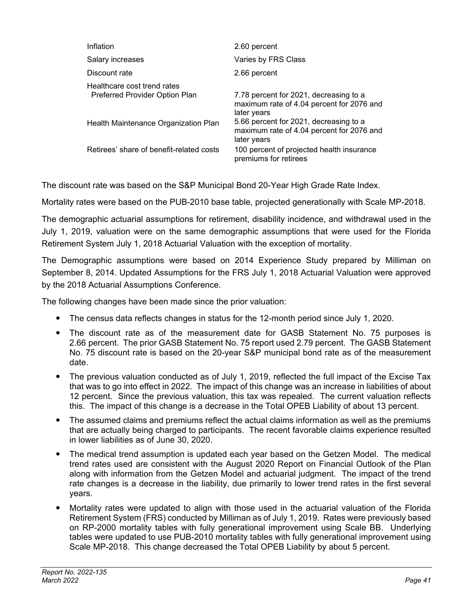| Inflation                                                     | 2.60 percent                                                                                       |
|---------------------------------------------------------------|----------------------------------------------------------------------------------------------------|
| Salary increases                                              | Varies by FRS Class                                                                                |
| Discount rate                                                 | 2.66 percent                                                                                       |
| Healthcare cost trend rates<br>Preferred Provider Option Plan | 7.78 percent for 2021, decreasing to a<br>maximum rate of 4.04 percent for 2076 and<br>later years |
| Health Maintenance Organization Plan                          | 5.66 percent for 2021, decreasing to a<br>maximum rate of 4.04 percent for 2076 and<br>later years |
| Retirees' share of benefit-related costs                      | 100 percent of projected health insurance<br>premiums for retirees                                 |

The discount rate was based on the S&P Municipal Bond 20-Year High Grade Rate Index.

Mortality rates were based on the PUB-2010 base table, projected generationally with Scale MP-2018.

The demographic actuarial assumptions for retirement, disability incidence, and withdrawal used in the July 1, 2019, valuation were on the same demographic assumptions that were used for the Florida Retirement System July 1, 2018 Actuarial Valuation with the exception of mortality.

The Demographic assumptions were based on 2014 Experience Study prepared by Milliman on September 8, 2014. Updated Assumptions for the FRS July 1, 2018 Actuarial Valuation were approved by the 2018 Actuarial Assumptions Conference.

The following changes have been made since the prior valuation:

- The census data reflects changes in status for the 12-month period since July 1, 2020.
- The discount rate as of the measurement date for GASB Statement No. 75 purposes is 2.66 percent. The prior GASB Statement No. 75 report used 2.79 percent. The GASB Statement No. 75 discount rate is based on the 20-year S&P municipal bond rate as of the measurement date.
- The previous valuation conducted as of July 1, 2019, reflected the full impact of the Excise Tax that was to go into effect in 2022. The impact of this change was an increase in liabilities of about 12 percent. Since the previous valuation, this tax was repealed. The current valuation reflects this. The impact of this change is a decrease in the Total OPEB Liability of about 13 percent.
- The assumed claims and premiums reflect the actual claims information as well as the premiums that are actually being charged to participants. The recent favorable claims experience resulted in lower liabilities as of June 30, 2020.
- The medical trend assumption is updated each year based on the Getzen Model. The medical trend rates used are consistent with the August 2020 Report on Financial Outlook of the Plan along with information from the Getzen Model and actuarial judgment. The impact of the trend rate changes is a decrease in the liability, due primarily to lower trend rates in the first several years.
- Mortality rates were updated to align with those used in the actuarial valuation of the Florida Retirement System (FRS) conducted by Milliman as of July 1, 2019. Rates were previously based on RP-2000 mortality tables with fully generational improvement using Scale BB. Underlying tables were updated to use PUB-2010 mortality tables with fully generational improvement using Scale MP-2018. This change decreased the Total OPEB Liability by about 5 percent.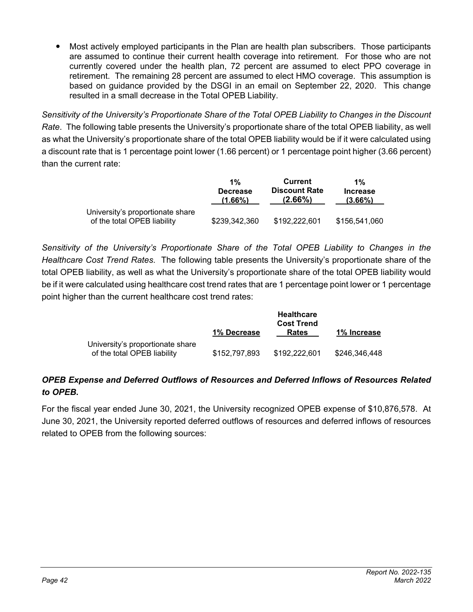Most actively employed participants in the Plan are health plan subscribers. Those participants are assumed to continue their current health coverage into retirement. For those who are not currently covered under the health plan, 72 percent are assumed to elect PPO coverage in retirement. The remaining 28 percent are assumed to elect HMO coverage. This assumption is based on guidance provided by the DSGI in an email on September 22, 2020. This change resulted in a small decrease in the Total OPEB Liability.

*Sensitivity of the University's Proportionate Share of the Total OPEB Liability to Changes in the Discount Rate*. The following table presents the University's proportionate share of the total OPEB liability, as well as what the University's proportionate share of the total OPEB liability would be if it were calculated using a discount rate that is 1 percentage point lower (1.66 percent) or 1 percentage point higher (3.66 percent) than the current rate:

|                                                                 | $1\%$           | Current              | 1%              |
|-----------------------------------------------------------------|-----------------|----------------------|-----------------|
|                                                                 | <b>Decrease</b> | <b>Discount Rate</b> | <b>Increase</b> |
|                                                                 | $(1.66\%)$      | $(2.66\%)$           | $(3.66\%)$      |
| University's proportionate share<br>of the total OPEB liability | \$239,342,360   | \$192,222,601        | \$156,541,060   |

*Sensitivity of the University's Proportionate Share of the Total OPEB Liability to Changes in the Healthcare Cost Trend Rates*. The following table presents the University's proportionate share of the total OPEB liability, as well as what the University's proportionate share of the total OPEB liability would be if it were calculated using healthcare cost trend rates that are 1 percentage point lower or 1 percentage point higher than the current healthcare cost trend rates:

|                                  | <b>1% Decrease</b> | <b>Healthcare</b><br><b>Cost Trend</b><br><b>Rates</b> | 1% Increase   |
|----------------------------------|--------------------|--------------------------------------------------------|---------------|
| University's proportionate share |                    |                                                        |               |
| of the total OPEB liability      | \$152,797,893      | \$192,222,601                                          | \$246,346,448 |

# *OPEB Expense and Deferred Outflows of Resources and Deferred Inflows of Resources Related to OPEB***.**

For the fiscal year ended June 30, 2021, the University recognized OPEB expense of \$10,876,578. At June 30, 2021, the University reported deferred outflows of resources and deferred inflows of resources related to OPEB from the following sources: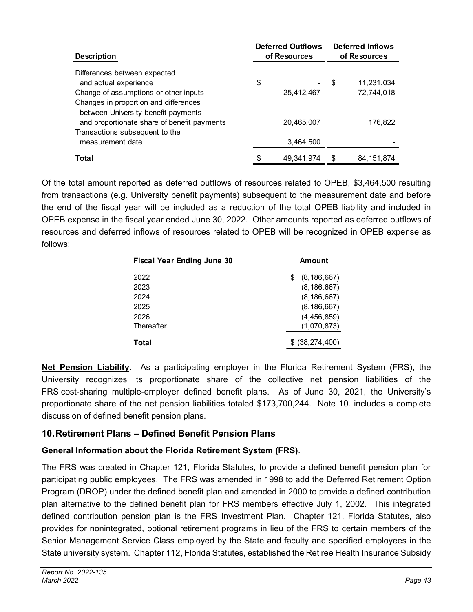| <b>Description</b>                                                           | <b>Deferred Outflows</b><br>of Resources |    | <b>Deferred Inflows</b><br>of Resources |  |
|------------------------------------------------------------------------------|------------------------------------------|----|-----------------------------------------|--|
| Differences between expected                                                 |                                          |    |                                         |  |
| and actual experience                                                        | \$                                       | \$ | 11,231,034                              |  |
| Change of assumptions or other inputs                                        | 25,412,467                               |    | 72,744,018                              |  |
| Changes in proportion and differences<br>between University benefit payments |                                          |    |                                         |  |
| and proportionate share of benefit payments                                  | 20,465,007                               |    | 176,822                                 |  |
| Transactions subsequent to the                                               |                                          |    |                                         |  |
| measurement date                                                             | 3,464,500                                |    |                                         |  |
| Total                                                                        | \$<br>49.341.974                         | \$ | 84.151.874                              |  |

Of the total amount reported as deferred outflows of resources related to OPEB, \$3,464,500 resulting from transactions (e.g. University benefit payments) subsequent to the measurement date and before the end of the fiscal year will be included as a reduction of the total OPEB liability and included in OPEB expense in the fiscal year ended June 30, 2022. Other amounts reported as deferred outflows of resources and deferred inflows of resources related to OPEB will be recognized in OPEB expense as follows:

| <b>Fiscal Year Ending June 30</b> | <b>Amount</b>     |
|-----------------------------------|-------------------|
| 2022                              | (8, 186, 667)     |
| 2023                              | (8, 186, 667)     |
| 2024                              | (8, 186, 667)     |
| 2025                              | (8, 186, 667)     |
| 2026                              | (4,456,859)       |
| Thereafter                        | (1,070,873)       |
| Total                             | \$ (38, 274, 400) |

**Net Pension Liability**. As a participating employer in the Florida Retirement System (FRS), the University recognizes its proportionate share of the collective net pension liabilities of the FRS cost-sharing multiple-employer defined benefit plans. As of June 30, 2021, the University's proportionate share of the net pension liabilities totaled \$173,700,244. Note 10. includes a complete discussion of defined benefit pension plans.

# **10. Retirement Plans – Defined Benefit Pension Plans**

# **General Information about the Florida Retirement System (FRS)**.

The FRS was created in Chapter 121, Florida Statutes, to provide a defined benefit pension plan for participating public employees. The FRS was amended in 1998 to add the Deferred Retirement Option Program (DROP) under the defined benefit plan and amended in 2000 to provide a defined contribution plan alternative to the defined benefit plan for FRS members effective July 1, 2002. This integrated defined contribution pension plan is the FRS Investment Plan. Chapter 121, Florida Statutes, also provides for nonintegrated, optional retirement programs in lieu of the FRS to certain members of the Senior Management Service Class employed by the State and faculty and specified employees in the State university system. Chapter 112, Florida Statutes, established the Retiree Health Insurance Subsidy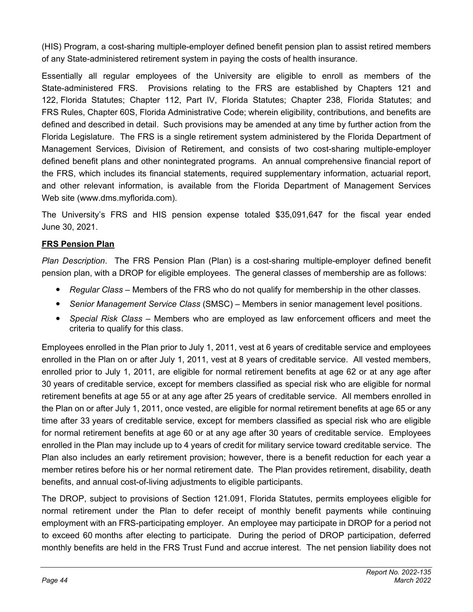(HIS) Program, a cost-sharing multiple-employer defined benefit pension plan to assist retired members of any State-administered retirement system in paying the costs of health insurance.

Essentially all regular employees of the University are eligible to enroll as members of the State-administered FRS. Provisions relating to the FRS are established by Chapters 121 and 122, Florida Statutes; Chapter 112, Part IV, Florida Statutes; Chapter 238, Florida Statutes; and FRS Rules, Chapter 60S, Florida Administrative Code; wherein eligibility, contributions, and benefits are defined and described in detail. Such provisions may be amended at any time by further action from the Florida Legislature. The FRS is a single retirement system administered by the Florida Department of Management Services, Division of Retirement, and consists of two cost-sharing multiple-employer defined benefit plans and other nonintegrated programs. An annual comprehensive financial report of the FRS, which includes its financial statements, required supplementary information, actuarial report, and other relevant information, is available from the Florida Department of Management Services Web site (www.dms.myflorida.com).

The University's FRS and HIS pension expense totaled \$35,091,647 for the fiscal year ended June 30, 2021.

#### **FRS Pension Plan**

*Plan Description*. The FRS Pension Plan (Plan) is a cost-sharing multiple-employer defined benefit pension plan, with a DROP for eligible employees. The general classes of membership are as follows:

- *Regular Class* Members of the FRS who do not qualify for membership in the other classes.
- *Senior Management Service Class* (SMSC) Members in senior management level positions.
- *Special Risk Class* Members who are employed as law enforcement officers and meet the criteria to qualify for this class.

Employees enrolled in the Plan prior to July 1, 2011, vest at 6 years of creditable service and employees enrolled in the Plan on or after July 1, 2011, vest at 8 years of creditable service. All vested members, enrolled prior to July 1, 2011, are eligible for normal retirement benefits at age 62 or at any age after 30 years of creditable service, except for members classified as special risk who are eligible for normal retirement benefits at age 55 or at any age after 25 years of creditable service. All members enrolled in the Plan on or after July 1, 2011, once vested, are eligible for normal retirement benefits at age 65 or any time after 33 years of creditable service, except for members classified as special risk who are eligible for normal retirement benefits at age 60 or at any age after 30 years of creditable service. Employees enrolled in the Plan may include up to 4 years of credit for military service toward creditable service. The Plan also includes an early retirement provision; however, there is a benefit reduction for each year a member retires before his or her normal retirement date. The Plan provides retirement, disability, death benefits, and annual cost-of-living adjustments to eligible participants.

The DROP, subject to provisions of Section 121.091, Florida Statutes, permits employees eligible for normal retirement under the Plan to defer receipt of monthly benefit payments while continuing employment with an FRS-participating employer. An employee may participate in DROP for a period not to exceed 60 months after electing to participate. During the period of DROP participation, deferred monthly benefits are held in the FRS Trust Fund and accrue interest. The net pension liability does not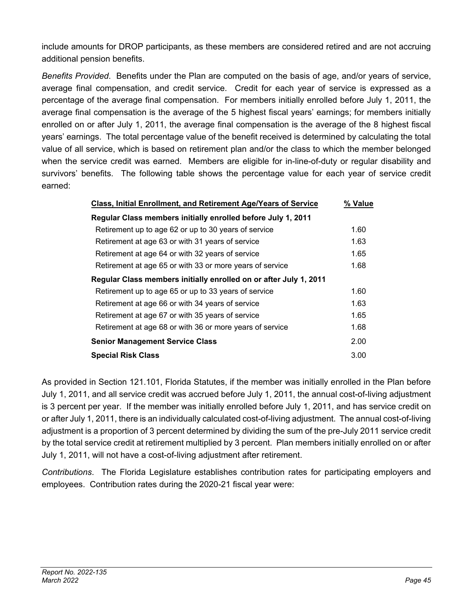include amounts for DROP participants, as these members are considered retired and are not accruing additional pension benefits.

*Benefits Provided*. Benefits under the Plan are computed on the basis of age, and/or years of service, average final compensation, and credit service. Credit for each year of service is expressed as a percentage of the average final compensation. For members initially enrolled before July 1, 2011, the average final compensation is the average of the 5 highest fiscal years' earnings; for members initially enrolled on or after July 1, 2011, the average final compensation is the average of the 8 highest fiscal years' earnings. The total percentage value of the benefit received is determined by calculating the total value of all service, which is based on retirement plan and/or the class to which the member belonged when the service credit was earned. Members are eligible for in-line-of-duty or regular disability and survivors' benefits. The following table shows the percentage value for each year of service credit earned:

| Class, Initial Enrollment, and Retirement Age/Years of Service    | % Value |
|-------------------------------------------------------------------|---------|
| Regular Class members initially enrolled before July 1, 2011      |         |
| Retirement up to age 62 or up to 30 years of service              | 1.60    |
| Retirement at age 63 or with 31 years of service                  | 1.63    |
| Retirement at age 64 or with 32 years of service                  | 1.65    |
| Retirement at age 65 or with 33 or more years of service          | 1.68    |
| Regular Class members initially enrolled on or after July 1, 2011 |         |
| Retirement up to age 65 or up to 33 years of service              | 1.60    |
| Retirement at age 66 or with 34 years of service                  | 1.63    |
| Retirement at age 67 or with 35 years of service                  | 1.65    |
| Retirement at age 68 or with 36 or more years of service          | 1.68    |
| <b>Senior Management Service Class</b>                            | 2.00    |
| <b>Special Risk Class</b>                                         | 3.00    |
|                                                                   |         |

As provided in Section 121.101, Florida Statutes, if the member was initially enrolled in the Plan before July 1, 2011, and all service credit was accrued before July 1, 2011, the annual cost-of-living adjustment is 3 percent per year. If the member was initially enrolled before July 1, 2011, and has service credit on or after July 1, 2011, there is an individually calculated cost-of-living adjustment. The annual cost-of-living adjustment is a proportion of 3 percent determined by dividing the sum of the pre-July 2011 service credit by the total service credit at retirement multiplied by 3 percent. Plan members initially enrolled on or after July 1, 2011, will not have a cost-of-living adjustment after retirement.

*Contributions*. The Florida Legislature establishes contribution rates for participating employers and employees. Contribution rates during the 2020-21 fiscal year were: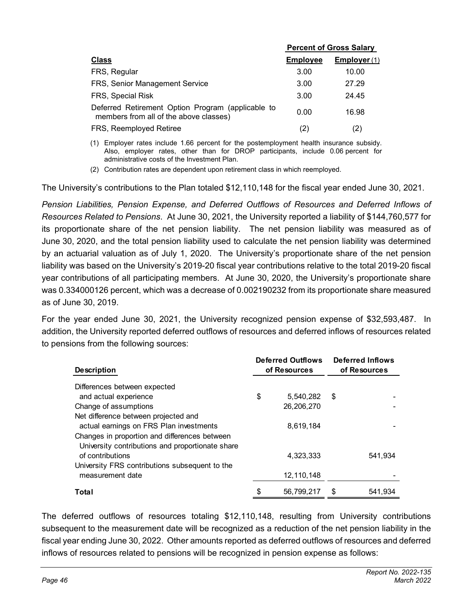|                                                                                             | <b>Percent of Gross Salary</b> |             |
|---------------------------------------------------------------------------------------------|--------------------------------|-------------|
| <b>Class</b>                                                                                | <b>Employee</b>                | Emplover(1) |
| FRS, Regular                                                                                | 3.00                           | 10.00       |
| FRS, Senior Management Service                                                              | 3.00                           | 27.29       |
| FRS, Special Risk                                                                           | 3.00                           | 24.45       |
| Deferred Retirement Option Program (applicable to<br>members from all of the above classes) | 0.00                           | 16.98       |
| FRS, Reemployed Retiree                                                                     | (2)                            | (2)         |

(1) Employer rates include 1.66 percent for the postemployment health insurance subsidy. Also, employer rates, other than for DROP participants, include 0.06 percent for administrative costs of the Investment Plan.

(2) Contribution rates are dependent upon retirement class in which reemployed.

The University's contributions to the Plan totaled \$12,110,148 for the fiscal year ended June 30, 2021.

*Pension Liabilities, Pension Expense, and Deferred Outflows of Resources and Deferred Inflows of Resources Related to Pensions*. At June 30, 2021, the University reported a liability of \$144,760,577 for its proportionate share of the net pension liability. The net pension liability was measured as of June 30, 2020, and the total pension liability used to calculate the net pension liability was determined by an actuarial valuation as of July 1, 2020. The University's proportionate share of the net pension liability was based on the University's 2019-20 fiscal year contributions relative to the total 2019-20 fiscal year contributions of all participating members. At June 30, 2020, the University's proportionate share was 0.334000126 percent, which was a decrease of 0.002190232 from its proportionate share measured as of June 30, 2019.

For the year ended June 30, 2021, the University recognized pension expense of \$32,593,487. In addition, the University reported deferred outflows of resources and deferred inflows of resources related to pensions from the following sources:

| <b>Description</b>                                                                                | <b>Deferred Outflows</b><br>of Resources |            | Deferred Inflows<br>of Resources |         |
|---------------------------------------------------------------------------------------------------|------------------------------------------|------------|----------------------------------|---------|
| Differences between expected                                                                      |                                          |            |                                  |         |
| and actual experience                                                                             | \$                                       | 5,540,282  | \$                               |         |
| Change of assumptions                                                                             |                                          | 26,206,270 |                                  |         |
| Net difference between projected and<br>actual earnings on FRS Plan investments                   |                                          | 8,619,184  |                                  |         |
| Changes in proportion and differences between<br>University contributions and proportionate share |                                          |            |                                  |         |
| of contributions                                                                                  |                                          | 4.323.333  |                                  | 541.934 |
| University FRS contributions subsequent to the                                                    |                                          |            |                                  |         |
| measurement date                                                                                  |                                          | 12,110,148 |                                  |         |
| Total                                                                                             | \$                                       | 56,799,217 | S                                | 541,934 |

The deferred outflows of resources totaling \$12,110,148, resulting from University contributions subsequent to the measurement date will be recognized as a reduction of the net pension liability in the fiscal year ending June 30, 2022. Other amounts reported as deferred outflows of resources and deferred inflows of resources related to pensions will be recognized in pension expense as follows: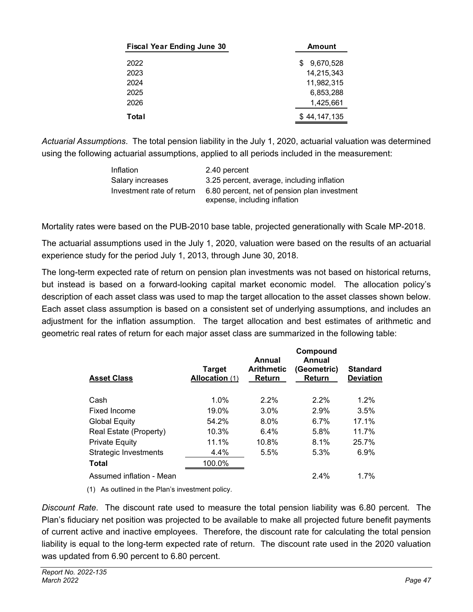| <b>Fiscal Year Ending June 30</b> | Amount         |
|-----------------------------------|----------------|
| 2022                              | 9,670,528<br>S |
| 2023                              | 14,215,343     |
| 2024                              | 11,982,315     |
| 2025                              | 6,853,288      |
| 2026                              | 1,425,661      |
| <b>Total</b>                      | \$44,147,135   |

*Actuarial Assumptions*. The total pension liability in the July 1, 2020, actuarial valuation was determined using the following actuarial assumptions, applied to all periods included in the measurement:

| Inflation                 | 2.40 percent                                                                 |
|---------------------------|------------------------------------------------------------------------------|
| Salary increases          | 3.25 percent, average, including inflation                                   |
| Investment rate of return | 6.80 percent, net of pension plan investment<br>expense, including inflation |

Mortality rates were based on the PUB-2010 base table, projected generationally with Scale MP-2018.

The actuarial assumptions used in the July 1, 2020, valuation were based on the results of an actuarial experience study for the period July 1, 2013, through June 30, 2018.

The long-term expected rate of return on pension plan investments was not based on historical returns, but instead is based on a forward-looking capital market economic model. The allocation policy's description of each asset class was used to map the target allocation to the asset classes shown below. Each asset class assumption is based on a consistent set of underlying assumptions, and includes an adjustment for the inflation assumption. The target allocation and best estimates of arithmetic and geometric real rates of return for each major asset class are summarized in the following table:

| <b>Asset Class</b>           | <b>Target</b><br>Allocation (1) | Annual<br><b>Arithmetic</b><br><b>Return</b> | Compound<br>Annual<br>(Geometric)<br>Return | <b>Standard</b><br><b>Deviation</b> |
|------------------------------|---------------------------------|----------------------------------------------|---------------------------------------------|-------------------------------------|
| Cash                         | 1.0%                            | $2.2\%$                                      | $2.2\%$                                     | 1.2%                                |
| <b>Fixed Income</b>          | 19.0%                           | $3.0\%$                                      | 2.9%                                        | 3.5%                                |
| <b>Global Equity</b>         | 54.2%                           | $8.0\%$                                      | 6.7%                                        | 17.1%                               |
| Real Estate (Property)       | 10.3%                           | 6.4%                                         | 5.8%                                        | 11.7%                               |
| <b>Private Equity</b>        | 11.1%                           | 10.8%                                        | 8.1%                                        | 25.7%                               |
| <b>Strategic Investments</b> | 4.4%                            | 5.5%                                         | 5.3%                                        | 6.9%                                |
| Total                        | 100.0%                          |                                              |                                             |                                     |
| Assumed inflation - Mean     |                                 |                                              | 2.4%                                        | 1.7%                                |

(1) As outlined in the Plan's investment policy.

*Discount Rate*. The discount rate used to measure the total pension liability was 6.80 percent. The Plan's fiduciary net position was projected to be available to make all projected future benefit payments of current active and inactive employees. Therefore, the discount rate for calculating the total pension liability is equal to the long-term expected rate of return. The discount rate used in the 2020 valuation was updated from 6.90 percent to 6.80 percent.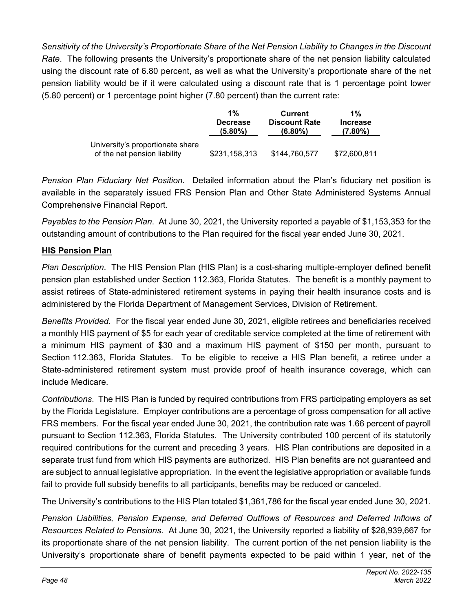*Sensitivity of the University's Proportionate Share of the Net Pension Liability to Changes in the Discount Rate*. The following presents the University's proportionate share of the net pension liability calculated using the discount rate of 6.80 percent, as well as what the University's proportionate share of the net pension liability would be if it were calculated using a discount rate that is 1 percentage point lower (5.80 percent) or 1 percentage point higher (7.80 percent) than the current rate:

|                                                                  | 1%              | <b>Current</b>       | $1\%$           |
|------------------------------------------------------------------|-----------------|----------------------|-----------------|
|                                                                  | <b>Decrease</b> | <b>Discount Rate</b> | <b>Increase</b> |
|                                                                  | $(5.80\%)$      | $(6.80\%)$           | $(7.80\%)$      |
| University's proportionate share<br>of the net pension liability | \$231,158,313   | \$144,760,577        | \$72,600,811    |

*Pension Plan Fiduciary Net Position*. Detailed information about the Plan's fiduciary net position is available in the separately issued FRS Pension Plan and Other State Administered Systems Annual Comprehensive Financial Report.

*Payables to the Pension Plan*. At June 30, 2021, the University reported a payable of \$1,153,353 for the outstanding amount of contributions to the Plan required for the fiscal year ended June 30, 2021.

# **HIS Pension Plan**

*Plan Description*. The HIS Pension Plan (HIS Plan) is a cost-sharing multiple-employer defined benefit pension plan established under Section 112.363, Florida Statutes. The benefit is a monthly payment to assist retirees of State-administered retirement systems in paying their health insurance costs and is administered by the Florida Department of Management Services, Division of Retirement.

*Benefits Provided*. For the fiscal year ended June 30, 2021, eligible retirees and beneficiaries received a monthly HIS payment of \$5 for each year of creditable service completed at the time of retirement with a minimum HIS payment of \$30 and a maximum HIS payment of \$150 per month, pursuant to Section 112.363, Florida Statutes. To be eligible to receive a HIS Plan benefit, a retiree under a State-administered retirement system must provide proof of health insurance coverage, which can include Medicare.

*Contributions*. The HIS Plan is funded by required contributions from FRS participating employers as set by the Florida Legislature. Employer contributions are a percentage of gross compensation for all active FRS members. For the fiscal year ended June 30, 2021, the contribution rate was 1.66 percent of payroll pursuant to Section 112.363, Florida Statutes. The University contributed 100 percent of its statutorily required contributions for the current and preceding 3 years. HIS Plan contributions are deposited in a separate trust fund from which HIS payments are authorized. HIS Plan benefits are not guaranteed and are subject to annual legislative appropriation. In the event the legislative appropriation or available funds fail to provide full subsidy benefits to all participants, benefits may be reduced or canceled.

The University's contributions to the HIS Plan totaled \$1,361,786 for the fiscal year ended June 30, 2021.

*Pension Liabilities, Pension Expense, and Deferred Outflows of Resources and Deferred Inflows of Resources Related to Pensions*. At June 30, 2021, the University reported a liability of \$28,939,667 for its proportionate share of the net pension liability. The current portion of the net pension liability is the University's proportionate share of benefit payments expected to be paid within 1 year, net of the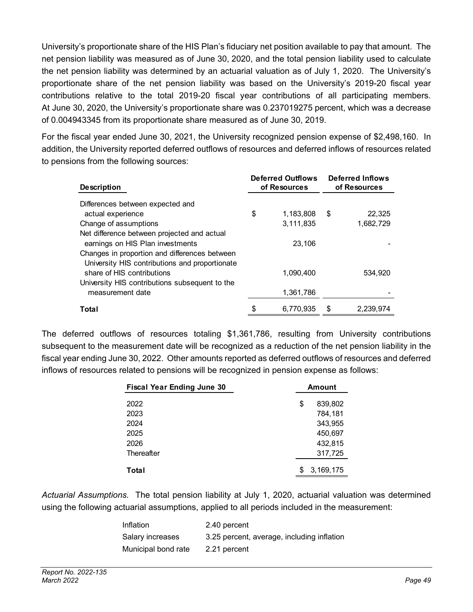University's proportionate share of the HIS Plan's fiduciary net position available to pay that amount. The net pension liability was measured as of June 30, 2020, and the total pension liability used to calculate the net pension liability was determined by an actuarial valuation as of July 1, 2020. The University's proportionate share of the net pension liability was based on the University's 2019-20 fiscal year contributions relative to the total 2019-20 fiscal year contributions of all participating members. At June 30, 2020, the University's proportionate share was 0.237019275 percent, which was a decrease of 0.004943345 from its proportionate share measured as of June 30, 2019.

For the fiscal year ended June 30, 2021, the University recognized pension expense of \$2,498,160. In addition, the University reported deferred outflows of resources and deferred inflows of resources related to pensions from the following sources:

| <b>Description</b>                                                                                                            | <b>Deferred Outflows</b><br>of Resources |           | Deferred Inflows<br>of Resources |           |  |
|-------------------------------------------------------------------------------------------------------------------------------|------------------------------------------|-----------|----------------------------------|-----------|--|
| Differences between expected and                                                                                              |                                          |           |                                  |           |  |
| actual experience                                                                                                             | \$                                       | 1,183,808 | \$                               | 22,325    |  |
| Change of assumptions                                                                                                         |                                          | 3,111,835 |                                  | 1,682,729 |  |
| Net difference between projected and actual<br>earnings on HIS Plan investments                                               |                                          | 23.106    |                                  |           |  |
| Changes in proportion and differences between<br>University HIS contributions and proportionate<br>share of HIS contributions |                                          |           |                                  |           |  |
| University HIS contributions subsequent to the                                                                                |                                          | 1.090.400 |                                  | 534.920   |  |
| measurement date                                                                                                              |                                          | 1,361,786 |                                  |           |  |
| Total                                                                                                                         |                                          | 6,770,935 | S                                | 2,239,974 |  |

The deferred outflows of resources totaling \$1,361,786, resulting from University contributions subsequent to the measurement date will be recognized as a reduction of the net pension liability in the fiscal year ending June 30, 2022. Other amounts reported as deferred outflows of resources and deferred inflows of resources related to pensions will be recognized in pension expense as follows:

| <b>Fiscal Year Ending June 30</b> | Amount            |  |
|-----------------------------------|-------------------|--|
| 2022                              | \$<br>839,802     |  |
| 2023                              | 784,181           |  |
| 2024                              | 343,955           |  |
| 2025                              | 450,697           |  |
| 2026                              | 432,815           |  |
| Thereafter                        | 317,725           |  |
| Total                             | \$<br>3, 169, 175 |  |

*Actuarial Assumptions.* The total pension liability at July 1, 2020, actuarial valuation was determined using the following actuarial assumptions, applied to all periods included in the measurement:

| Inflation           | 2.40 percent                               |
|---------------------|--------------------------------------------|
| Salary increases    | 3.25 percent, average, including inflation |
| Municipal bond rate | 2.21 percent                               |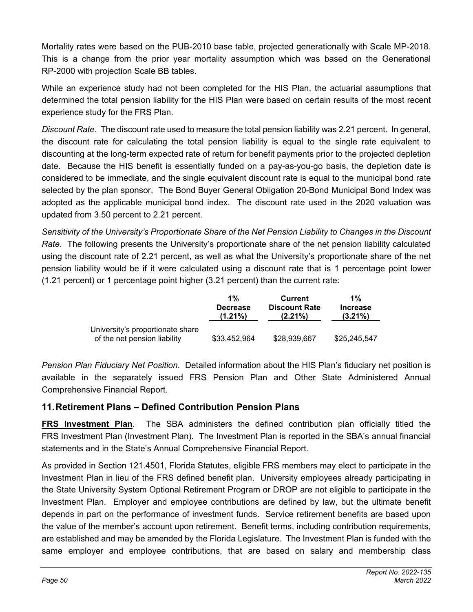Mortality rates were based on the PUB-2010 base table, projected generationally with Scale MP-2018. This is a change from the prior year mortality assumption which was based on the Generational RP-2000 with projection Scale BB tables.

While an experience study had not been completed for the HIS Plan, the actuarial assumptions that determined the total pension liability for the HIS Plan were based on certain results of the most recent experience study for the FRS Plan.

*Discount Rate*. The discount rate used to measure the total pension liability was 2.21 percent. In general, the discount rate for calculating the total pension liability is equal to the single rate equivalent to discounting at the long-term expected rate of return for benefit payments prior to the projected depletion date. Because the HIS benefit is essentially funded on a pay-as-you-go basis, the depletion date is considered to be immediate, and the single equivalent discount rate is equal to the municipal bond rate selected by the plan sponsor. The Bond Buyer General Obligation 20-Bond Municipal Bond Index was adopted as the applicable municipal bond index. The discount rate used in the 2020 valuation was updated from 3.50 percent to 2.21 percent.

*Sensitivity of the University's Proportionate Share of the Net Pension Liability to Changes in the Discount Rate*. The following presents the University's proportionate share of the net pension liability calculated using the discount rate of 2.21 percent, as well as what the University's proportionate share of the net pension liability would be if it were calculated using a discount rate that is 1 percentage point lower (1.21 percent) or 1 percentage point higher (3.21 percent) than the current rate:

|                                                                  | 1%              | <b>Current</b>       | 1%              |
|------------------------------------------------------------------|-----------------|----------------------|-----------------|
|                                                                  | <b>Decrease</b> | <b>Discount Rate</b> | <b>Increase</b> |
|                                                                  | $(1.21\%)$      | $(2.21\%)$           | $(3.21\%)$      |
| University's proportionate share<br>of the net pension liability | \$33,452,964    | \$28,939,667         | \$25,245,547    |

*Pension Plan Fiduciary Net Position*. Detailed information about the HIS Plan's fiduciary net position is available in the separately issued FRS Pension Plan and Other State Administered Annual Comprehensive Financial Report.

# **11. Retirement Plans – Defined Contribution Pension Plans**

**FRS Investment Plan**. The SBA administers the defined contribution plan officially titled the FRS Investment Plan (Investment Plan). The Investment Plan is reported in the SBA's annual financial statements and in the State's Annual Comprehensive Financial Report.

As provided in Section 121.4501, Florida Statutes, eligible FRS members may elect to participate in the Investment Plan in lieu of the FRS defined benefit plan. University employees already participating in the State University System Optional Retirement Program or DROP are not eligible to participate in the Investment Plan. Employer and employee contributions are defined by law, but the ultimate benefit depends in part on the performance of investment funds. Service retirement benefits are based upon the value of the member's account upon retirement. Benefit terms, including contribution requirements, are established and may be amended by the Florida Legislature. The Investment Plan is funded with the same employer and employee contributions, that are based on salary and membership class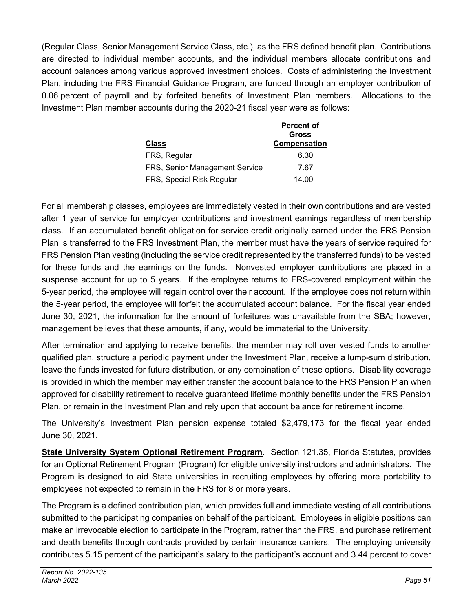(Regular Class, Senior Management Service Class, etc.), as the FRS defined benefit plan. Contributions are directed to individual member accounts, and the individual members allocate contributions and account balances among various approved investment choices. Costs of administering the Investment Plan, including the FRS Financial Guidance Program, are funded through an employer contribution of 0.06 percent of payroll and by forfeited benefits of Investment Plan members. Allocations to the Investment Plan member accounts during the 2020-21 fiscal year were as follows:

|                                | <b>Percent of</b><br><b>Gross</b> |
|--------------------------------|-----------------------------------|
| <b>Class</b>                   | Compensation                      |
| FRS, Regular                   | 6.30                              |
| FRS, Senior Management Service | 7.67                              |
| FRS, Special Risk Regular      | 14.00                             |

For all membership classes, employees are immediately vested in their own contributions and are vested after 1 year of service for employer contributions and investment earnings regardless of membership class. If an accumulated benefit obligation for service credit originally earned under the FRS Pension Plan is transferred to the FRS Investment Plan, the member must have the years of service required for FRS Pension Plan vesting (including the service credit represented by the transferred funds) to be vested for these funds and the earnings on the funds. Nonvested employer contributions are placed in a suspense account for up to 5 years. If the employee returns to FRS-covered employment within the 5-year period, the employee will regain control over their account. If the employee does not return within the 5-year period, the employee will forfeit the accumulated account balance. For the fiscal year ended June 30, 2021, the information for the amount of forfeitures was unavailable from the SBA; however, management believes that these amounts, if any, would be immaterial to the University.

After termination and applying to receive benefits, the member may roll over vested funds to another qualified plan, structure a periodic payment under the Investment Plan, receive a lump-sum distribution, leave the funds invested for future distribution, or any combination of these options. Disability coverage is provided in which the member may either transfer the account balance to the FRS Pension Plan when approved for disability retirement to receive guaranteed lifetime monthly benefits under the FRS Pension Plan, or remain in the Investment Plan and rely upon that account balance for retirement income.

The University's Investment Plan pension expense totaled \$2,479,173 for the fiscal year ended June 30, 2021.

**State University System Optional Retirement Program**. Section 121.35, Florida Statutes, provides for an Optional Retirement Program (Program) for eligible university instructors and administrators. The Program is designed to aid State universities in recruiting employees by offering more portability to employees not expected to remain in the FRS for 8 or more years.

The Program is a defined contribution plan, which provides full and immediate vesting of all contributions submitted to the participating companies on behalf of the participant. Employees in eligible positions can make an irrevocable election to participate in the Program, rather than the FRS, and purchase retirement and death benefits through contracts provided by certain insurance carriers. The employing university contributes 5.15 percent of the participant's salary to the participant's account and 3.44 percent to cover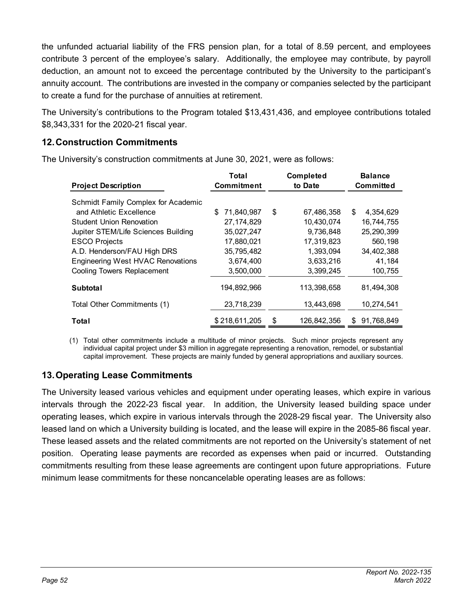the unfunded actuarial liability of the FRS pension plan, for a total of 8.59 percent, and employees contribute 3 percent of the employee's salary. Additionally, the employee may contribute, by payroll deduction, an amount not to exceed the percentage contributed by the University to the participant's annuity account. The contributions are invested in the company or companies selected by the participant to create a fund for the purchase of annuities at retirement.

The University's contributions to the Program totaled \$13,431,436, and employee contributions totaled \$8,343,331 for the 2020-21 fiscal year.

# **12. Construction Commitments**

The University's construction commitments at June 30, 2021, were as follows:

| <b>Project Description</b>               | Total<br><b>Commitment</b> | <b>Completed</b><br>to Date |             | <b>Balance</b><br><b>Committed</b> |  |
|------------------------------------------|----------------------------|-----------------------------|-------------|------------------------------------|--|
| Schmidt Family Complex for Academic      |                            |                             |             |                                    |  |
| and Athletic Excellence                  | 71,840,987<br>\$           | \$                          | 67,486,358  | \$<br>4,354,629                    |  |
| <b>Student Union Renovation</b>          | 27, 174, 829               |                             | 10,430,074  | 16,744,755                         |  |
| Jupiter STEM/Life Sciences Building      | 35,027,247                 |                             | 9,736,848   | 25,290,399                         |  |
| <b>ESCO Projects</b>                     | 17,880,021                 |                             | 17,319,823  | 560,198                            |  |
| A.D. Henderson/FAU High DRS              | 35,795,482                 |                             | 1,393,094   | 34,402,388                         |  |
| <b>Engineering West HVAC Renovations</b> | 3,674,400                  |                             | 3,633,216   | 41,184                             |  |
| <b>Cooling Towers Replacement</b>        | 3,500,000                  |                             | 3,399,245   | 100,755                            |  |
| <b>Subtotal</b>                          | 194,892,966                |                             | 113,398,658 | 81,494,308                         |  |
| Total Other Commitments (1)              | 23,718,239                 |                             | 13,443,698  | 10,274,541                         |  |
| Total                                    | \$218,611,205              | \$                          | 126,842,356 | 91,768,849<br>\$.                  |  |

(1) Total other commitments include a multitude of minor projects. Such minor projects represent any individual capital project under \$3 million in aggregate representing a renovation, remodel, or substantial capital improvement. These projects are mainly funded by general appropriations and auxiliary sources.

# **13. Operating Lease Commitments**

The University leased various vehicles and equipment under operating leases, which expire in various intervals through the 2022-23 fiscal year. In addition, the University leased building space under operating leases, which expire in various intervals through the 2028-29 fiscal year. The University also leased land on which a University building is located, and the lease will expire in the 2085-86 fiscal year. These leased assets and the related commitments are not reported on the University's statement of net position. Operating lease payments are recorded as expenses when paid or incurred. Outstanding commitments resulting from these lease agreements are contingent upon future appropriations. Future minimum lease commitments for these noncancelable operating leases are as follows: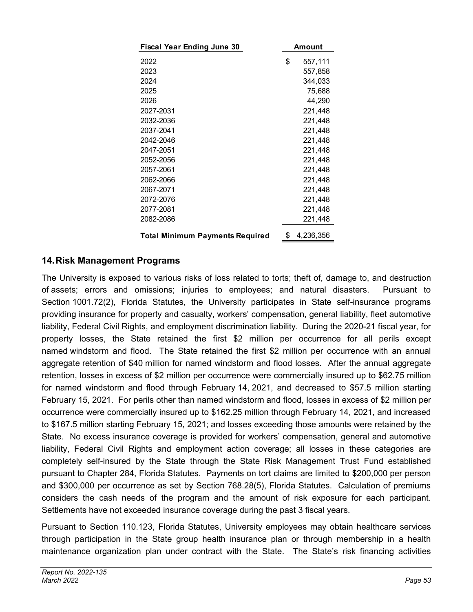| <b>Fiscal Year Ending June 30</b>      |    | Amount    |
|----------------------------------------|----|-----------|
| 2022                                   | \$ | 557,111   |
| 2023                                   |    | 557,858   |
| 2024                                   |    | 344,033   |
| 2025                                   |    | 75,688    |
| 2026                                   |    | 44,290    |
| 2027-2031                              |    | 221,448   |
| 2032-2036                              |    | 221,448   |
| 2037-2041                              |    | 221,448   |
| 2042-2046                              |    | 221,448   |
| 2047-2051                              |    | 221,448   |
| 2052-2056                              |    | 221,448   |
| 2057-2061                              |    | 221,448   |
| 2062-2066                              |    | 221,448   |
| 2067-2071                              |    | 221,448   |
| 2072-2076                              |    | 221,448   |
| 2077-2081                              |    | 221,448   |
| 2082-2086                              |    | 221,448   |
| <b>Total Minimum Payments Required</b> | \$ | 4,236,356 |

# **14. Risk Management Programs**

The University is exposed to various risks of loss related to torts; theft of, damage to, and destruction of assets; errors and omissions; injuries to employees; and natural disasters. Pursuant to Section 1001.72(2), Florida Statutes, the University participates in State self-insurance programs providing insurance for property and casualty, workers' compensation, general liability, fleet automotive liability, Federal Civil Rights, and employment discrimination liability. During the 2020-21 fiscal year, for property losses, the State retained the first \$2 million per occurrence for all perils except named windstorm and flood. The State retained the first \$2 million per occurrence with an annual aggregate retention of \$40 million for named windstorm and flood losses. After the annual aggregate retention, losses in excess of \$2 million per occurrence were commercially insured up to \$62.75 million for named windstorm and flood through February 14, 2021, and decreased to \$57.5 million starting February 15, 2021. For perils other than named windstorm and flood, losses in excess of \$2 million per occurrence were commercially insured up to \$162.25 million through February 14, 2021, and increased to \$167.5 million starting February 15, 2021; and losses exceeding those amounts were retained by the State. No excess insurance coverage is provided for workers' compensation, general and automotive liability, Federal Civil Rights and employment action coverage; all losses in these categories are completely self-insured by the State through the State Risk Management Trust Fund established pursuant to Chapter 284, Florida Statutes. Payments on tort claims are limited to \$200,000 per person and \$300,000 per occurrence as set by Section 768.28(5), Florida Statutes. Calculation of premiums considers the cash needs of the program and the amount of risk exposure for each participant. Settlements have not exceeded insurance coverage during the past 3 fiscal years.

Pursuant to Section 110.123, Florida Statutes, University employees may obtain healthcare services through participation in the State group health insurance plan or through membership in a health maintenance organization plan under contract with the State. The State's risk financing activities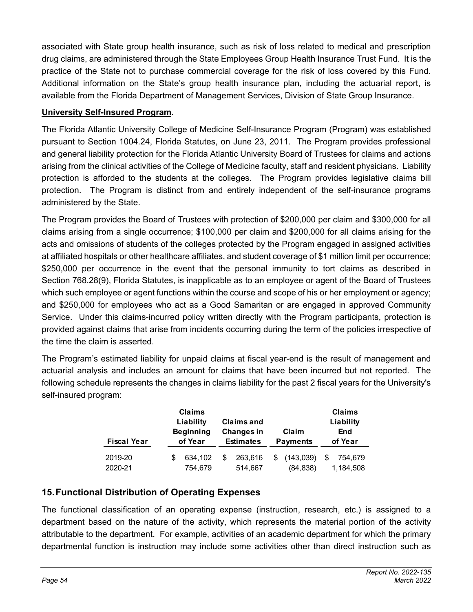associated with State group health insurance, such as risk of loss related to medical and prescription drug claims, are administered through the State Employees Group Health Insurance Trust Fund. It is the practice of the State not to purchase commercial coverage for the risk of loss covered by this Fund. Additional information on the State's group health insurance plan, including the actuarial report, is available from the Florida Department of Management Services, Division of State Group Insurance.

#### **University Self-Insured Program**.

The Florida Atlantic University College of Medicine Self-Insurance Program (Program) was established pursuant to Section 1004.24, Florida Statutes, on June 23, 2011. The Program provides professional and general liability protection for the Florida Atlantic University Board of Trustees for claims and actions arising from the clinical activities of the College of Medicine faculty, staff and resident physicians. Liability protection is afforded to the students at the colleges. The Program provides legislative claims bill protection. The Program is distinct from and entirely independent of the self-insurance programs administered by the State.

The Program provides the Board of Trustees with protection of \$200,000 per claim and \$300,000 for all claims arising from a single occurrence; \$100,000 per claim and \$200,000 for all claims arising for the acts and omissions of students of the colleges protected by the Program engaged in assigned activities at affiliated hospitals or other healthcare affiliates, and student coverage of \$1 million limit per occurrence; \$250,000 per occurrence in the event that the personal immunity to tort claims as described in Section 768.28(9), Florida Statutes, is inapplicable as to an employee or agent of the Board of Trustees which such employee or agent functions within the course and scope of his or her employment or agency; and \$250,000 for employees who act as a Good Samaritan or are engaged in approved Community Service. Under this claims-incurred policy written directly with the Program participants, protection is provided against claims that arise from incidents occurring during the term of the policies irrespective of the time the claim is asserted.

The Program's estimated liability for unpaid claims at fiscal year-end is the result of management and actuarial analysis and includes an amount for claims that have been incurred but not reported. The following schedule represents the changes in claims liability for the past 2 fiscal years for the University's self-insured program:

| <b>Fiscal Year</b> | <b>Claims</b><br>Liability<br><b>Beginning</b><br>of Year | <b>Claims and</b><br><b>Changes in</b><br><b>Estimates</b> |                    | Claim<br><b>Payments</b> |                         | <b>Claims</b><br>Liability<br>End<br>of Year |                      |
|--------------------|-----------------------------------------------------------|------------------------------------------------------------|--------------------|--------------------------|-------------------------|----------------------------------------------|----------------------|
| 2019-20<br>2020-21 | 634.102<br>754.679                                        | \$                                                         | 263,616<br>514,667 | \$                       | (143, 039)<br>(84, 838) |                                              | 754.679<br>1,184,508 |

# **15. Functional Distribution of Operating Expenses**

The functional classification of an operating expense (instruction, research, etc.) is assigned to a department based on the nature of the activity, which represents the material portion of the activity attributable to the department. For example, activities of an academic department for which the primary departmental function is instruction may include some activities other than direct instruction such as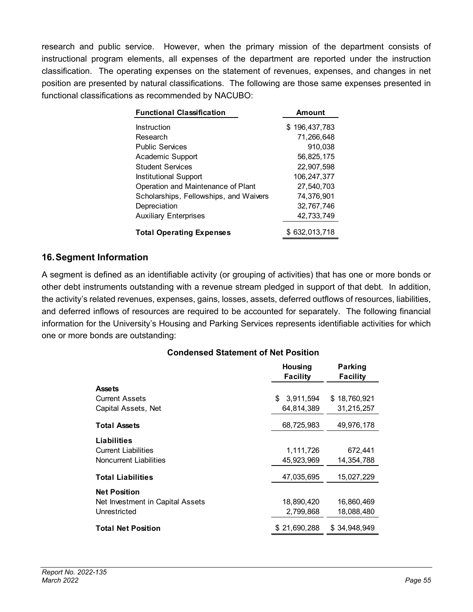research and public service. However, when the primary mission of the department consists of instructional program elements, all expenses of the department are reported under the instruction classification. The operating expenses on the statement of revenues, expenses, and changes in net position are presented by natural classifications. The following are those same expenses presented in functional classifications as recommended by NACUBO:

| <b>Functional Classification</b>       | <b>Amount</b>  |
|----------------------------------------|----------------|
| Instruction                            | \$196.437.783  |
| Research                               | 71,266,648     |
| <b>Public Services</b>                 | 910.038        |
| Academic Support                       | 56,825,175     |
| <b>Student Services</b>                | 22.907.598     |
| Institutional Support                  | 106,247,377    |
| Operation and Maintenance of Plant     | 27,540,703     |
| Scholarships, Fellowships, and Waivers | 74.376.901     |
| Depreciation                           | 32,767,746     |
| <b>Auxiliary Enterprises</b>           | 42,733,749     |
| <b>Total Operating Expenses</b>        | \$ 632,013,718 |

#### **16. Segment Information**

A segment is defined as an identifiable activity (or grouping of activities) that has one or more bonds or other debt instruments outstanding with a revenue stream pledged in support of that debt. In addition, the activity's related revenues, expenses, gains, losses, assets, deferred outflows of resources, liabilities, and deferred inflows of resources are required to be accounted for separately. The following financial information for the University's Housing and Parking Services represents identifiable activities for which one or more bonds are outstanding:

#### **Condensed Statement of Net Position**

|                                  | Housing<br><b>Facility</b> | <b>Parking</b><br><b>Facility</b> |
|----------------------------------|----------------------------|-----------------------------------|
| <b>Assets</b>                    |                            |                                   |
| <b>Current Assets</b>            | \$<br>3,911,594            | \$18,760,921                      |
| Capital Assets, Net              | 64,814,389                 | 31,215,257                        |
| <b>Total Assets</b>              | 68,725,983                 | 49,976,178                        |
| Liabilities                      |                            |                                   |
| <b>Current Liabilities</b>       | 1,111,726                  | 672,441                           |
| Noncurrent Liabilities           | 45,923,969                 | 14,354,788                        |
| <b>Total Liabilities</b>         | 47,035,695                 | 15,027,229                        |
| <b>Net Position</b>              |                            |                                   |
| Net Investment in Capital Assets | 18,890,420                 | 16,860,469                        |
| Unrestricted                     | 2,799,868                  | 18,088,480                        |
| <b>Total Net Position</b>        | \$21,690,288               | \$34.948.949                      |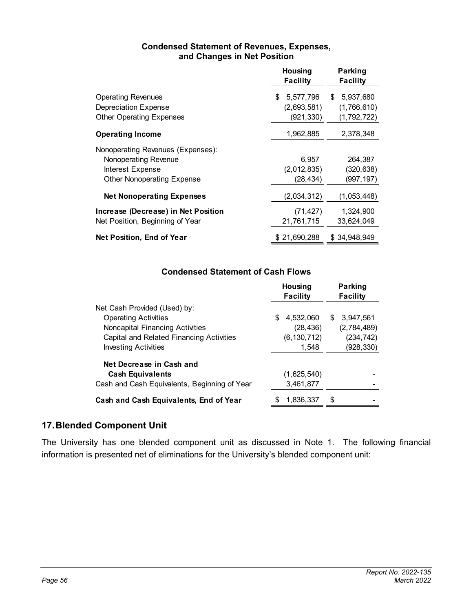#### **Condensed Statement of Revenues, Expenses, and Changes in Net Position**

|                                                                                                                    | Housing<br><b>Facility</b>                   | <b>Parking</b><br><b>Facility</b>             |
|--------------------------------------------------------------------------------------------------------------------|----------------------------------------------|-----------------------------------------------|
| <b>Operating Revenues</b><br>Depreciation Expense<br><b>Other Operating Expenses</b>                               | 5,577,796<br>\$<br>(2,693,581)<br>(921, 330) | 5,937,680<br>\$<br>(1,766,610)<br>(1,792,722) |
| <b>Operating Income</b>                                                                                            | 1,962,885                                    | 2,378,348                                     |
| Nonoperating Revenues (Expenses):<br>Nonoperating Revenue<br>Interest Expense<br><b>Other Nonoperating Expense</b> | 6.957<br>(2,012,835)<br>(28, 434)            | 264,387<br>(320, 638)<br>(997, 197)           |
| <b>Net Nonoperating Expenses</b>                                                                                   | (2,034,312)                                  | (1,053,448)                                   |
| Increase (Decrease) in Net Position<br>Net Position, Beginning of Year                                             | (71, 427)<br>21,761,715                      | 1,324,900<br>33,624,049                       |
| <b>Net Position, End of Year</b>                                                                                   | \$21,690,288                                 | \$34,948,949                                  |

#### **Condensed Statement of Cash Flows**

|                                              | Housing<br><b>Facility</b> | <b>Parking</b><br><b>Facility</b> |             |
|----------------------------------------------|----------------------------|-----------------------------------|-------------|
| Net Cash Provided (Used) by:                 |                            |                                   |             |
| <b>Operating Activities</b>                  | \$<br>4,532,060            | \$                                | 3,947,561   |
| <b>Noncapital Financing Activities</b>       | (28, 436)                  |                                   | (2,784,489) |
| Capital and Related Financing Activities     | (6, 130, 712)              |                                   | (234, 742)  |
| <b>Investing Activities</b>                  | 1.548                      |                                   | (928, 330)  |
| Net Decrease in Cash and                     |                            |                                   |             |
| <b>Cash Equivalents</b>                      | (1,625,540)                |                                   |             |
| Cash and Cash Equivalents, Beginning of Year | 3,461,877                  |                                   |             |
| Cash and Cash Equivalents, End of Year       | 1,836,337                  | S                                 |             |
|                                              |                            |                                   |             |

# **17. Blended Component Unit**

The University has one blended component unit as discussed in Note 1. The following financial information is presented net of eliminations for the University's blended component unit: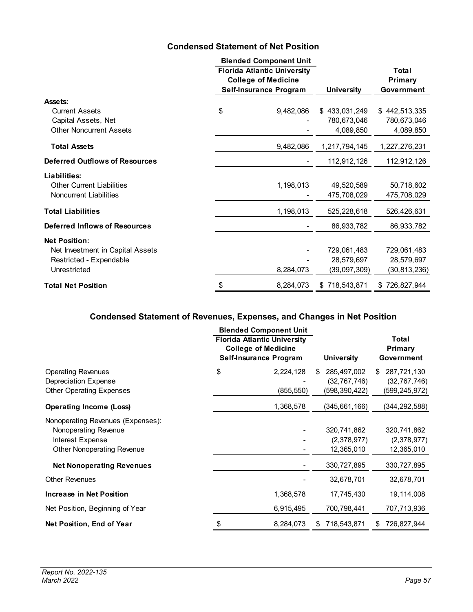# **Condensed Statement of Net Position**

|                                       | <b>Blended Component Unit</b>      |                   |               |
|---------------------------------------|------------------------------------|-------------------|---------------|
|                                       | <b>Florida Atlantic University</b> |                   | Total         |
|                                       | <b>College of Medicine</b>         |                   | Primary       |
|                                       | <b>Self-Insurance Program</b>      | <b>University</b> | Government    |
| Assets:                               |                                    |                   |               |
| <b>Current Assets</b>                 | \$<br>9,482,086                    | \$433,031,249     | \$442,513,335 |
| Capital Assets, Net                   |                                    | 780,673,046       | 780,673,046   |
| <b>Other Noncurrent Assets</b>        |                                    | 4,089,850         | 4,089,850     |
| <b>Total Assets</b>                   | 9,482,086                          | 1,217,794,145     | 1,227,276,231 |
| <b>Deferred Outflows of Resources</b> |                                    | 112,912,126       | 112,912,126   |
| Liabilities:                          |                                    |                   |               |
| <b>Other Current Liabilities</b>      | 1,198,013                          | 49,520,589        | 50,718,602    |
| <b>Noncurrent Liabilities</b>         |                                    | 475,708,029       | 475,708,029   |
| <b>Total Liabilities</b>              | 1,198,013                          | 525,228,618       | 526,426,631   |
| Deferred Inflows of Resources         |                                    | 86,933,782        | 86,933,782    |
| <b>Net Position:</b>                  |                                    |                   |               |
| Net Investment in Capital Assets      |                                    | 729,061,483       | 729,061,483   |
| Restricted - Expendable               |                                    | 28,579,697        | 28,579,697    |
| Unrestricted                          | 8,284,073                          | (39,097,309)      | (30,813,236)  |
| <b>Total Net Position</b>             | \$<br>8,284,073                    | 718,543,871<br>S. | \$726,827,944 |

#### **Condensed Statement of Revenues, Expenses, and Changes in Net Position**

|                                   | <b>Blended Component Unit</b><br><b>Florida Atlantic University</b><br><b>College of Medicine</b><br>Self-Insurance Program | Total<br><b>Primary</b><br>Government |                    |                    |
|-----------------------------------|-----------------------------------------------------------------------------------------------------------------------------|---------------------------------------|--------------------|--------------------|
| <b>Operating Revenues</b>         | \$                                                                                                                          | 2,224,128                             | 285,497,002<br>\$. | 287,721,130<br>\$. |
| <b>Depreciation Expense</b>       |                                                                                                                             |                                       | (32, 767, 746)     | (32, 767, 746)     |
| <b>Other Operating Expenses</b>   |                                                                                                                             | (855, 550)                            | (598,390,422)      | (599,245,972)      |
| <b>Operating Income (Loss)</b>    |                                                                                                                             | 1,368,578                             | (345, 661, 166)    | (344, 292, 588)    |
| Nonoperating Revenues (Expenses): |                                                                                                                             |                                       |                    |                    |
| Nonoperating Revenue              |                                                                                                                             |                                       | 320,741,862        | 320,741,862        |
| Interest Expense                  |                                                                                                                             |                                       | (2,378,977)        | (2,378,977)        |
| <b>Other Nonoperating Revenue</b> |                                                                                                                             |                                       | 12,365,010         | 12,365,010         |
| <b>Net Nonoperating Revenues</b>  |                                                                                                                             | -                                     | 330,727,895        | 330,727,895        |
| <b>Other Revenues</b>             |                                                                                                                             |                                       | 32,678,701         | 32,678,701         |
| Increase in Net Position          |                                                                                                                             | 1,368,578                             | 17,745,430         | 19,114,008         |
| Net Position, Beginning of Year   |                                                                                                                             | 6,915,495                             | 700,798,441        | 707,713,936        |
| <b>Net Position, End of Year</b>  | S                                                                                                                           | 8,284,073                             | 718,543,871<br>S   | 726,827,944<br>S   |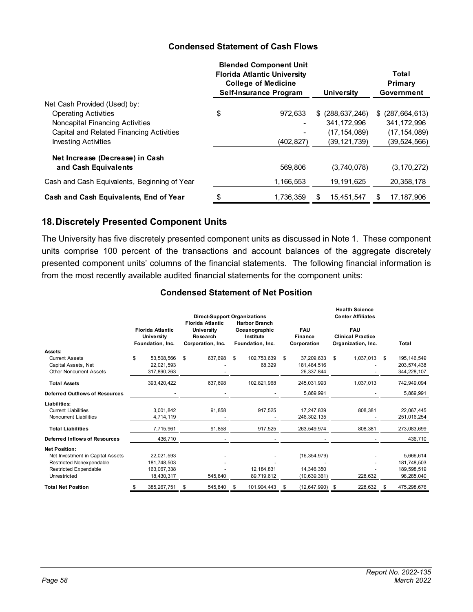#### **Condensed Statement of Cash Flows**

|                                              | <b>Blended Component Unit</b><br><b>Florida Atlantic University</b><br><b>College of Medicine</b><br><b>Self-Insurance Program</b> | <b>University</b>     |    | Total<br>Primary<br>Government |
|----------------------------------------------|------------------------------------------------------------------------------------------------------------------------------------|-----------------------|----|--------------------------------|
| Net Cash Provided (Used) by:                 |                                                                                                                                    |                       |    |                                |
| <b>Operating Activities</b>                  | \$<br>972.633                                                                                                                      | (288, 637, 246)<br>S. |    | $$^{(287,664,613)}$            |
| <b>Noncapital Financing Activities</b>       | -                                                                                                                                  | 341.172.996           |    | 341, 172, 996                  |
| Capital and Related Financing Activities     |                                                                                                                                    | (17, 154, 089)        |    | (17, 154, 089)                 |
| <b>Investing Activities</b>                  | (402, 827)                                                                                                                         | (39, 121, 739)        |    | (39, 524, 566)                 |
| Net Increase (Decrease) in Cash              |                                                                                                                                    |                       |    |                                |
| and Cash Equivalents                         | 569,806                                                                                                                            | (3,740,078)           |    | (3, 170, 272)                  |
| Cash and Cash Equivalents, Beginning of Year | 1,166,553                                                                                                                          | 19, 191, 625          |    | 20,358,178                     |
| Cash and Cash Equivalents, End of Year       | \$<br>1.736.359                                                                                                                    | 15.451.547<br>Ж       | S. | 17.187.906                     |

#### **18. Discretely Presented Component Units**

The University has five discretely presented component units as discussed in Note 1. These component units comprise 100 percent of the transactions and account balances of the aggregate discretely presented component units' columns of the financial statements. The following financial information is from the most recently available audited financial statements for the component units:

|  |  | <b>Condensed Statement of Net Position</b> |
|--|--|--------------------------------------------|
|--|--|--------------------------------------------|

|                                                                                      |                                | <b>Direct-Support Organizations</b>                                           | <b>Health Science</b><br><b>Center Affiliates</b>                      |                                             |                                                              |                                    |
|--------------------------------------------------------------------------------------|--------------------------------|-------------------------------------------------------------------------------|------------------------------------------------------------------------|---------------------------------------------|--------------------------------------------------------------|------------------------------------|
| <b>Florida Atlantic</b><br><b>University</b><br>Foundation, Inc.                     |                                | <b>Florida Atlantic</b><br><b>University</b><br>Research<br>Corporation, Inc. | <b>Harbor Branch</b><br>Oceanographic<br>Institute<br>Foundation, Inc. | <b>FAU</b><br><b>Finance</b><br>Corporation | <b>FAU</b><br><b>Clinical Practice</b><br>Organization, Inc. | Total                              |
| Assets:                                                                              |                                |                                                                               |                                                                        |                                             |                                                              |                                    |
| <b>Current Assets</b><br>Capital Assets, Net                                         | \$<br>53,508,566<br>22,021,593 | \$<br>637,698                                                                 | 102,753,639<br>\$<br>68,329                                            | 37,209,633<br>-\$<br>181,484,516            | 1,037,013<br>\$                                              | 195, 146, 549<br>\$<br>203,574,438 |
| <b>Other Noncurrent Assets</b>                                                       | 317.890.263                    |                                                                               |                                                                        | 26.337.844                                  |                                                              | 344,228,107                        |
| <b>Total Assets</b>                                                                  | 393,420,422                    | 637,698                                                                       | 102,821,968                                                            | 245,031,993                                 | 1,037,013                                                    | 742,949,094                        |
| <b>Deferred Outflows of Resources</b>                                                |                                |                                                                               |                                                                        | 5,869,991                                   |                                                              | 5,869,991                          |
| Liabilities:                                                                         |                                |                                                                               |                                                                        |                                             |                                                              |                                    |
| <b>Current Liabilities</b>                                                           | 3,001,842                      | 91,858                                                                        | 917,525                                                                | 17,247,839                                  | 808,381                                                      | 22,067,445                         |
| <b>Noncurrent Liabilities</b>                                                        | 4,714,119                      |                                                                               |                                                                        | 246,302,135                                 |                                                              | 251,016,254                        |
| <b>Total Liabilities</b>                                                             | 7,715,961                      | 91.858                                                                        | 917,525                                                                | 263,549,974                                 | 808.381                                                      | 273,083,699                        |
| Deferred Inflows of Resources                                                        | 436,710                        |                                                                               |                                                                        |                                             |                                                              | 436,710                            |
| <b>Net Position:</b><br>Net Investment in Capital Assets<br>Restricted Nonexpendable | 22,021,593<br>181,748,503      |                                                                               |                                                                        | (16, 354, 979)                              |                                                              | 5,666,614<br>181,748,503           |
| <b>Restricted Expendable</b><br>Unrestricted                                         | 163.067.338<br>18,430,317      | 545,840                                                                       | 12, 184, 831<br>89,719,612                                             | 14,346,350<br>(10, 639, 361)                | 228,632                                                      | 189,598,519<br>98,285,040          |
| <b>Total Net Position</b>                                                            | 385,267,751                    | 545,840<br>S                                                                  | 101,904,443<br>S                                                       | (12, 647, 990)                              | 228,632<br>-\$                                               | 475,298,676                        |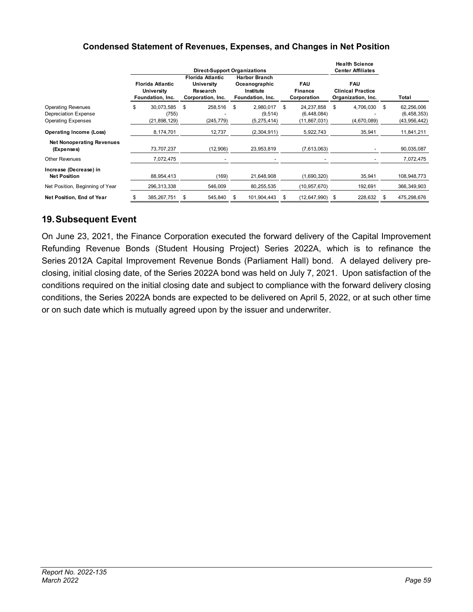|                                                |   |                                                           |                                                                        | <b>Direct-Support Organizations</b> |                                                                        |               |     |                                             |    | <b>Health Science</b><br><b>Center Affiliates</b>            |     |               |
|------------------------------------------------|---|-----------------------------------------------------------|------------------------------------------------------------------------|-------------------------------------|------------------------------------------------------------------------|---------------|-----|---------------------------------------------|----|--------------------------------------------------------------|-----|---------------|
|                                                |   | <b>Florida Atlantic</b><br>University<br>Foundation, Inc. | <b>Florida Atlantic</b><br>University<br>Research<br>Corporation, Inc. |                                     | <b>Harbor Branch</b><br>Oceanographic<br>Institute<br>Foundation, Inc. |               |     | <b>FAU</b><br><b>Finance</b><br>Corporation |    | <b>FAU</b><br><b>Clinical Practice</b><br>Organization, Inc. |     | Total         |
| <b>Operating Revenues</b>                      | S | 30,073,585                                                | S                                                                      | 258,516                             |                                                                        | 2,980,017     | \$. | 24, 237, 858                                | S  | 4,706,030                                                    | \$. | 62,256,006    |
| Depreciation Expense                           |   | (755)                                                     |                                                                        |                                     |                                                                        | (9, 514)      |     | (6,448,084)                                 |    |                                                              |     | (6,458,353)   |
| <b>Operating Expenses</b>                      |   | (21,898,129)                                              |                                                                        | (245, 779)                          |                                                                        | (5, 275, 414) |     | (11,867,031)                                |    | (4,670,089)                                                  |     | (43,956,442)  |
| <b>Operating Income (Loss)</b>                 |   | 8,174,701                                                 |                                                                        | 12,737                              |                                                                        | (2,304,911)   |     | 5,922,743                                   |    | 35,941                                                       |     | 11,841,211    |
| <b>Net Nonoperating Revenues</b><br>(Expenses) |   | 73,707,237                                                |                                                                        | (12, 906)                           |                                                                        | 23,953,819    |     | (7,613,063)                                 |    |                                                              |     | 90,035,087    |
| <b>Other Revenues</b>                          |   | 7,072,475                                                 |                                                                        |                                     |                                                                        |               |     |                                             |    |                                                              |     | 7,072,475     |
| Increase (Decrease) in<br><b>Net Position</b>  |   | 88,954,413                                                |                                                                        | (169)                               |                                                                        | 21,648,908    |     | (1,690,320)                                 |    | 35,941                                                       |     | 108,948,773   |
| Net Position, Beginning of Year                |   | 296,313,338                                               |                                                                        | 546,009                             |                                                                        | 80,255,535    |     | (10, 957, 670)                              |    | 192,691                                                      |     | 366, 349, 903 |
| Net Position, End of Year                      |   | 385, 267, 751                                             | S                                                                      | 545,840                             |                                                                        | 101,904,443   |     | (12,647,990)                                | S, | 228,632                                                      | S   | 475,298,676   |

#### **Condensed Statement of Revenues, Expenses, and Changes in Net Position**

# **19. Subsequent Event**

On June 23, 2021, the Finance Corporation executed the forward delivery of the Capital Improvement Refunding Revenue Bonds (Student Housing Project) Series 2022A, which is to refinance the Series 2012A Capital Improvement Revenue Bonds (Parliament Hall) bond. A delayed delivery preclosing, initial closing date, of the Series 2022A bond was held on July 7, 2021. Upon satisfaction of the conditions required on the initial closing date and subject to compliance with the forward delivery closing conditions, the Series 2022A bonds are expected to be delivered on April 5, 2022, or at such other time or on such date which is mutually agreed upon by the issuer and underwriter.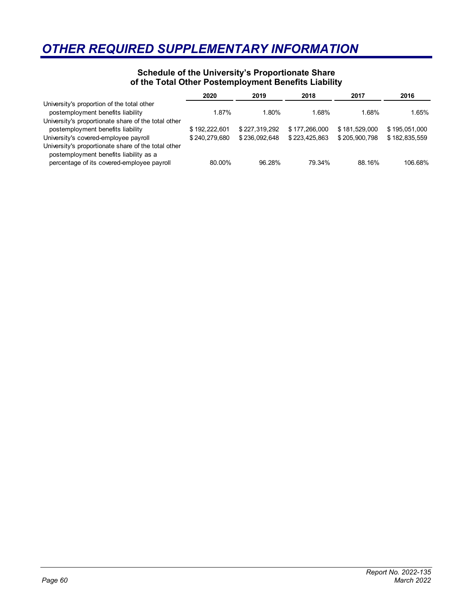# *OTHER REQUIRED SUPPLEMENTARY INFORMATION*

#### **Schedule of the University's Proportionate Share of the Total Other Postemployment Benefits Liability**

|                                                                                                                                        | 2020          | 2019          | 2018          | 2017          | 2016          |
|----------------------------------------------------------------------------------------------------------------------------------------|---------------|---------------|---------------|---------------|---------------|
| University's proportion of the total other<br>postemployment benefits liability                                                        | 1.87%         | 1.80%         | 1.68%         | 1.68%         | 1.65%         |
| University's proportionate share of the total other                                                                                    |               |               |               |               |               |
| postemployment benefits liability                                                                                                      | \$192,222,601 | \$227.319.292 | \$177.266.000 | \$181.529.000 | \$195,051,000 |
| University's covered-employee payroll<br>University's proportionate share of the total other<br>postemployment benefits liability as a | \$240,279.680 | \$236.092.648 | \$223.425.863 | \$205,900.798 | \$182.835.559 |
| percentage of its covered-employee payroll                                                                                             | 80.00%        | 96.28%        | 79.34%        | 88.16%        | 106.68%       |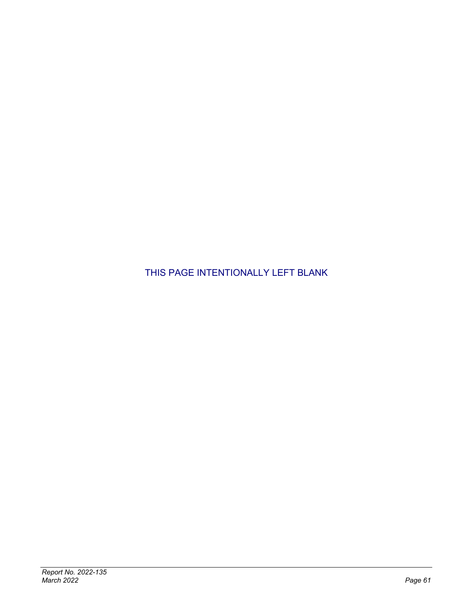THIS PAGE INTENTIONALLY LEFT BLANK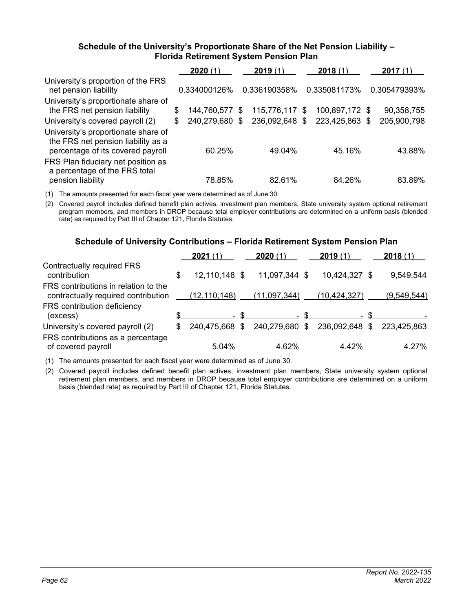#### **Schedule of the University's Proportionate Share of the Net Pension Liability – Florida Retirement System Pension Plan**

|                                                                                                                | 2020(1)           |   | 2019(1)        | 2018(1)        |    | 2017(1)      |
|----------------------------------------------------------------------------------------------------------------|-------------------|---|----------------|----------------|----|--------------|
| University's proportion of the FRS<br>net pension liability<br>University's proportionate share of             | 0.334000126%      |   | 0.336190358%   | 0.335081173%   |    | 0.305479393% |
| the FRS net pension liability                                                                                  | \$<br>144,760,577 | S | 115,776,117 \$ | 100,897,172 \$ |    | 90,358,755   |
| University's covered payroll (2)                                                                               | \$<br>240,279,680 | S | 236,092,648 \$ | 223,425,863    | -S | 205,900,798  |
| University's proportionate share of<br>the FRS net pension liability as a<br>percentage of its covered payroll | 60.25%            |   | 49.04%         | 45.16%         |    | 43.88%       |
| FRS Plan fiduciary net position as<br>a percentage of the FRS total<br>pension liability                       | 78.85%            |   | 82.61%         | 84.26%         |    | 83.89%       |

(1) The amounts presented for each fiscal year were determined as of June 30.

(2) Covered payroll includes defined benefit plan actives, investment plan members, State university system optional retirement program members, and members in DROP because total employer contributions are determined on a uniform basis (blended rate) as required by Part III of Chapter 121, Florida Statutes.

#### **Schedule of University Contributions – Florida Retirement System Pension Plan**

|                                                                             |    | 2021(1)        | 2020(1)        | 2019(1)                       | 2018(1)     |
|-----------------------------------------------------------------------------|----|----------------|----------------|-------------------------------|-------------|
| <b>Contractually required FRS</b><br>contribution                           | S  | 12,110,148 \$  | 11,097,344 \$  | 10,424,327 \$                 | 9,549,544   |
| FRS contributions in relation to the<br>contractually required contribution |    | (12, 110, 148) | (11,097,344)   | (10, 424, 327)                | (9,549,544) |
| FRS contribution deficiency<br>(excess)                                     |    |                | $\blacksquare$ |                               |             |
| University's covered payroll (2)<br>FRS contributions as a percentage       | \$ | 240,475,668 \$ |                | 240,279,680 \$ 236,092,648 \$ | 223,425,863 |
| of covered payroll                                                          |    | $5.04\%$       | 4.62%          | 4.42%                         | 4.27%       |

(1) The amounts presented for each fiscal year were determined as of June 30.

(2) Covered payroll includes defined benefit plan actives, investment plan members, State university system optional retirement plan members, and members in DROP because total employer contributions are determined on a uniform basis (blended rate) as required by Part III of Chapter 121, Florida Statutes.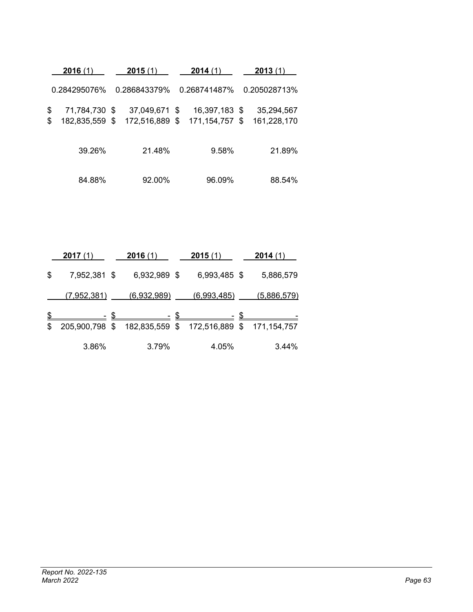|          | 2016(1)                         | 2015(1)                         | 2014(1)                      |      | 2013 (1                   |
|----------|---------------------------------|---------------------------------|------------------------------|------|---------------------------|
|          | 0.284295076%                    | 0.286843379%                    | 0.268741487%                 |      | 0.205028713%              |
| \$<br>\$ | 71,784,730 \$<br>182,835,559 \$ | 37,049,671 \$<br>172,516,889 \$ | 16,397,183 \$<br>171,154,757 | - \$ | 35,294,567<br>161,228,170 |
|          | 39.26%                          | 21.48%                          | 9.58%                        |      | 21.89%                    |
|          | 84.88%                          | 92.00%                          | 96.09%                       |      | 88.54%                    |

| 2017(1)              | 2016(1)      | 2015(1)                                   | 2014(1)     |
|----------------------|--------------|-------------------------------------------|-------------|
| \$<br>7,952,381 \$   | 6,932,989 \$ | 6,993,485 \$                              | 5,886,579   |
| (7,952,381)          | (6,932,989)  | (6,993,485)                               | (5,886,579) |
|                      |              |                                           |             |
| \$<br>205,900,798 \$ |              | 182,835,559 \$ 172,516,889 \$ 171,154,757 |             |
| 3.86%                | 3.79%        | 4.05%                                     | 3.44%       |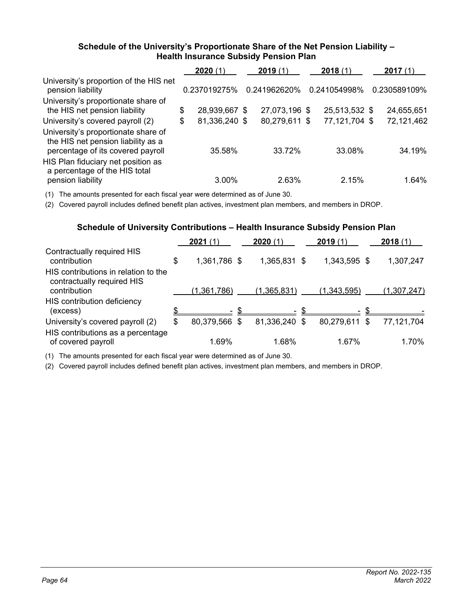#### **Schedule of the University's Proportionate Share of the Net Pension Liability – Health Insurance Subsidy Pension Plan**

|                                                                                                                | 2020 (1)            | 2019(1)       | 2018(1)       | 2017(1)      |
|----------------------------------------------------------------------------------------------------------------|---------------------|---------------|---------------|--------------|
| University's proportion of the HIS net<br>pension liability<br>University's proportionate share of             | 0.237019275%        | 0.241962620%  | 0.241054998%  | 0.230589109% |
| the HIS net pension liability                                                                                  | \$<br>28,939,667 \$ | 27,073,196 \$ | 25,513,532 \$ | 24,655,651   |
| University's covered payroll (2)                                                                               | \$<br>81,336,240 \$ | 80,279,611 \$ | 77,121,704 \$ | 72,121,462   |
| University's proportionate share of<br>the HIS net pension liability as a<br>percentage of its covered payroll | 35.58%              | 33.72%        | 33.08%        | 34.19%       |
| HIS Plan fiduciary net position as<br>a percentage of the HIS total<br>pension liability                       | $3.00\%$            | 2.63%         | 2.15%         | 1.64%        |

(1) The amounts presented for each fiscal year were determined as of June 30.

(2) Covered payroll includes defined benefit plan actives, investment plan members, and members in DROP.

#### **Schedule of University Contributions – Health Insurance Subsidy Pension Plan**

|                                                                    | 2021(1)            |     | 2020(1)       | 2019(1)       | 2018(1)     |
|--------------------------------------------------------------------|--------------------|-----|---------------|---------------|-------------|
| Contractually required HIS<br>contribution                         | \$<br>1,361,786 \$ |     | 1,365,831 \$  | 1,343,595 \$  | 1,307,247   |
| HIS contributions in relation to the<br>contractually required HIS |                    |     |               |               |             |
| contribution                                                       | (1,361,786)        |     | (1,365,831)   | (1,343,595)   | (1,307,247) |
| HIS contribution deficiency                                        |                    |     |               |               |             |
| (excess)                                                           |                    |     |               |               |             |
| University's covered payroll (2)                                   | \$<br>80,379,566   | -\$ | 81,336,240 \$ | 80,279,611 \$ | 77,121,704  |
| HIS contributions as a percentage<br>of covered payroll            | 1.69%              |     | 1.68%         | 1.67%         | 1.70%       |

(1) The amounts presented for each fiscal year were determined as of June 30.

(2) Covered payroll includes defined benefit plan actives, investment plan members, and members in DROP.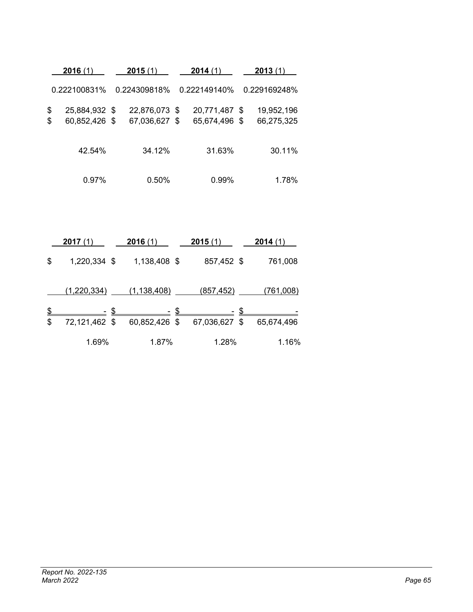|    | 2016(1)       |  | 2015(1)       |  | 2014(1)       | 2013 (1 |              |  |  |
|----|---------------|--|---------------|--|---------------|---------|--------------|--|--|
|    | 0.222100831%  |  | 0.224309818%  |  | 0.222149140%  |         | 0.229169248% |  |  |
| \$ | 25,884,932 \$ |  | 22,876,073 \$ |  | 20,771,487 \$ |         | 19,952,196   |  |  |
| \$ | 60,852,426 \$ |  | 67,036,627 \$ |  | 65,674,496 \$ |         | 66,275,325   |  |  |
|    | 42.54%        |  | 34.12%        |  | 31.63%        |         | 30.11%       |  |  |
|    | 0.97%         |  | 0.50%         |  | $0.99\%$      |         | 1.78%        |  |  |

| 2017(1)             | 2016(1)       | 2015(1)       | 2014(1)    |
|---------------------|---------------|---------------|------------|
| \$<br>1,220,334 \$  | 1,138,408 \$  | 857,452 \$    | 761,008    |
| (1,220,334)         | (1, 138, 408) | (857, 452)    | (761,008)  |
|                     |               |               |            |
| \$<br>72,121,462 \$ | 60,852,426 \$ | 67,036,627 \$ | 65,674,496 |
| 1.69%               | 1.87%         | 1.28%         | 1.16%      |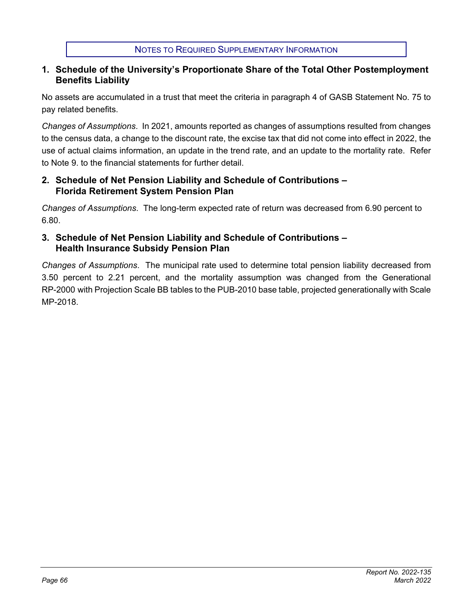# **1. Schedule of the University's Proportionate Share of the Total Other Postemployment Benefits Liability**

No assets are accumulated in a trust that meet the criteria in paragraph 4 of GASB Statement No. 75 to pay related benefits.

*Changes of Assumptions*. In 2021, amounts reported as changes of assumptions resulted from changes to the census data, a change to the discount rate, the excise tax that did not come into effect in 2022, the use of actual claims information, an update in the trend rate, and an update to the mortality rate. Refer to Note 9. to the financial statements for further detail.

#### **2. Schedule of Net Pension Liability and Schedule of Contributions – Florida Retirement System Pension Plan**

*Changes of Assumptions*. The long-term expected rate of return was decreased from 6.90 percent to 6.80.

# **3. Schedule of Net Pension Liability and Schedule of Contributions – Health Insurance Subsidy Pension Plan**

*Changes of Assumptions*. The municipal rate used to determine total pension liability decreased from 3.50 percent to 2.21 percent, and the mortality assumption was changed from the Generational RP-2000 with Projection Scale BB tables to the PUB-2010 base table, projected generationally with Scale MP-2018.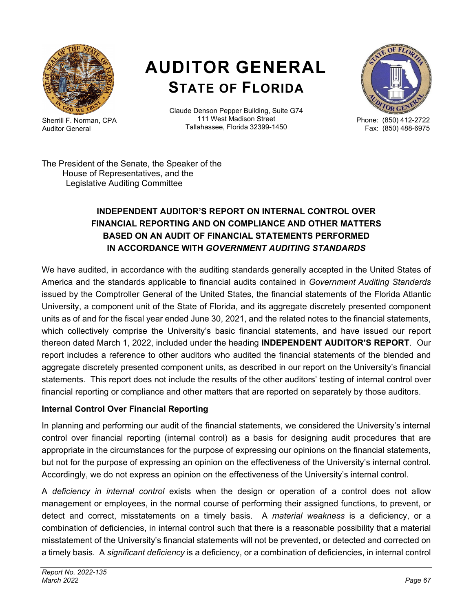

Sherrill F. Norman, CPA Auditor General

# **AUDITOR GENERAL STATE OF FLORIDA**

Claude Denson Pepper Building, Suite G74 111 West Madison Street Tallahassee, Florida 32399-1450



Phone: (850) 412-2722 Fax: (850) 488-6975

The President of the Senate, the Speaker of the House of Representatives, and the Legislative Auditing Committee

# **INDEPENDENT AUDITOR'S REPORT ON INTERNAL CONTROL OVER FINANCIAL REPORTING AND ON COMPLIANCE AND OTHER MATTERS BASED ON AN AUDIT OF FINANCIAL STATEMENTS PERFORMED IN ACCORDANCE WITH** *GOVERNMENT AUDITING STANDARDS*

We have audited, in accordance with the auditing standards generally accepted in the United States of America and the standards applicable to financial audits contained in *Government Auditing Standards* issued by the Comptroller General of the United States, the financial statements of the Florida Atlantic University, a component unit of the State of Florida, and its aggregate discretely presented component units as of and for the fiscal year ended June 30, 2021, and the related notes to the financial statements, which collectively comprise the University's basic financial statements, and have issued our report thereon dated March 1, 2022, included under the heading **INDEPENDENT AUDITOR'S REPORT**. Our report includes a reference to other auditors who audited the financial statements of the blended and aggregate discretely presented component units, as described in our report on the University's financial statements. This report does not include the results of the other auditors' testing of internal control over financial reporting or compliance and other matters that are reported on separately by those auditors.

# **Internal Control Over Financial Reporting**

In planning and performing our audit of the financial statements, we considered the University's internal control over financial reporting (internal control) as a basis for designing audit procedures that are appropriate in the circumstances for the purpose of expressing our opinions on the financial statements, but not for the purpose of expressing an opinion on the effectiveness of the University's internal control. Accordingly, we do not express an opinion on the effectiveness of the University's internal control.

A *deficiency in internal control* exists when the design or operation of a control does not allow management or employees, in the normal course of performing their assigned functions, to prevent, or detect and correct, misstatements on a timely basis. A *material weakness* is a deficiency, or a combination of deficiencies, in internal control such that there is a reasonable possibility that a material misstatement of the University's financial statements will not be prevented, or detected and corrected on a timely basis. A *significant deficiency* is a deficiency, or a combination of deficiencies, in internal control